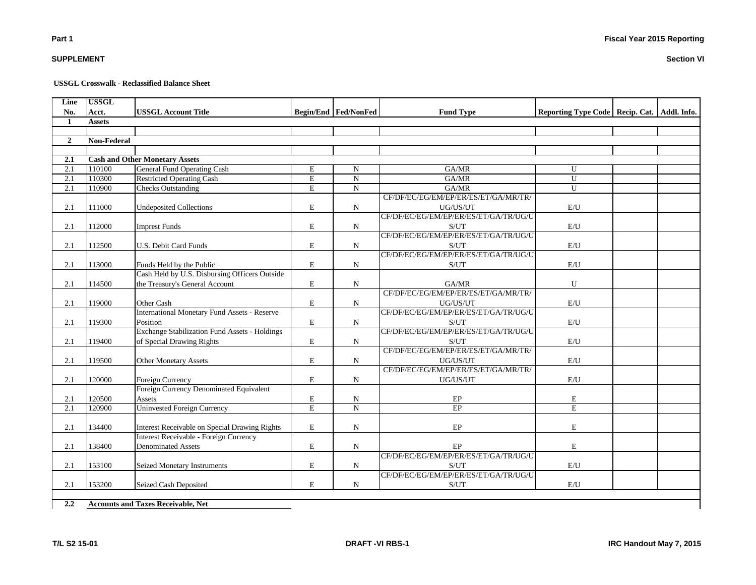## **SUPPLEMENT**

**Part 1**

## **USSGL Crosswalk - Reclassified Balance Sheet**

| Line           | <b>USSGL</b>       |                                                      |                |                               |                                       |                                                 |  |
|----------------|--------------------|------------------------------------------------------|----------------|-------------------------------|---------------------------------------|-------------------------------------------------|--|
| No.            | Acct.              | <b>USSGL Account Title</b>                           |                | <b>Begin/End   Fed/NonFed</b> | <b>Fund Type</b>                      | Reporting Type Code   Recip. Cat.   Addl. Info. |  |
| 1              | <b>Assets</b>      |                                                      |                |                               |                                       |                                                 |  |
|                |                    |                                                      |                |                               |                                       |                                                 |  |
| $\overline{2}$ | <b>Non-Federal</b> |                                                      |                |                               |                                       |                                                 |  |
|                |                    |                                                      |                |                               |                                       |                                                 |  |
| 2.1            |                    | <b>Cash and Other Monetary Assets</b>                |                |                               |                                       |                                                 |  |
| 2.1            | 110100             | <b>General Fund Operating Cash</b>                   | E              | N                             | GA/MR                                 | $\mathbf{U}$                                    |  |
| 2.1            | 110300             | <b>Restricted Operating Cash</b>                     | $\overline{E}$ | $\mathbf N$                   | GAMR                                  | $\mathbf{U}$                                    |  |
| 2.1            | 110900             | <b>Checks Outstanding</b>                            | $\overline{E}$ | $\overline{N}$                | GAMR                                  | $\overline{U}$                                  |  |
|                |                    |                                                      |                |                               | CF/DF/EC/EG/EM/EP/ER/ES/ET/GA/MR/TR/  |                                                 |  |
| 2.1            | 111000             | <b>Undeposited Collections</b>                       | E              | ${\bf N}$                     | UG/US/UT                              | E/U                                             |  |
|                |                    |                                                      |                |                               | CF/DF/EC/EG/EM/EP/ER/ES/ET/GA/TR/UG/U |                                                 |  |
| 2.1            | 112000             | <b>Imprest Funds</b>                                 | E              | $\mathbf N$                   | S/UT                                  | $\mathbf{E}/\mathbf{U}$                         |  |
|                |                    |                                                      |                |                               | CF/DF/EC/EG/EM/EP/ER/ES/ET/GA/TR/UG/U |                                                 |  |
| 2.1            | 112500             | U.S. Debit Card Funds                                | E              | $\mathbf N$                   | S/UT                                  | E/U                                             |  |
|                |                    |                                                      |                |                               | CF/DF/EC/EG/EM/EP/ER/ES/ET/GA/TR/UG/U |                                                 |  |
| 2.1            | 113000             | Funds Held by the Public                             | E              | $\mathbf N$                   | S/UT                                  | E/U                                             |  |
|                |                    | Cash Held by U.S. Disbursing Officers Outside        |                |                               |                                       |                                                 |  |
| 2.1            | 114500             | the Treasury's General Account                       | E              | $\mathbf N$                   | GA/MR                                 | U                                               |  |
|                |                    |                                                      |                |                               | CF/DF/EC/EG/EM/EP/ER/ES/ET/GA/MR/TR/  |                                                 |  |
| 2.1            | 119000             | Other Cash                                           | $\mathbf E$    | $\mathbf N$                   | UG/US/UT                              | E/U                                             |  |
|                |                    | <b>International Monetary Fund Assets - Reserve</b>  |                |                               | CF/DF/EC/EG/EM/EP/ER/ES/ET/GA/TR/UG/U |                                                 |  |
| 2.1            | 119300             | Position                                             | $\mathbf E$    | $\mathbf N$                   | S/UT                                  | E/U                                             |  |
|                |                    | <b>Exchange Stabilization Fund Assets - Holdings</b> |                |                               | CF/DF/EC/EG/EM/EP/ER/ES/ET/GA/TR/UG/U |                                                 |  |
| 2.1            | 119400             | of Special Drawing Rights                            | $\mathbf E$    | $\mathbf N$                   | S/UT                                  | E/U                                             |  |
|                |                    |                                                      |                |                               | CF/DF/EC/EG/EM/EP/ER/ES/ET/GA/MR/TR/  |                                                 |  |
| 2.1            | 119500             | <b>Other Monetary Assets</b>                         | E              | $\mathbf N$                   | UG/US/UT                              | E/U                                             |  |
|                |                    |                                                      |                |                               | CF/DF/EC/EG/EM/EP/ER/ES/ET/GA/MR/TR/  |                                                 |  |
| 2.1            | 120000             | Foreign Currency                                     | E              | $\mathbf N$                   | UG/US/UT                              | E/U                                             |  |
|                |                    | Foreign Currency Denominated Equivalent              |                |                               |                                       |                                                 |  |
| 2.1            | 120500             | Assets                                               | E              | N                             | EP                                    | E                                               |  |
| 2.1            | 120900             | <b>Uninvested Foreign Currency</b>                   | $\overline{E}$ | $\overline{N}$                | $\overline{EP}$                       | $\overline{E}$                                  |  |
|                |                    |                                                      |                |                               |                                       |                                                 |  |
| 2.1            | 134400             | Interest Receivable on Special Drawing Rights        | E              | $\mathbf N$                   | EP                                    | E                                               |  |
|                |                    | Interest Receivable - Foreign Currency               |                |                               |                                       |                                                 |  |
| 2.1            | 138400             | <b>Denominated Assets</b>                            | E              | $\mathbf N$                   | EP                                    | E                                               |  |
|                |                    |                                                      |                |                               | CF/DF/EC/EG/EM/EP/ER/ES/ET/GA/TR/UG/U |                                                 |  |
| 2.1            | 153100             | Seized Monetary Instruments                          | E              | $\mathbf N$                   | S/UT                                  | E/U                                             |  |
|                |                    |                                                      |                |                               | CF/DF/EC/EG/EM/EP/ER/ES/ET/GA/TR/UG/U |                                                 |  |
| 2.1            | 153200             | Seized Cash Deposited                                | E              | $\mathbf N$                   | S/UT                                  | E/U                                             |  |
|                |                    |                                                      |                |                               |                                       |                                                 |  |

**2.2 Accounts and Taxes Receivable, Net**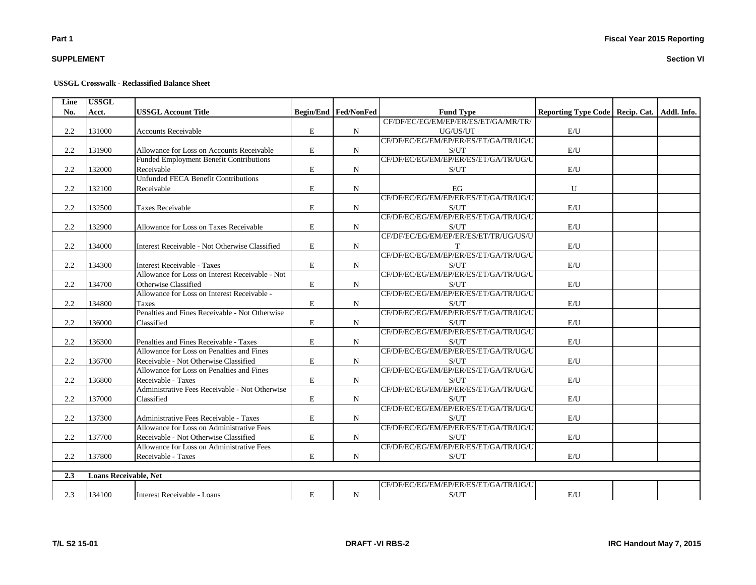## **SUPPLEMENT**

#### **USSGL Crosswalk - Reclassified Balance Sheet**

| Line | <b>USSGL</b>                 |                                                 |             |                               |                                       |                                                 |  |
|------|------------------------------|-------------------------------------------------|-------------|-------------------------------|---------------------------------------|-------------------------------------------------|--|
| No.  | Acct.                        | <b>USSGL Account Title</b>                      |             | <b>Begin/End   Fed/NonFed</b> | <b>Fund Type</b>                      | Reporting Type Code   Recip. Cat.   Addl. Info. |  |
|      |                              |                                                 |             |                               | CF/DF/EC/EG/EM/EP/ER/ES/ET/GA/MR/TR/  |                                                 |  |
| 2.2  | 131000                       | <b>Accounts Receivable</b>                      | ${\bf E}$   | N                             | UG/US/UT                              | $\mathrm{E}/\mathrm{U}$                         |  |
|      |                              |                                                 |             |                               | CF/DF/EC/EG/EM/EP/ER/ES/ET/GA/TR/UG/U |                                                 |  |
| 2.2  | 131900                       | Allowance for Loss on Accounts Receivable       | $\mathbf E$ | N                             | S/UT                                  | E/U                                             |  |
|      |                              | Funded Employment Benefit Contributions         |             |                               | CF/DF/EC/EG/EM/EP/ER/ES/ET/GA/TR/UG/U |                                                 |  |
| 2.2  | 132000                       | Receivable                                      | $\mathbf E$ | N                             | S/UT                                  | E/U                                             |  |
|      |                              | <b>Unfunded FECA Benefit Contributions</b>      |             |                               |                                       |                                                 |  |
| 2.2  | 132100                       | Receivable                                      | $\mathbf E$ | N                             | EG                                    | ${\bf U}$                                       |  |
|      |                              |                                                 |             |                               | CF/DF/EC/EG/EM/EP/ER/ES/ET/GA/TR/UG/U |                                                 |  |
| 2.2  | 132500                       | <b>Taxes Receivable</b>                         | $\mathbf E$ | N                             | S/UT                                  | E/U                                             |  |
|      |                              |                                                 |             |                               | CF/DF/EC/EG/EM/EP/ER/ES/ET/GA/TR/UG/U |                                                 |  |
| 2.2  | 132900                       | Allowance for Loss on Taxes Receivable          | $\mathbf E$ | N                             | S/UT                                  | E/U                                             |  |
|      |                              |                                                 |             |                               | CF/DF/EC/EG/EM/EP/ER/ES/ET/TR/UG/US/U |                                                 |  |
| 2.2  | 134000                       | Interest Receivable - Not Otherwise Classified  | E           | N                             | T                                     | E/U                                             |  |
|      |                              |                                                 |             |                               | CF/DF/EC/EG/EM/EP/ER/ES/ET/GA/TR/UG/U |                                                 |  |
| 2.2  | 134300                       | <b>Interest Receivable - Taxes</b>              | E           | N                             | S/UT                                  | E/U                                             |  |
|      |                              | Allowance for Loss on Interest Receivable - Not |             |                               | CF/DF/EC/EG/EM/EP/ER/ES/ET/GA/TR/UG/U |                                                 |  |
| 2.2  | 134700                       | Otherwise Classified                            | E           | N                             | S/UT                                  | E/U                                             |  |
|      |                              | Allowance for Loss on Interest Receivable -     |             |                               | CF/DF/EC/EG/EM/EP/ER/ES/ET/GA/TR/UG/U |                                                 |  |
| 2.2  | 134800                       | Taxes                                           | E           | ${\bf N}$                     | S/UT                                  | $\mathrm{E}/\mathrm{U}$                         |  |
|      |                              | Penalties and Fines Receivable - Not Otherwise  |             |                               | CF/DF/EC/EG/EM/EP/ER/ES/ET/GA/TR/UG/U |                                                 |  |
| 2.2  | 136000                       | Classified                                      | E           | N                             | S/UT                                  | $\mathrm{E}/\mathrm{U}$                         |  |
|      |                              |                                                 |             |                               | CF/DF/EC/EG/EM/EP/ER/ES/ET/GA/TR/UG/U |                                                 |  |
| 2.2  | 136300                       | Penalties and Fines Receivable - Taxes          | ${\bf E}$   | N                             | S/UT                                  | E/U                                             |  |
|      |                              | Allowance for Loss on Penalties and Fines       |             |                               | CF/DF/EC/EG/EM/EP/ER/ES/ET/GA/TR/UG/U |                                                 |  |
| 2.2  | 136700                       | Receivable - Not Otherwise Classified           | ${\bf E}$   | N                             | S/UT                                  | E/U                                             |  |
|      |                              | Allowance for Loss on Penalties and Fines       |             |                               | CF/DF/EC/EG/EM/EP/ER/ES/ET/GA/TR/UG/U |                                                 |  |
| 2.2  | 136800                       | Receivable - Taxes                              | $\mathbf E$ | N                             | S/UT                                  | E/U                                             |  |
|      |                              | Administrative Fees Receivable - Not Otherwise  |             |                               | CF/DF/EC/EG/EM/EP/ER/ES/ET/GA/TR/UG/U |                                                 |  |
| 2.2  | 137000                       | Classified                                      | E           | N                             | S/UT                                  | E/U                                             |  |
|      |                              |                                                 |             |                               | CF/DF/EC/EG/EM/EP/ER/ES/ET/GA/TR/UG/U |                                                 |  |
| 2.2  | 137300                       | Administrative Fees Receivable - Taxes          | E           | N                             | S/UT                                  | E/U                                             |  |
|      |                              | Allowance for Loss on Administrative Fees       |             |                               | CF/DF/EC/EG/EM/EP/ER/ES/ET/GA/TR/UG/U |                                                 |  |
| 2.2  | 137700                       | Receivable - Not Otherwise Classified           | E           | N                             | S/UT                                  | E/U                                             |  |
|      |                              | Allowance for Loss on Administrative Fees       |             |                               | CF/DF/EC/EG/EM/EP/ER/ES/ET/GA/TR/UG/U |                                                 |  |
| 2.2  | 137800                       | Receivable - Taxes                              | E           | N                             | S/UT                                  | E/U                                             |  |
|      |                              |                                                 |             |                               |                                       |                                                 |  |
| 2.3  | <b>Loans Receivable, Net</b> |                                                 |             |                               |                                       |                                                 |  |
|      |                              |                                                 |             |                               | CF/DF/EC/EG/EM/EP/ER/ES/ET/GA/TR/UG/U |                                                 |  |
| 2.3  | 134100                       | Interest Receivable - Loans                     | E           | N                             | S/UT                                  | E/U                                             |  |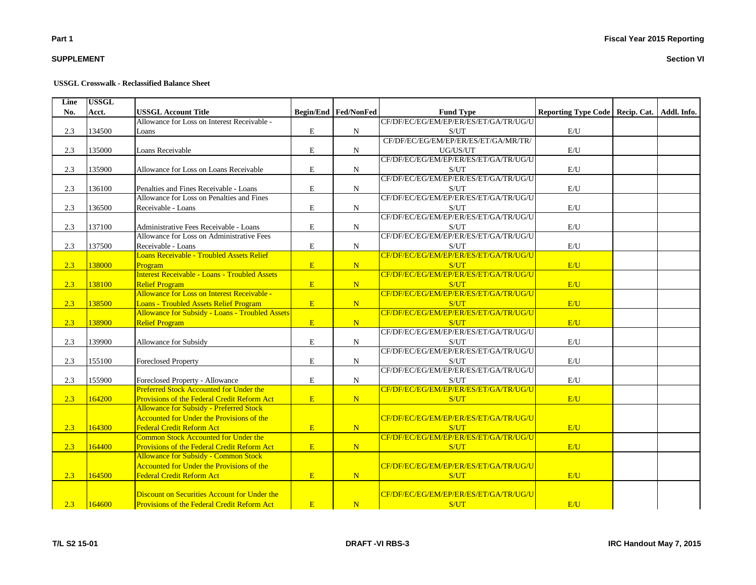## **SUPPLEMENT**

#### **USSGL Crosswalk - Reclassified Balance Sheet**

| Line | <b>USSGL</b> |                                                      |                                            |                             |                                       |                                                 |  |
|------|--------------|------------------------------------------------------|--------------------------------------------|-----------------------------|---------------------------------------|-------------------------------------------------|--|
| No.  | Acct.        | <b>USSGL Account Title</b>                           |                                            | <b>Begin/End Fed/NonFed</b> | <b>Fund Type</b>                      | Reporting Type Code   Recip. Cat.   Addl. Info. |  |
|      |              | Allowance for Loss on Interest Receivable -          |                                            |                             | CF/DF/EC/EG/EM/EP/ER/ES/ET/GA/TR/UG/U |                                                 |  |
| 2.3  | 134500       | Loans                                                | E                                          | $\mathbf N$                 | S/UT                                  | $\mathrm{E}/\mathrm{U}$                         |  |
|      |              |                                                      |                                            |                             | CF/DF/EC/EG/EM/EP/ER/ES/ET/GA/MR/TR/  |                                                 |  |
| 2.3  | 135000       | Loans Receivable                                     | $\mathbf E$                                | $\mathbf N$                 | UG/US/UT                              | E/U                                             |  |
|      |              |                                                      |                                            |                             | CF/DF/EC/EG/EM/EP/ER/ES/ET/GA/TR/UG/U |                                                 |  |
| 2.3  | 135900       | Allowance for Loss on Loans Receivable               | E                                          | $\mathbf N$                 | S/UT                                  | $\mathbf{E}/\mathbf{U}$                         |  |
|      |              |                                                      |                                            |                             | CF/DF/EC/EG/EM/EP/ER/ES/ET/GA/TR/UG/U |                                                 |  |
| 2.3  | 136100       | Penalties and Fines Receivable - Loans               | $\mathbf E$                                | $\mathbf N$                 | S/UT                                  | E/U                                             |  |
|      |              | Allowance for Loss on Penalties and Fines            |                                            |                             | CF/DF/EC/EG/EM/EP/ER/ES/ET/GA/TR/UG/U |                                                 |  |
| 2.3  | 136500       | Receivable - Loans                                   | $\mathbf E$                                | N                           | S/UT                                  | E/U                                             |  |
|      |              |                                                      |                                            |                             | CF/DF/EC/EG/EM/EP/ER/ES/ET/GA/TR/UG/U |                                                 |  |
| 2.3  | 137100       | Administrative Fees Receivable - Loans               | $\mathbf E$                                | $\mathbf N$                 | S/UT                                  | $\mathrm{E}/\mathrm{U}$                         |  |
|      |              | Allowance for Loss on Administrative Fees            |                                            |                             | CF/DF/EC/EG/EM/EP/ER/ES/ET/GA/TR/UG/U |                                                 |  |
| 2.3  | 137500       | Receivable - Loans                                   | E                                          | $\mathbf N$                 | S/UT                                  | E/U                                             |  |
|      |              | <b>Loans Receivable - Troubled Assets Relief</b>     |                                            |                             | CF/DF/EC/EG/EM/EP/ER/ES/ET/GA/TR/UG/U |                                                 |  |
| 2.3  | 138000       | Program                                              | $\mathbf{E}$                               | N                           | S/UT                                  | E/U                                             |  |
|      |              | <b>Interest Receivable - Loans - Troubled Assets</b> |                                            |                             | CF/DF/EC/EG/EM/EP/ER/ES/ET/GA/TR/UG/U |                                                 |  |
| 2.3  | 138100       | <b>Relief Program</b>                                | $\mathbf{E}$                               | $\mathbf N$                 | S/UT                                  | E/U                                             |  |
|      |              | Allowance for Loss on Interest Receivable -          |                                            |                             | CF/DF/EC/EG/EM/EP/ER/ES/ET/GA/TR/UG/U |                                                 |  |
| 2.3  | 138500       | <b>Loans - Troubled Assets Relief Program</b>        | $\mathbf{E}$                               | N                           | S/UT                                  | E/U                                             |  |
|      |              | Allowance for Subsidy - Loans - Troubled Assets      |                                            |                             | CF/DF/EC/EG/EM/EP/ER/ES/ET/GA/TR/UG/U |                                                 |  |
| 2.3  | 138900       | <b>Relief Program</b>                                | $\mathbf{E}% _{0}\left( \mathbf{1}\right)$ | N                           | S/UT                                  | E/U                                             |  |
|      |              |                                                      |                                            |                             | CF/DF/EC/EG/EM/EP/ER/ES/ET/GA/TR/UG/U |                                                 |  |
| 2.3  | 139900       | Allowance for Subsidy                                | E                                          | $\mathbf N$                 | S/UT                                  | E/U                                             |  |
|      |              |                                                      |                                            |                             | CF/DF/EC/EG/EM/EP/ER/ES/ET/GA/TR/UG/U |                                                 |  |
| 2.3  | 155100       | <b>Foreclosed Property</b>                           | $\mathbf E$                                | N                           | S/UT                                  | E/U                                             |  |
|      |              |                                                      |                                            |                             | CF/DF/EC/EG/EM/EP/ER/ES/ET/GA/TR/UG/U |                                                 |  |
| 2.3  | 155900       | Foreclosed Property - Allowance                      | E                                          | N                           | S/UT                                  | $\mathbf{E}/\mathbf{U}$                         |  |
|      |              | <b>Preferred Stock Accounted for Under the</b>       |                                            |                             | CF/DF/EC/EG/EM/EP/ER/ES/ET/GA/TR/UG/U |                                                 |  |
| 2.3  | 164200       | Provisions of the Federal Credit Reform Act          | E                                          | N                           | S/UT                                  | E/U                                             |  |
|      |              | <b>Allowance for Subsidy - Preferred Stock</b>       |                                            |                             |                                       |                                                 |  |
|      |              | Accounted for Under the Provisions of the            |                                            |                             | CF/DF/EC/EG/EM/EP/ER/ES/ET/GA/TR/UG/U |                                                 |  |
| 2.3  | 164300       | <b>Federal Credit Reform Act</b>                     | E                                          | N                           | S/UT                                  | E/U                                             |  |
|      |              | Common Stock Accounted for Under the                 |                                            |                             | CF/DF/EC/EG/EM/EP/ER/ES/ET/GA/TR/UG/U |                                                 |  |
| 2.3  | 164400       | Provisions of the Federal Credit Reform Act          | $\mathbf{E}$                               | N                           | S/UT                                  | E/U                                             |  |
|      |              | <b>Allowance for Subsidy - Common Stock</b>          |                                            |                             |                                       |                                                 |  |
|      |              | <b>Accounted for Under the Provisions of the</b>     |                                            |                             | CF/DF/EC/EG/EM/EP/ER/ES/ET/GA/TR/UG/U |                                                 |  |
| 2.3  | 164500       | <b>Federal Credit Reform Act</b>                     | E                                          | N                           | S/UT                                  | E/U                                             |  |
|      |              |                                                      |                                            |                             |                                       |                                                 |  |
|      |              | Discount on Securities Account for Under the         |                                            |                             | CF/DF/EC/EG/EM/EP/ER/ES/ET/GA/TR/UG/U |                                                 |  |
| 2.3  | 164600       | Provisions of the Federal Credit Reform Act          | $\mathbf{E}$                               | N                           | S/UT                                  | E/U                                             |  |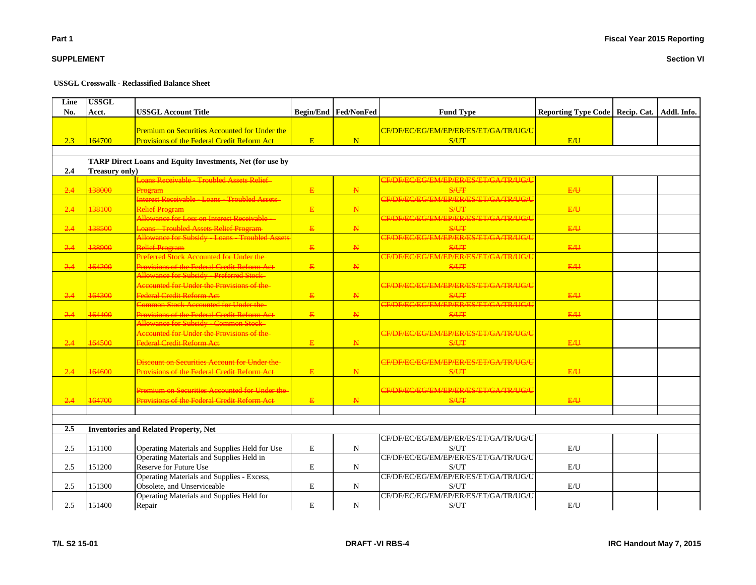**Section VI**

**SUPPLEMENT**

#### **USSGL Crosswalk - Reclassified Balance Sheet**

| Line<br>No. | <b>USSGL</b><br>Acct. | <b>USSGL Account Title</b>                                                                          |              | <b>Begin/End   Fed/NonFed</b> | <b>Fund Type</b>                              | Reporting Type Code   Recip. Cat.   Addl. Info. |  |
|-------------|-----------------------|-----------------------------------------------------------------------------------------------------|--------------|-------------------------------|-----------------------------------------------|-------------------------------------------------|--|
| 2.3         | 164700                | Premium on Securities Accounted for Under the<br><b>Provisions of the Federal Credit Reform Act</b> | E            | N                             | CF/DF/EC/EG/EM/EP/ER/ES/ET/GA/TR/UG/U<br>S/UT | E/U                                             |  |
|             |                       |                                                                                                     |              |                               |                                               |                                                 |  |
|             |                       | TARP Direct Loans and Equity Investments, Net (for use by                                           |              |                               |                                               |                                                 |  |
| 2.4         | Treasury only)        |                                                                                                     |              |                               |                                               |                                                 |  |
|             |                       | Loans Receivable - Troubled Assets Relief-                                                          |              |                               | CF/DF/EC/EG/EM/EP/ER/ES/ET/GA/TR/UG/U         |                                                 |  |
| 2.4         | 138000                | <b>Program</b>                                                                                      | E            | $\mathbf{N}$                  | S/UT                                          | E/U                                             |  |
|             |                       | Interest Receivable - Loans - Troubled Assets -                                                     |              |                               | CF/DF/EC/EG/EM/EP/ER/ES/ET/GA/TR/UG/U         |                                                 |  |
| $-2.4$      | 138100                | <b>Relief Program</b>                                                                               | E.           | $\mathbf{N}$                  | <b>S/UT</b>                                   | E/H                                             |  |
|             |                       | Allowance for Loss on Interest Receivable -                                                         |              |                               | CE/DE/EC/EG/EM/EP/ER/ES/ET/GA/TR/UG/U         |                                                 |  |
| 2.4         | 138500                | <b>Loans - Troubled Assets Relief Program</b>                                                       | $\mathbf{E}$ | $\mathbf{N}$                  | <b>S/UT</b>                                   | E/U                                             |  |
|             |                       | Allowance for Subsidy - Loans - Troubled Assets                                                     |              |                               | CF/DF/EC/EG/EM/EP/ER/ES/ET/GA/TR/UG/U         |                                                 |  |
| 2.4         | 138900                | <b>Relief Program</b>                                                                               | E            | $\mathbf{N}$                  | S/UT                                          | E/H                                             |  |
|             |                       | Preferred Stock Accounted for Under the-                                                            |              |                               | CF/DF/EC/EG/EM/EP/ER/ES/ET/GA/TR/UG/U         |                                                 |  |
| 2.4         | 164200                | Provisions of the Federal Credit Reform Act                                                         | $\mathbf{E}$ | $\mathbb N$                   | <b>S/UT</b>                                   | E/H                                             |  |
|             |                       | Allowance for Subsidy - Preferred Stock                                                             |              |                               |                                               |                                                 |  |
|             |                       | Accounted for Under the Provisions of the-                                                          |              |                               | CF/DF/EC/EG/EM/EP/ER/ES/ET/GA/TR/UG/U         |                                                 |  |
| 2.4         | 164300                | Federal Credit Reform Act<br><b>Common Stock Accounted for Under the</b>                            | E            | $\mathbb{N}$                  | S/UT                                          | E/U                                             |  |
|             |                       |                                                                                                     |              |                               | CF/DF/EC/EG/EM/EP/ER/ES/ET/GA/TR/UG/U         |                                                 |  |
| $-2.4$      | 164400                | <b>Provisions of the Federal Credit Reform Act</b>                                                  | E            | $\mathbf{N}$                  | S/UT                                          | E/H                                             |  |
|             |                       | <b>Allowance for Subsidy - Common Stock-</b><br>Accounted for Under the Provisions of the-          |              |                               |                                               |                                                 |  |
|             | 164500                |                                                                                                     |              |                               | CF/DF/EC/EG/EM/EP/ER/ES/ET/GA/TR/UG/U         |                                                 |  |
| 2.4         |                       | Federal Credit Reform Act                                                                           | E            | $\mathbf{N}$                  | <b>S/UT</b>                                   | E/U                                             |  |
|             |                       | <b>Discount on Securities Account for Under the-</b>                                                |              |                               | CE/DE/EC/EG/EM/EP/ER/ES/ET/GA/TR/UG/U         |                                                 |  |
|             | 164600                |                                                                                                     |              | $\mathbf{N}$                  |                                               | E/U                                             |  |
| 2.4         |                       | Provisions of the Federal Credit Reform Act                                                         | E            |                               | <b>S/UT</b>                                   |                                                 |  |
|             |                       | Premium on Securities Accounted for Under the                                                       |              |                               | CE/DE/EC/EG/EM/EP/ER/ES/ET/GA/TR/UG/U         |                                                 |  |
| 2.4         | 164700                | <b>Provisions of the Federal Credit Reform Act-</b>                                                 | $\mathbf{E}$ | N                             | S/UT                                          | E/H                                             |  |
|             |                       |                                                                                                     |              |                               |                                               |                                                 |  |
|             |                       |                                                                                                     |              |                               |                                               |                                                 |  |
| 2.5         |                       | <b>Inventories and Related Property, Net</b>                                                        |              |                               |                                               |                                                 |  |
|             |                       |                                                                                                     |              |                               | CF/DF/EC/EG/EM/EP/ER/ES/ET/GA/TR/UG/U         |                                                 |  |
| 2.5         | 151100                | Operating Materials and Supplies Held for Use                                                       | ${\bf E}$    | ${\bf N}$                     | S/UT                                          | $\mathbf{E}/\mathbf{U}$                         |  |
|             |                       | Operating Materials and Supplies Held in                                                            |              |                               | CF/DF/EC/EG/EM/EP/ER/ES/ET/GA/TR/UG/U         |                                                 |  |
| 2.5         | 151200                | Reserve for Future Use                                                                              | ${\bf E}$    | ${\bf N}$                     | S/UT                                          | E/U                                             |  |
|             |                       | Operating Materials and Supplies - Excess,                                                          |              |                               | CF/DF/EC/EG/EM/EP/ER/ES/ET/GA/TR/UG/U         |                                                 |  |
| 2.5         | 151300                | Obsolete, and Unserviceable                                                                         | ${\bf E}$    | $\mathbf N$                   | S/UT                                          | E/U                                             |  |
|             |                       | Operating Materials and Supplies Held for                                                           |              |                               | CF/DF/EC/EG/EM/EP/ER/ES/ET/GA/TR/UG/U         |                                                 |  |
| 2.5         | 151400                | Repair                                                                                              | $\mathbf E$  | $\mathbf N$                   | S/UT                                          | E/U                                             |  |
|             |                       |                                                                                                     |              |                               |                                               |                                                 |  |

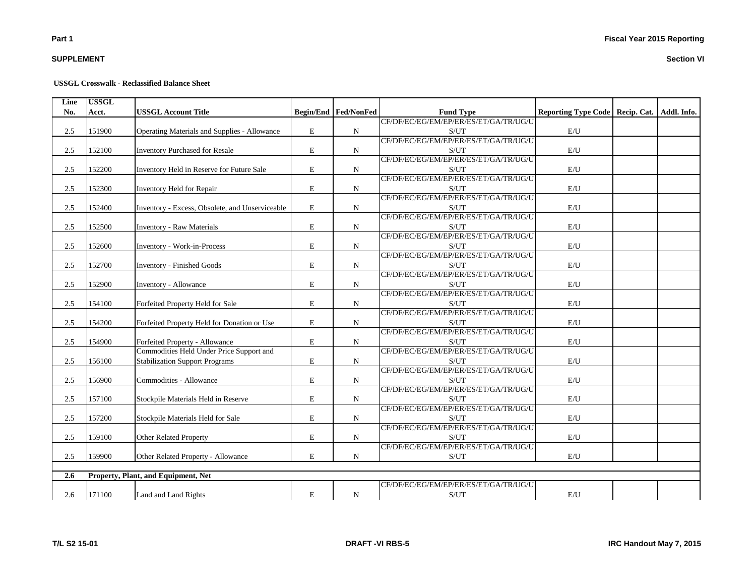## **SUPPLEMENT**

#### **USSGL Crosswalk - Reclassified Balance Sheet**

| Line | <b>USSGL</b> |                                                 |           |                        |                                       |                                                 |  |
|------|--------------|-------------------------------------------------|-----------|------------------------|---------------------------------------|-------------------------------------------------|--|
| No.  | Acct.        | <b>USSGL Account Title</b>                      |           | Begin/End   Fed/NonFed | <b>Fund Type</b>                      | Reporting Type Code   Recip. Cat.   Addl. Info. |  |
|      |              |                                                 |           |                        | CF/DF/EC/EG/EM/EP/ER/ES/ET/GA/TR/UG/U |                                                 |  |
| 2.5  | 151900       | Operating Materials and Supplies - Allowance    | E         | N                      | S/UT                                  | E/U                                             |  |
|      |              |                                                 |           |                        | CF/DF/EC/EG/EM/EP/ER/ES/ET/GA/TR/UG/U |                                                 |  |
| 2.5  | 152100       | <b>Inventory Purchased for Resale</b>           | E         | N                      | S/UT                                  | E/U                                             |  |
|      |              |                                                 |           |                        | CF/DF/EC/EG/EM/EP/ER/ES/ET/GA/TR/UG/U |                                                 |  |
| 2.5  | 152200       | Inventory Held in Reserve for Future Sale       | E         | $\mathbf N$            | S/UT                                  | E/U                                             |  |
|      |              |                                                 |           |                        | CF/DF/EC/EG/EM/EP/ER/ES/ET/GA/TR/UG/U |                                                 |  |
| 2.5  | 152300       | Inventory Held for Repair                       | E         | $\mathbf N$            | S/UT                                  | E/U                                             |  |
|      |              |                                                 |           |                        | CF/DF/EC/EG/EM/EP/ER/ES/ET/GA/TR/UG/U |                                                 |  |
| 2.5  | 152400       | Inventory - Excess, Obsolete, and Unserviceable | E         | N                      | S/UT                                  | E/U                                             |  |
|      |              |                                                 |           |                        | CF/DF/EC/EG/EM/EP/ER/ES/ET/GA/TR/UG/U |                                                 |  |
| 2.5  | 152500       | <b>Inventory - Raw Materials</b>                | E         | N                      | S/UT                                  | E/U                                             |  |
|      |              |                                                 |           |                        | CF/DF/EC/EG/EM/EP/ER/ES/ET/GA/TR/UG/U |                                                 |  |
| 2.5  | 152600       | <b>Inventory - Work-in-Process</b>              | E         | N                      | S/UT                                  | $\mathbf{E}/\mathbf{U}$                         |  |
|      |              |                                                 |           |                        | CF/DF/EC/EG/EM/EP/ER/ES/ET/GA/TR/UG/U |                                                 |  |
| 2.5  | 152700       | Inventory - Finished Goods                      | E         | ${\bf N}$              | S/UT                                  | E/U                                             |  |
|      |              |                                                 |           |                        | CF/DF/EC/EG/EM/EP/ER/ES/ET/GA/TR/UG/U |                                                 |  |
| 2.5  | 152900       | Inventory - Allowance                           | E         | N                      | S/UT                                  | E/U                                             |  |
|      |              |                                                 |           |                        | CF/DF/EC/EG/EM/EP/ER/ES/ET/GA/TR/UG/U |                                                 |  |
| 2.5  | 154100       | Forfeited Property Held for Sale                | E         | N                      | S/UT                                  | $\mathbf{E}/\mathbf{U}$                         |  |
|      |              |                                                 |           |                        | CF/DF/EC/EG/EM/EP/ER/ES/ET/GA/TR/UG/U |                                                 |  |
| 2.5  | 154200       | Forfeited Property Held for Donation or Use     | E         | N                      | S/UT                                  | E/U                                             |  |
|      |              |                                                 |           |                        | CF/DF/EC/EG/EM/EP/ER/ES/ET/GA/TR/UG/U |                                                 |  |
| 2.5  | 154900       | Forfeited Property - Allowance                  | ${\bf E}$ | ${\bf N}$              | S/UT                                  | $\mathbf{E}/\mathbf{U}$                         |  |
|      |              | Commodities Held Under Price Support and        |           |                        | CF/DF/EC/EG/EM/EP/ER/ES/ET/GA/TR/UG/U |                                                 |  |
| 2.5  | 156100       | <b>Stabilization Support Programs</b>           | E         | $\mathbf N$            | S/UT                                  | E/U                                             |  |
|      |              |                                                 |           |                        | CF/DF/EC/EG/EM/EP/ER/ES/ET/GA/TR/UG/U |                                                 |  |
| 2.5  | 156900       | Commodities - Allowance                         | E         | ${\bf N}$              | S/UT                                  | E/U                                             |  |
|      |              |                                                 |           |                        | CF/DF/EC/EG/EM/EP/ER/ES/ET/GA/TR/UG/U |                                                 |  |
| 2.5  | 157100       | Stockpile Materials Held in Reserve             | E         | N                      | S/UT                                  | E/U                                             |  |
|      |              |                                                 |           |                        | CF/DF/EC/EG/EM/EP/ER/ES/ET/GA/TR/UG/U |                                                 |  |
| 2.5  | 157200       | Stockpile Materials Held for Sale               | E         | N                      | S/UT                                  | $\mathbf{E}/\mathbf{U}$                         |  |
|      |              |                                                 |           |                        | CF/DF/EC/EG/EM/EP/ER/ES/ET/GA/TR/UG/U |                                                 |  |
| 2.5  | 159100       | <b>Other Related Property</b>                   | E         | $\mathbf N$            | S/UT                                  | $\mathbf{E}/\mathbf{U}$                         |  |
|      |              |                                                 |           |                        | CF/DF/EC/EG/EM/EP/ER/ES/ET/GA/TR/UG/U |                                                 |  |
| 2.5  | 159900       | Other Related Property - Allowance              | E         | $\mathbf N$            | S/UT                                  | E/U                                             |  |
|      |              |                                                 |           |                        |                                       |                                                 |  |
| 2.6  |              | Property, Plant, and Equipment, Net             |           |                        |                                       |                                                 |  |
|      |              |                                                 |           |                        | CF/DF/EC/EG/EM/EP/ER/ES/ET/GA/TR/UG/U |                                                 |  |
| 2.6  | 171100       | Land and Land Rights                            | E         | ${\bf N}$              | S/UT                                  | E/U                                             |  |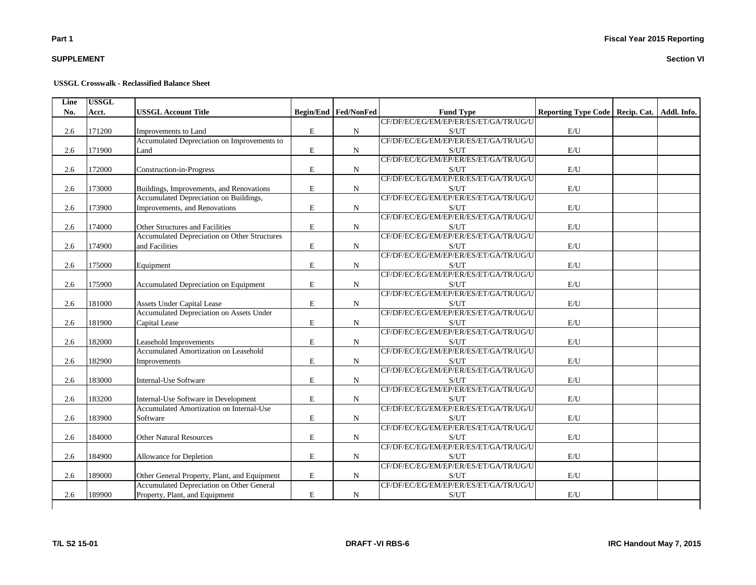## **SUPPLEMENT**

#### **USSGL Crosswalk - Reclassified Balance Sheet**

| Line | <b>USSGL</b> |                                                     |             |                             |                                       |                                                 |  |
|------|--------------|-----------------------------------------------------|-------------|-----------------------------|---------------------------------------|-------------------------------------------------|--|
| No.  | Acct.        | <b>USSGL Account Title</b>                          |             | <b>Begin/End Fed/NonFed</b> | <b>Fund Type</b>                      | Reporting Type Code   Recip. Cat.   Addl. Info. |  |
|      |              |                                                     |             |                             | CF/DF/EC/EG/EM/EP/ER/ES/ET/GA/TR/UG/U |                                                 |  |
| 2.6  | 171200       | Improvements to Land                                | $\mathbf E$ | $\mathbf N$                 | S/UT                                  | $\mathrm{E}/\mathrm{U}$                         |  |
|      |              | Accumulated Depreciation on Improvements to         |             |                             | CF/DF/EC/EG/EM/EP/ER/ES/ET/GA/TR/UG/U |                                                 |  |
| 2.6  | 171900       | Land                                                | $\mathbf E$ | $\mathbf N$                 | S/UT                                  | $\mathrm{E}/\mathrm{U}$                         |  |
|      |              |                                                     |             |                             | CF/DF/EC/EG/EM/EP/ER/ES/ET/GA/TR/UG/U |                                                 |  |
| 2.6  | 172000       | Construction-in-Progress                            | ${\bf E}$   | ${\bf N}$                   | S/UT                                  | $\mathbf{E}/\mathbf{U}$                         |  |
|      |              |                                                     |             |                             | CF/DF/EC/EG/EM/EP/ER/ES/ET/GA/TR/UG/U |                                                 |  |
| 2.6  | 173000       | Buildings, Improvements, and Renovations            | E           | $\mathbf N$                 | S/UT                                  | E/U                                             |  |
|      |              | Accumulated Depreciation on Buildings,              |             |                             | CF/DF/EC/EG/EM/EP/ER/ES/ET/GA/TR/UG/U |                                                 |  |
| 2.6  | 173900       | Improvements, and Renovations                       | E           | $\mathbf N$                 | S/UT                                  | E/U                                             |  |
|      |              |                                                     |             |                             | CF/DF/EC/EG/EM/EP/ER/ES/ET/GA/TR/UG/U |                                                 |  |
| 2.6  | 174000       | Other Structures and Facilities                     | E           | N                           | S/UT                                  | E/U                                             |  |
|      |              | <b>Accumulated Depreciation on Other Structures</b> |             |                             | CF/DF/EC/EG/EM/EP/ER/ES/ET/GA/TR/UG/U |                                                 |  |
| 2.6  | 174900       | and Facilities                                      | E           | N                           | S/UT                                  | E/U                                             |  |
|      |              |                                                     |             |                             | CF/DF/EC/EG/EM/EP/ER/ES/ET/GA/TR/UG/U |                                                 |  |
| 2.6  | 175000       | Equipment                                           | E           | $\mathbf N$                 | S/UT                                  | E/U                                             |  |
|      |              |                                                     |             |                             | CF/DF/EC/EG/EM/EP/ER/ES/ET/GA/TR/UG/U |                                                 |  |
| 2.6  | 175900       | Accumulated Depreciation on Equipment               | E           | $\mathbf N$                 | S/UT                                  | E/U                                             |  |
|      |              |                                                     |             |                             | CF/DF/EC/EG/EM/EP/ER/ES/ET/GA/TR/UG/U |                                                 |  |
| 2.6  | 181000       | Assets Under Capital Lease                          | E           | $\mathbf N$                 | S/UT                                  | E/U                                             |  |
|      |              | <b>Accumulated Depreciation on Assets Under</b>     |             |                             | CF/DF/EC/EG/EM/EP/ER/ES/ET/GA/TR/UG/U |                                                 |  |
| 2.6  | 181900       | Capital Lease                                       | E           | $\mathbf N$                 | S/UT                                  | E/U                                             |  |
|      |              |                                                     |             |                             | CF/DF/EC/EG/EM/EP/ER/ES/ET/GA/TR/UG/U |                                                 |  |
| 2.6  | 182000       | Leasehold Improvements                              | E           | N                           | S/UT                                  | E/U                                             |  |
|      |              | Accumulated Amortization on Leasehold               |             |                             | CF/DF/EC/EG/EM/EP/ER/ES/ET/GA/TR/UG/U |                                                 |  |
| 2.6  | 182900       | Improvements                                        | $\mathbf E$ | $\mathbf N$                 | S/UT                                  | E/U                                             |  |
|      |              |                                                     |             |                             | CF/DF/EC/EG/EM/EP/ER/ES/ET/GA/TR/UG/U |                                                 |  |
| 2.6  | 183000       | <b>Internal-Use Software</b>                        | E           | $\mathbf N$                 | S/UT                                  | E/U                                             |  |
|      |              |                                                     |             |                             | CF/DF/EC/EG/EM/EP/ER/ES/ET/GA/TR/UG/U |                                                 |  |
| 2.6  | 183200       | Internal-Use Software in Development                | $\mathbf E$ | $\mathbf N$                 | S/UT                                  | E/U                                             |  |
|      |              | Accumulated Amortization on Internal-Use            |             |                             | CF/DF/EC/EG/EM/EP/ER/ES/ET/GA/TR/UG/U |                                                 |  |
| 2.6  | 183900       | Software                                            | $\mathbf E$ | $\mathbf N$                 | S/UT                                  | $\mathrm{E}/\mathrm{U}$                         |  |
|      |              |                                                     |             |                             | CF/DF/EC/EG/EM/EP/ER/ES/ET/GA/TR/UG/U |                                                 |  |
| 2.6  | 184000       | <b>Other Natural Resources</b>                      | E           | $_{\rm N}$                  | S/UT                                  | $\mathrm{E}/\mathrm{U}$                         |  |
|      |              |                                                     |             |                             | CF/DF/EC/EG/EM/EP/ER/ES/ET/GA/TR/UG/U |                                                 |  |
| 2.6  | 184900       | Allowance for Depletion                             | $\mathbf E$ | $\mathbf N$                 | S/UT                                  | $\mathrm{E}/\mathrm{U}$                         |  |
|      |              |                                                     |             |                             | CF/DF/EC/EG/EM/EP/ER/ES/ET/GA/TR/UG/U |                                                 |  |
| 2.6  | 189000       | Other General Property, Plant, and Equipment        | ${\rm E}$   | $_{\rm N}$                  | S/UT                                  | $\mathrm{E}/\mathrm{U}$                         |  |
|      |              | Accumulated Depreciation on Other General           |             |                             | CF/DF/EC/EG/EM/EP/ER/ES/ET/GA/TR/UG/U |                                                 |  |
|      |              |                                                     |             |                             |                                       |                                                 |  |
| 2.6  | 189900       | Property, Plant, and Equipment                      | E           | $\mathbf N$                 | S/UT                                  | E/U                                             |  |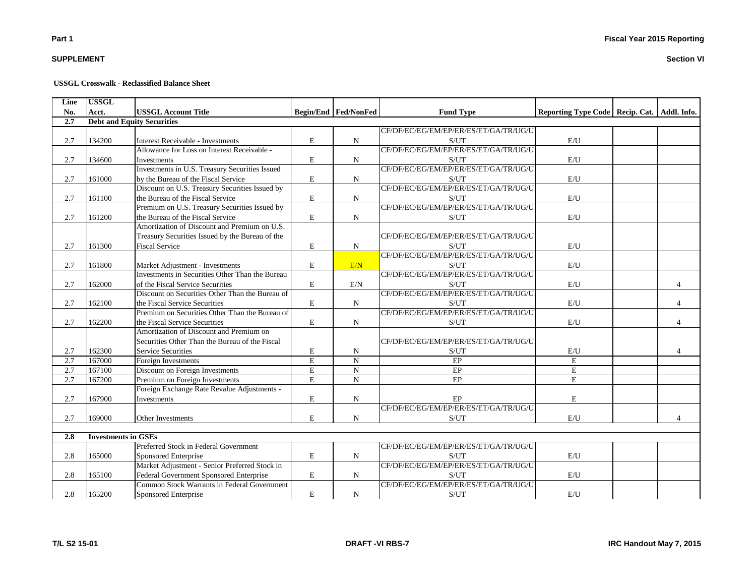## **SUPPLEMENT**

#### **USSGL Crosswalk - Reclassified Balance Sheet**

| Line | <b>USSGL</b>               |                                                 |                         |                      |                                       |                                                 |          |
|------|----------------------------|-------------------------------------------------|-------------------------|----------------------|---------------------------------------|-------------------------------------------------|----------|
| No.  | Acct.                      | <b>USSGL Account Title</b>                      |                         | Begin/End Fed/NonFed | <b>Fund Type</b>                      | Reporting Type Code   Recip. Cat.   Addl. Info. |          |
| 2.7  |                            | <b>Debt and Equity Securities</b>               |                         |                      |                                       |                                                 |          |
|      |                            |                                                 |                         |                      | CF/DF/EC/EG/EM/EP/ER/ES/ET/GA/TR/UG/U |                                                 |          |
| 2.7  | 134200                     | <b>Interest Receivable - Investments</b>        | $\mathbf E$             | N                    | S/UT                                  | E/U                                             |          |
|      |                            | Allowance for Loss on Interest Receivable -     |                         |                      | CF/DF/EC/EG/EM/EP/ER/ES/ET/GA/TR/UG/U |                                                 |          |
| 2.7  | 134600                     | Investments                                     | E                       | N                    | S/UT                                  | E/U                                             |          |
|      |                            | Investments in U.S. Treasury Securities Issued  |                         |                      | CF/DF/EC/EG/EM/EP/ER/ES/ET/GA/TR/UG/U |                                                 |          |
| 2.7  | 161000                     | by the Bureau of the Fiscal Service             | $\mathbf E$             | N                    | S/UT                                  | E/U                                             |          |
|      |                            | Discount on U.S. Treasury Securities Issued by  |                         |                      | CF/DF/EC/EG/EM/EP/ER/ES/ET/GA/TR/UG/U |                                                 |          |
| 2.7  | 161100                     | the Bureau of the Fiscal Service                | $\mathbf E$             | N                    | S/UT                                  | E/U                                             |          |
|      |                            | Premium on U.S. Treasury Securities Issued by   |                         |                      | CF/DF/EC/EG/EM/EP/ER/ES/ET/GA/TR/UG/U |                                                 |          |
| 2.7  | 161200                     | the Bureau of the Fiscal Service                | $\mathbf E$             | N                    | S/UT                                  | $\mathrm{E}/\mathrm{U}$                         |          |
|      |                            | Amortization of Discount and Premium on U.S.    |                         |                      |                                       |                                                 |          |
|      |                            | Treasury Securities Issued by the Bureau of the |                         |                      | CF/DF/EC/EG/EM/EP/ER/ES/ET/GA/TR/UG/U |                                                 |          |
| 2.7  | 161300                     | <b>Fiscal Service</b>                           | $\mathbf E$             | N                    | S/UT                                  | E/U                                             |          |
|      |                            |                                                 |                         |                      | CF/DF/EC/EG/EM/EP/ER/ES/ET/GA/TR/UG/U |                                                 |          |
| 2.7  | 161800                     | Market Adjustment - Investments                 | $\mathbf E$             | E/N                  | S/UT                                  | E/U                                             |          |
|      |                            | Investments in Securities Other Than the Bureau |                         |                      | CF/DF/EC/EG/EM/EP/ER/ES/ET/GA/TR/UG/U |                                                 |          |
| 2.7  | 162000                     | of the Fiscal Service Securities                | $\mathbf E$             | E/N                  | S/UT                                  | E/U                                             | $\Delta$ |
|      |                            | Discount on Securities Other Than the Bureau of |                         |                      | CF/DF/EC/EG/EM/EP/ER/ES/ET/GA/TR/UG/U |                                                 |          |
| 2.7  | 162100                     | the Fiscal Service Securities                   | $\mathbf E$             | N                    | S/UT                                  | $\mathrm{E}/\mathrm{U}$                         | 4        |
|      |                            | Premium on Securities Other Than the Bureau of  |                         |                      | CF/DF/EC/EG/EM/EP/ER/ES/ET/GA/TR/UG/U |                                                 |          |
| 2.7  | 162200                     | the Fiscal Service Securities                   | E                       | N                    | S/UT                                  | E/U                                             |          |
|      |                            | Amortization of Discount and Premium on         |                         |                      |                                       |                                                 |          |
|      |                            | Securities Other Than the Bureau of the Fiscal  |                         |                      | CF/DF/EC/EG/EM/EP/ER/ES/ET/GA/TR/UG/U |                                                 |          |
| 2.7  | 162300                     | <b>Service Securities</b>                       | $\mathbf E$             | N                    | S/UT                                  | E/U                                             |          |
| 2.7  | 167000                     | Foreign Investments                             | $\overline{\mathrm{E}}$ | ${\bf N}$            | EP                                    | $\mathbf E$                                     |          |
| 2.7  | 167100                     | Discount on Foreign Investments                 | $\overline{\mathrm{E}}$ | $\overline{N}$       | EP                                    | E                                               |          |
| 2.7  | 167200                     | Premium on Foreign Investments                  | $\overline{E}$          | $\overline{N}$       | EP                                    | $\mathbf E$                                     |          |
|      |                            | Foreign Exchange Rate Revalue Adjustments -     |                         |                      |                                       |                                                 |          |
| 2.7  | 167900                     | Investments                                     | E                       | ${\bf N}$            | EP                                    | E                                               |          |
|      |                            |                                                 |                         |                      | CF/DF/EC/EG/EM/EP/ER/ES/ET/GA/TR/UG/U |                                                 |          |
| 2.7  | 169000                     | Other Investments                               | E                       | N                    | S/UT                                  | E/U                                             | 4        |
|      |                            |                                                 |                         |                      |                                       |                                                 |          |
| 2.8  | <b>Investments in GSEs</b> |                                                 |                         |                      |                                       |                                                 |          |
|      |                            | Preferred Stock in Federal Government           |                         |                      | CF/DF/EC/EG/EM/EP/ER/ES/ET/GA/TR/UG/U |                                                 |          |
| 2.8  | 165000                     | Sponsored Enterprise                            | $\mathbf E$             | N                    | S/UT                                  | E/U                                             |          |
|      |                            | Market Adjustment - Senior Preferred Stock in   |                         |                      | CF/DF/EC/EG/EM/EP/ER/ES/ET/GA/TR/UG/U |                                                 |          |
| 2.8  | 165100                     | Federal Government Sponsored Enterprise         | E                       | N                    | S/UT                                  | E/U                                             |          |
|      |                            | Common Stock Warrants in Federal Government     |                         |                      | CF/DF/EC/EG/EM/EP/ER/ES/ET/GA/TR/UG/U |                                                 |          |
| 2.8  | 165200                     | Sponsored Enterprise                            | $\mathbf E$             | $\mathbf N$          | S/UT                                  | $\mathrm{E}/\mathrm{U}$                         |          |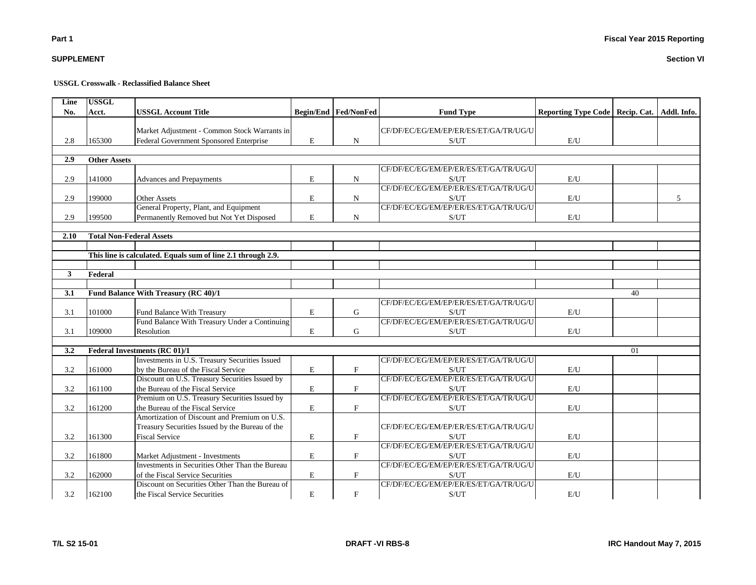### **Section VI**

## **USSGL Crosswalk - Reclassified Balance Sheet**

| <b>Begin/End Fed/NonFed</b><br>No.<br><b>USSGL Account Title</b><br>Addl. Info.<br>Acct.<br><b>Fund Type</b><br>Reporting Type Code   Recip. Cat.<br>Market Adjustment - Common Stock Warrants in<br>CF/DF/EC/EG/EM/EP/ER/ES/ET/GA/TR/UG/U<br>$\mathbf E$<br>2.8<br>165300<br>Federal Government Sponsored Enterprise<br>$\mathbf N$<br>E/U<br>S/UT<br>2.9<br><b>Other Assets</b><br>CF/DF/EC/EG/EM/EP/ER/ES/ET/GA/TR/UG/U<br>2.9<br>$\mathbf E$<br>$\mathbf N$<br>S/UT<br>141000<br>E/U<br>Advances and Prepayments<br>CF/DF/EC/EG/EM/EP/ER/ES/ET/GA/TR/UG/U<br>$\mathbf E$<br>2.9<br>199000<br><b>Other Assets</b><br>$\mathbf N$<br>S/UT<br>E/U<br>5<br>CF/DF/EC/EG/EM/EP/ER/ES/ET/GA/TR/UG/U<br>General Property, Plant, and Equipment<br>2.9<br>199500<br>Permanently Removed but Not Yet Disposed<br>E<br>$\mathbf N$<br>S/UT<br>E/U<br>2.10<br><b>Total Non-Federal Assets</b><br>This line is calculated. Equals sum of line 2.1 through 2.9.<br>3<br>Federal<br>Fund Balance With Treasury (RC 40)/1<br>3.1<br>40<br>CF/DF/EC/EG/EM/EP/ER/ES/ET/GA/TR/UG/U<br>$\mathbf E$<br>101000<br>3.1<br>Fund Balance With Treasury<br>G<br>S/UT<br>E/U<br>CF/DF/EC/EG/EM/EP/ER/ES/ET/GA/TR/UG/U<br>Fund Balance With Treasury Under a Continuing<br>$\mathbf E$<br>G<br>3.1<br>109000<br>Resolution<br>S/UT<br>E/U<br>3.2<br><b>Federal Investments (RC 01)/1</b><br>01<br>Investments in U.S. Treasury Securities Issued<br>CF/DF/EC/EG/EM/EP/ER/ES/ET/GA/TR/UG/U<br>E<br>$\mathbf{F}$<br>3.2<br>161000<br>by the Bureau of the Fiscal Service<br>S/UT<br>E/U<br>CF/DF/EC/EG/EM/EP/ER/ES/ET/GA/TR/UG/U<br>Discount on U.S. Treasury Securities Issued by<br>3.2<br>the Bureau of the Fiscal Service<br>$\mathbf E$<br>$\mathbf{F}$<br>161100<br>E/U<br>S/UT<br>Premium on U.S. Treasury Securities Issued by<br>CF/DF/EC/EG/EM/EP/ER/ES/ET/GA/TR/UG/U<br>$\mathbf E$<br>$\mathbf{F}$<br>3.2<br>161200<br>the Bureau of the Fiscal Service<br>E/U<br>S/UT<br>Amortization of Discount and Premium on U.S.<br>CF/DF/EC/EG/EM/EP/ER/ES/ET/GA/TR/UG/U<br>Treasury Securities Issued by the Bureau of the<br>$\mathbf E$<br>$\mathbf F$<br>3.2<br><b>Fiscal Service</b><br>$\mathbf{E}/\mathbf{U}$<br>161300<br>S/UT<br>CF/DF/EC/EG/EM/EP/ER/ES/ET/GA/TR/UG/U<br>$\mathbf E$<br>$\boldsymbol{\mathrm{F}}$<br>3.2<br>161800<br>S/UT<br>E/U<br>Market Adjustment - Investments<br>CF/DF/EC/EG/EM/EP/ER/ES/ET/GA/TR/UG/U<br>Investments in Securities Other Than the Bureau<br>3.2<br>$\mathbf E$<br>F<br>162000<br>of the Fiscal Service Securities<br>S/UT<br>E/U<br>CF/DF/EC/EG/EM/EP/ER/ES/ET/GA/TR/UG/U<br>Discount on Securities Other Than the Bureau of | Line | <b>USSGL</b> |                               |             |              |      |     |  |
|---------------------------------------------------------------------------------------------------------------------------------------------------------------------------------------------------------------------------------------------------------------------------------------------------------------------------------------------------------------------------------------------------------------------------------------------------------------------------------------------------------------------------------------------------------------------------------------------------------------------------------------------------------------------------------------------------------------------------------------------------------------------------------------------------------------------------------------------------------------------------------------------------------------------------------------------------------------------------------------------------------------------------------------------------------------------------------------------------------------------------------------------------------------------------------------------------------------------------------------------------------------------------------------------------------------------------------------------------------------------------------------------------------------------------------------------------------------------------------------------------------------------------------------------------------------------------------------------------------------------------------------------------------------------------------------------------------------------------------------------------------------------------------------------------------------------------------------------------------------------------------------------------------------------------------------------------------------------------------------------------------------------------------------------------------------------------------------------------------------------------------------------------------------------------------------------------------------------------------------------------------------------------------------------------------------------------------------------------------------------------------------------------------------------------------------------------------------------------------------------------------------------------------------------------------------------------------------------------------------------------------------------------------|------|--------------|-------------------------------|-------------|--------------|------|-----|--|
|                                                                                                                                                                                                                                                                                                                                                                                                                                                                                                                                                                                                                                                                                                                                                                                                                                                                                                                                                                                                                                                                                                                                                                                                                                                                                                                                                                                                                                                                                                                                                                                                                                                                                                                                                                                                                                                                                                                                                                                                                                                                                                                                                                                                                                                                                                                                                                                                                                                                                                                                                                                                                                                         |      |              |                               |             |              |      |     |  |
|                                                                                                                                                                                                                                                                                                                                                                                                                                                                                                                                                                                                                                                                                                                                                                                                                                                                                                                                                                                                                                                                                                                                                                                                                                                                                                                                                                                                                                                                                                                                                                                                                                                                                                                                                                                                                                                                                                                                                                                                                                                                                                                                                                                                                                                                                                                                                                                                                                                                                                                                                                                                                                                         |      |              |                               |             |              |      |     |  |
|                                                                                                                                                                                                                                                                                                                                                                                                                                                                                                                                                                                                                                                                                                                                                                                                                                                                                                                                                                                                                                                                                                                                                                                                                                                                                                                                                                                                                                                                                                                                                                                                                                                                                                                                                                                                                                                                                                                                                                                                                                                                                                                                                                                                                                                                                                                                                                                                                                                                                                                                                                                                                                                         |      |              |                               |             |              |      |     |  |
|                                                                                                                                                                                                                                                                                                                                                                                                                                                                                                                                                                                                                                                                                                                                                                                                                                                                                                                                                                                                                                                                                                                                                                                                                                                                                                                                                                                                                                                                                                                                                                                                                                                                                                                                                                                                                                                                                                                                                                                                                                                                                                                                                                                                                                                                                                                                                                                                                                                                                                                                                                                                                                                         |      |              |                               |             |              |      |     |  |
|                                                                                                                                                                                                                                                                                                                                                                                                                                                                                                                                                                                                                                                                                                                                                                                                                                                                                                                                                                                                                                                                                                                                                                                                                                                                                                                                                                                                                                                                                                                                                                                                                                                                                                                                                                                                                                                                                                                                                                                                                                                                                                                                                                                                                                                                                                                                                                                                                                                                                                                                                                                                                                                         |      |              |                               |             |              |      |     |  |
|                                                                                                                                                                                                                                                                                                                                                                                                                                                                                                                                                                                                                                                                                                                                                                                                                                                                                                                                                                                                                                                                                                                                                                                                                                                                                                                                                                                                                                                                                                                                                                                                                                                                                                                                                                                                                                                                                                                                                                                                                                                                                                                                                                                                                                                                                                                                                                                                                                                                                                                                                                                                                                                         |      |              |                               |             |              |      |     |  |
|                                                                                                                                                                                                                                                                                                                                                                                                                                                                                                                                                                                                                                                                                                                                                                                                                                                                                                                                                                                                                                                                                                                                                                                                                                                                                                                                                                                                                                                                                                                                                                                                                                                                                                                                                                                                                                                                                                                                                                                                                                                                                                                                                                                                                                                                                                                                                                                                                                                                                                                                                                                                                                                         |      |              |                               |             |              |      |     |  |
|                                                                                                                                                                                                                                                                                                                                                                                                                                                                                                                                                                                                                                                                                                                                                                                                                                                                                                                                                                                                                                                                                                                                                                                                                                                                                                                                                                                                                                                                                                                                                                                                                                                                                                                                                                                                                                                                                                                                                                                                                                                                                                                                                                                                                                                                                                                                                                                                                                                                                                                                                                                                                                                         |      |              |                               |             |              |      |     |  |
|                                                                                                                                                                                                                                                                                                                                                                                                                                                                                                                                                                                                                                                                                                                                                                                                                                                                                                                                                                                                                                                                                                                                                                                                                                                                                                                                                                                                                                                                                                                                                                                                                                                                                                                                                                                                                                                                                                                                                                                                                                                                                                                                                                                                                                                                                                                                                                                                                                                                                                                                                                                                                                                         |      |              |                               |             |              |      |     |  |
|                                                                                                                                                                                                                                                                                                                                                                                                                                                                                                                                                                                                                                                                                                                                                                                                                                                                                                                                                                                                                                                                                                                                                                                                                                                                                                                                                                                                                                                                                                                                                                                                                                                                                                                                                                                                                                                                                                                                                                                                                                                                                                                                                                                                                                                                                                                                                                                                                                                                                                                                                                                                                                                         |      |              |                               |             |              |      |     |  |
|                                                                                                                                                                                                                                                                                                                                                                                                                                                                                                                                                                                                                                                                                                                                                                                                                                                                                                                                                                                                                                                                                                                                                                                                                                                                                                                                                                                                                                                                                                                                                                                                                                                                                                                                                                                                                                                                                                                                                                                                                                                                                                                                                                                                                                                                                                                                                                                                                                                                                                                                                                                                                                                         |      |              |                               |             |              |      |     |  |
|                                                                                                                                                                                                                                                                                                                                                                                                                                                                                                                                                                                                                                                                                                                                                                                                                                                                                                                                                                                                                                                                                                                                                                                                                                                                                                                                                                                                                                                                                                                                                                                                                                                                                                                                                                                                                                                                                                                                                                                                                                                                                                                                                                                                                                                                                                                                                                                                                                                                                                                                                                                                                                                         |      |              |                               |             |              |      |     |  |
|                                                                                                                                                                                                                                                                                                                                                                                                                                                                                                                                                                                                                                                                                                                                                                                                                                                                                                                                                                                                                                                                                                                                                                                                                                                                                                                                                                                                                                                                                                                                                                                                                                                                                                                                                                                                                                                                                                                                                                                                                                                                                                                                                                                                                                                                                                                                                                                                                                                                                                                                                                                                                                                         |      |              |                               |             |              |      |     |  |
|                                                                                                                                                                                                                                                                                                                                                                                                                                                                                                                                                                                                                                                                                                                                                                                                                                                                                                                                                                                                                                                                                                                                                                                                                                                                                                                                                                                                                                                                                                                                                                                                                                                                                                                                                                                                                                                                                                                                                                                                                                                                                                                                                                                                                                                                                                                                                                                                                                                                                                                                                                                                                                                         |      |              |                               |             |              |      |     |  |
|                                                                                                                                                                                                                                                                                                                                                                                                                                                                                                                                                                                                                                                                                                                                                                                                                                                                                                                                                                                                                                                                                                                                                                                                                                                                                                                                                                                                                                                                                                                                                                                                                                                                                                                                                                                                                                                                                                                                                                                                                                                                                                                                                                                                                                                                                                                                                                                                                                                                                                                                                                                                                                                         |      |              |                               |             |              |      |     |  |
|                                                                                                                                                                                                                                                                                                                                                                                                                                                                                                                                                                                                                                                                                                                                                                                                                                                                                                                                                                                                                                                                                                                                                                                                                                                                                                                                                                                                                                                                                                                                                                                                                                                                                                                                                                                                                                                                                                                                                                                                                                                                                                                                                                                                                                                                                                                                                                                                                                                                                                                                                                                                                                                         |      |              |                               |             |              |      |     |  |
|                                                                                                                                                                                                                                                                                                                                                                                                                                                                                                                                                                                                                                                                                                                                                                                                                                                                                                                                                                                                                                                                                                                                                                                                                                                                                                                                                                                                                                                                                                                                                                                                                                                                                                                                                                                                                                                                                                                                                                                                                                                                                                                                                                                                                                                                                                                                                                                                                                                                                                                                                                                                                                                         |      |              |                               |             |              |      |     |  |
|                                                                                                                                                                                                                                                                                                                                                                                                                                                                                                                                                                                                                                                                                                                                                                                                                                                                                                                                                                                                                                                                                                                                                                                                                                                                                                                                                                                                                                                                                                                                                                                                                                                                                                                                                                                                                                                                                                                                                                                                                                                                                                                                                                                                                                                                                                                                                                                                                                                                                                                                                                                                                                                         |      |              |                               |             |              |      |     |  |
|                                                                                                                                                                                                                                                                                                                                                                                                                                                                                                                                                                                                                                                                                                                                                                                                                                                                                                                                                                                                                                                                                                                                                                                                                                                                                                                                                                                                                                                                                                                                                                                                                                                                                                                                                                                                                                                                                                                                                                                                                                                                                                                                                                                                                                                                                                                                                                                                                                                                                                                                                                                                                                                         |      |              |                               |             |              |      |     |  |
|                                                                                                                                                                                                                                                                                                                                                                                                                                                                                                                                                                                                                                                                                                                                                                                                                                                                                                                                                                                                                                                                                                                                                                                                                                                                                                                                                                                                                                                                                                                                                                                                                                                                                                                                                                                                                                                                                                                                                                                                                                                                                                                                                                                                                                                                                                                                                                                                                                                                                                                                                                                                                                                         |      |              |                               |             |              |      |     |  |
|                                                                                                                                                                                                                                                                                                                                                                                                                                                                                                                                                                                                                                                                                                                                                                                                                                                                                                                                                                                                                                                                                                                                                                                                                                                                                                                                                                                                                                                                                                                                                                                                                                                                                                                                                                                                                                                                                                                                                                                                                                                                                                                                                                                                                                                                                                                                                                                                                                                                                                                                                                                                                                                         |      |              |                               |             |              |      |     |  |
|                                                                                                                                                                                                                                                                                                                                                                                                                                                                                                                                                                                                                                                                                                                                                                                                                                                                                                                                                                                                                                                                                                                                                                                                                                                                                                                                                                                                                                                                                                                                                                                                                                                                                                                                                                                                                                                                                                                                                                                                                                                                                                                                                                                                                                                                                                                                                                                                                                                                                                                                                                                                                                                         |      |              |                               |             |              |      |     |  |
|                                                                                                                                                                                                                                                                                                                                                                                                                                                                                                                                                                                                                                                                                                                                                                                                                                                                                                                                                                                                                                                                                                                                                                                                                                                                                                                                                                                                                                                                                                                                                                                                                                                                                                                                                                                                                                                                                                                                                                                                                                                                                                                                                                                                                                                                                                                                                                                                                                                                                                                                                                                                                                                         |      |              |                               |             |              |      |     |  |
|                                                                                                                                                                                                                                                                                                                                                                                                                                                                                                                                                                                                                                                                                                                                                                                                                                                                                                                                                                                                                                                                                                                                                                                                                                                                                                                                                                                                                                                                                                                                                                                                                                                                                                                                                                                                                                                                                                                                                                                                                                                                                                                                                                                                                                                                                                                                                                                                                                                                                                                                                                                                                                                         |      |              |                               |             |              |      |     |  |
|                                                                                                                                                                                                                                                                                                                                                                                                                                                                                                                                                                                                                                                                                                                                                                                                                                                                                                                                                                                                                                                                                                                                                                                                                                                                                                                                                                                                                                                                                                                                                                                                                                                                                                                                                                                                                                                                                                                                                                                                                                                                                                                                                                                                                                                                                                                                                                                                                                                                                                                                                                                                                                                         |      |              |                               |             |              |      |     |  |
|                                                                                                                                                                                                                                                                                                                                                                                                                                                                                                                                                                                                                                                                                                                                                                                                                                                                                                                                                                                                                                                                                                                                                                                                                                                                                                                                                                                                                                                                                                                                                                                                                                                                                                                                                                                                                                                                                                                                                                                                                                                                                                                                                                                                                                                                                                                                                                                                                                                                                                                                                                                                                                                         |      |              |                               |             |              |      |     |  |
|                                                                                                                                                                                                                                                                                                                                                                                                                                                                                                                                                                                                                                                                                                                                                                                                                                                                                                                                                                                                                                                                                                                                                                                                                                                                                                                                                                                                                                                                                                                                                                                                                                                                                                                                                                                                                                                                                                                                                                                                                                                                                                                                                                                                                                                                                                                                                                                                                                                                                                                                                                                                                                                         |      |              |                               |             |              |      |     |  |
|                                                                                                                                                                                                                                                                                                                                                                                                                                                                                                                                                                                                                                                                                                                                                                                                                                                                                                                                                                                                                                                                                                                                                                                                                                                                                                                                                                                                                                                                                                                                                                                                                                                                                                                                                                                                                                                                                                                                                                                                                                                                                                                                                                                                                                                                                                                                                                                                                                                                                                                                                                                                                                                         |      |              |                               |             |              |      |     |  |
|                                                                                                                                                                                                                                                                                                                                                                                                                                                                                                                                                                                                                                                                                                                                                                                                                                                                                                                                                                                                                                                                                                                                                                                                                                                                                                                                                                                                                                                                                                                                                                                                                                                                                                                                                                                                                                                                                                                                                                                                                                                                                                                                                                                                                                                                                                                                                                                                                                                                                                                                                                                                                                                         |      |              |                               |             |              |      |     |  |
|                                                                                                                                                                                                                                                                                                                                                                                                                                                                                                                                                                                                                                                                                                                                                                                                                                                                                                                                                                                                                                                                                                                                                                                                                                                                                                                                                                                                                                                                                                                                                                                                                                                                                                                                                                                                                                                                                                                                                                                                                                                                                                                                                                                                                                                                                                                                                                                                                                                                                                                                                                                                                                                         |      |              |                               |             |              |      |     |  |
|                                                                                                                                                                                                                                                                                                                                                                                                                                                                                                                                                                                                                                                                                                                                                                                                                                                                                                                                                                                                                                                                                                                                                                                                                                                                                                                                                                                                                                                                                                                                                                                                                                                                                                                                                                                                                                                                                                                                                                                                                                                                                                                                                                                                                                                                                                                                                                                                                                                                                                                                                                                                                                                         |      |              |                               |             |              |      |     |  |
|                                                                                                                                                                                                                                                                                                                                                                                                                                                                                                                                                                                                                                                                                                                                                                                                                                                                                                                                                                                                                                                                                                                                                                                                                                                                                                                                                                                                                                                                                                                                                                                                                                                                                                                                                                                                                                                                                                                                                                                                                                                                                                                                                                                                                                                                                                                                                                                                                                                                                                                                                                                                                                                         |      |              |                               |             |              |      |     |  |
|                                                                                                                                                                                                                                                                                                                                                                                                                                                                                                                                                                                                                                                                                                                                                                                                                                                                                                                                                                                                                                                                                                                                                                                                                                                                                                                                                                                                                                                                                                                                                                                                                                                                                                                                                                                                                                                                                                                                                                                                                                                                                                                                                                                                                                                                                                                                                                                                                                                                                                                                                                                                                                                         |      |              |                               |             |              |      |     |  |
|                                                                                                                                                                                                                                                                                                                                                                                                                                                                                                                                                                                                                                                                                                                                                                                                                                                                                                                                                                                                                                                                                                                                                                                                                                                                                                                                                                                                                                                                                                                                                                                                                                                                                                                                                                                                                                                                                                                                                                                                                                                                                                                                                                                                                                                                                                                                                                                                                                                                                                                                                                                                                                                         |      |              |                               |             |              |      |     |  |
|                                                                                                                                                                                                                                                                                                                                                                                                                                                                                                                                                                                                                                                                                                                                                                                                                                                                                                                                                                                                                                                                                                                                                                                                                                                                                                                                                                                                                                                                                                                                                                                                                                                                                                                                                                                                                                                                                                                                                                                                                                                                                                                                                                                                                                                                                                                                                                                                                                                                                                                                                                                                                                                         |      |              |                               |             |              |      |     |  |
|                                                                                                                                                                                                                                                                                                                                                                                                                                                                                                                                                                                                                                                                                                                                                                                                                                                                                                                                                                                                                                                                                                                                                                                                                                                                                                                                                                                                                                                                                                                                                                                                                                                                                                                                                                                                                                                                                                                                                                                                                                                                                                                                                                                                                                                                                                                                                                                                                                                                                                                                                                                                                                                         |      |              |                               |             |              |      |     |  |
|                                                                                                                                                                                                                                                                                                                                                                                                                                                                                                                                                                                                                                                                                                                                                                                                                                                                                                                                                                                                                                                                                                                                                                                                                                                                                                                                                                                                                                                                                                                                                                                                                                                                                                                                                                                                                                                                                                                                                                                                                                                                                                                                                                                                                                                                                                                                                                                                                                                                                                                                                                                                                                                         |      |              |                               |             |              |      |     |  |
|                                                                                                                                                                                                                                                                                                                                                                                                                                                                                                                                                                                                                                                                                                                                                                                                                                                                                                                                                                                                                                                                                                                                                                                                                                                                                                                                                                                                                                                                                                                                                                                                                                                                                                                                                                                                                                                                                                                                                                                                                                                                                                                                                                                                                                                                                                                                                                                                                                                                                                                                                                                                                                                         |      |              |                               |             |              |      |     |  |
|                                                                                                                                                                                                                                                                                                                                                                                                                                                                                                                                                                                                                                                                                                                                                                                                                                                                                                                                                                                                                                                                                                                                                                                                                                                                                                                                                                                                                                                                                                                                                                                                                                                                                                                                                                                                                                                                                                                                                                                                                                                                                                                                                                                                                                                                                                                                                                                                                                                                                                                                                                                                                                                         |      |              |                               |             |              |      |     |  |
|                                                                                                                                                                                                                                                                                                                                                                                                                                                                                                                                                                                                                                                                                                                                                                                                                                                                                                                                                                                                                                                                                                                                                                                                                                                                                                                                                                                                                                                                                                                                                                                                                                                                                                                                                                                                                                                                                                                                                                                                                                                                                                                                                                                                                                                                                                                                                                                                                                                                                                                                                                                                                                                         | 3.2  | 162100       | the Fiscal Service Securities | $\mathbf E$ | $\mathbf{F}$ | S/UT | E/U |  |

**SUPPLEMENT**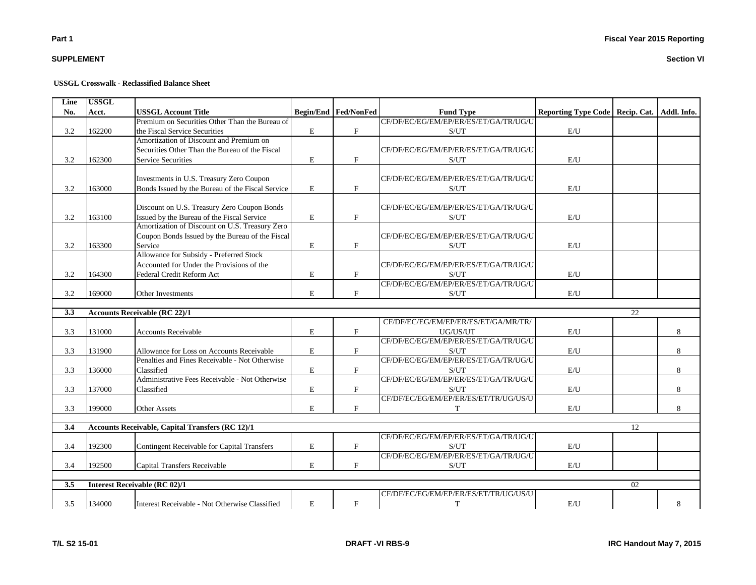## **SUPPLEMENT**

| Line | <b>USSGL</b> |                                                         |           |                           |                                       |                                                 |    |   |
|------|--------------|---------------------------------------------------------|-----------|---------------------------|---------------------------------------|-------------------------------------------------|----|---|
| No.  | Acct.        | <b>USSGL Account Title</b>                              |           | Begin/End Fed/NonFed      | <b>Fund Type</b>                      | Reporting Type Code   Recip. Cat.   Addl. Info. |    |   |
|      |              | Premium on Securities Other Than the Bureau of          |           |                           | CF/DF/EC/EG/EM/EP/ER/ES/ET/GA/TR/UG/U |                                                 |    |   |
| 3.2  | 162200       | the Fiscal Service Securities                           | E         | $\mathbf{F}$              | S/UT                                  | E/U                                             |    |   |
|      |              | Amortization of Discount and Premium on                 |           |                           |                                       |                                                 |    |   |
|      |              | Securities Other Than the Bureau of the Fiscal          |           |                           | CF/DF/EC/EG/EM/EP/ER/ES/ET/GA/TR/UG/U |                                                 |    |   |
| 3.2  | 162300       | <b>Service Securities</b>                               | E         | $\mathbf{F}$              | S/UT                                  | E/U                                             |    |   |
|      |              |                                                         |           |                           |                                       |                                                 |    |   |
|      |              | Investments in U.S. Treasury Zero Coupon                |           |                           | CF/DF/EC/EG/EM/EP/ER/ES/ET/GA/TR/UG/U |                                                 |    |   |
| 3.2  | 163000       | Bonds Issued by the Bureau of the Fiscal Service        | E         | $_{\rm F}$                | S/UT                                  | E/U                                             |    |   |
|      |              |                                                         |           |                           |                                       |                                                 |    |   |
|      |              | Discount on U.S. Treasury Zero Coupon Bonds             |           |                           | CF/DF/EC/EG/EM/EP/ER/ES/ET/GA/TR/UG/U |                                                 |    |   |
| 3.2  | 163100       | Issued by the Bureau of the Fiscal Service              | E         | $\mathbf{F}$              | S/UT                                  | E/U                                             |    |   |
|      |              | Amortization of Discount on U.S. Treasury Zero          |           |                           |                                       |                                                 |    |   |
|      |              | Coupon Bonds Issued by the Bureau of the Fiscal         |           |                           | CF/DF/EC/EG/EM/EP/ER/ES/ET/GA/TR/UG/U |                                                 |    |   |
| 3.2  | 163300       | Service                                                 | ${\bf E}$ | $\mathbf{F}$              | S/UT                                  | E/U                                             |    |   |
|      |              | Allowance for Subsidy - Preferred Stock                 |           |                           |                                       |                                                 |    |   |
|      |              | Accounted for Under the Provisions of the               |           |                           | CF/DF/EC/EG/EM/EP/ER/ES/ET/GA/TR/UG/U |                                                 |    |   |
| 3.2  | 164300       | Federal Credit Reform Act                               | E         | $\mathbf{F}$              | S/UT                                  | E/U                                             |    |   |
|      |              |                                                         |           |                           | CF/DF/EC/EG/EM/EP/ER/ES/ET/GA/TR/UG/U |                                                 |    |   |
| 3.2  | 169000       | Other Investments                                       | E         | $\mathbf{F}$              | S/UT                                  | E/U                                             |    |   |
|      |              |                                                         |           |                           |                                       |                                                 |    |   |
| 3.3  |              | <b>Accounts Receivable (RC 22)/1</b>                    |           |                           |                                       |                                                 | 22 |   |
|      |              |                                                         |           |                           | CF/DF/EC/EG/EM/EP/ER/ES/ET/GA/MR/TR/  |                                                 |    |   |
| 3.3  | 131000       | <b>Accounts Receivable</b>                              | E         | $\mathbf{F}$              | UG/US/UT                              | E/U                                             |    | 8 |
|      |              |                                                         |           |                           | CF/DF/EC/EG/EM/EP/ER/ES/ET/GA/TR/UG/U |                                                 |    |   |
| 3.3  | 131900       | Allowance for Loss on Accounts Receivable               | E         | $\mathbf{F}$              | S/UT                                  | E/U                                             |    | 8 |
|      |              | Penalties and Fines Receivable - Not Otherwise          |           |                           | CF/DF/EC/EG/EM/EP/ER/ES/ET/GA/TR/UG/U |                                                 |    |   |
| 3.3  | 136000       | Classified                                              | E         | $\mathbf{F}$              | S/UT                                  | E/U                                             |    | 8 |
|      |              | Administrative Fees Receivable - Not Otherwise          |           |                           | CF/DF/EC/EG/EM/EP/ER/ES/ET/GA/TR/UG/U |                                                 |    |   |
| 3.3  | 137000       | Classified                                              | E         | $\boldsymbol{\mathrm{F}}$ | S/UT                                  | E/U                                             |    | 8 |
|      |              |                                                         |           |                           | CF/DF/EC/EG/EM/EP/ER/ES/ET/TR/UG/US/U |                                                 |    |   |
| 3.3  | 199000       | <b>Other Assets</b>                                     | E         | $\mathbf{F}$              | T                                     | E/U                                             |    | 8 |
|      |              |                                                         |           |                           |                                       |                                                 |    |   |
| 3.4  |              | <b>Accounts Receivable, Capital Transfers (RC 12)/1</b> |           |                           |                                       |                                                 | 12 |   |
|      |              |                                                         |           |                           | CF/DF/EC/EG/EM/EP/ER/ES/ET/GA/TR/UG/U |                                                 |    |   |
| 3.4  | 192300       | Contingent Receivable for Capital Transfers             | E         | $\mathbf{F}$              | S/UT                                  | E/U                                             |    |   |
|      |              |                                                         |           |                           | CF/DF/EC/EG/EM/EP/ER/ES/ET/GA/TR/UG/U |                                                 |    |   |
| 3.4  | 192500       | Capital Transfers Receivable                            | E         | F                         | S/UT                                  | E/U                                             |    |   |
|      |              |                                                         |           |                           |                                       |                                                 |    |   |
| 3.5  |              | <b>Interest Receivable (RC 02)/1</b>                    |           |                           |                                       |                                                 | 02 |   |
|      |              |                                                         |           |                           | CF/DF/EC/EG/EM/EP/ER/ES/ET/TR/UG/US/U |                                                 |    |   |
| 3.5  | 134000       | Interest Receivable - Not Otherwise Classified          | E         | $\mathbf F$               | T                                     | E/U                                             |    | 8 |
|      |              |                                                         |           |                           |                                       |                                                 |    |   |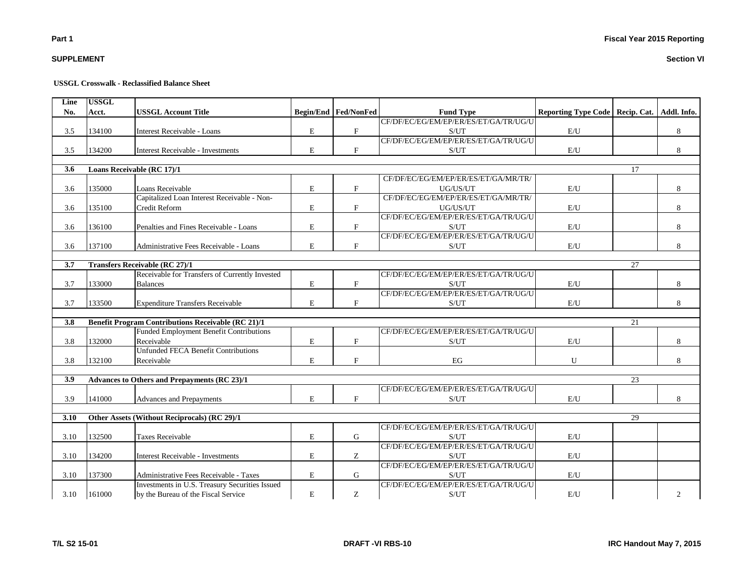**Section VI**

## **SUPPLEMENT**

## **USSGL Crosswalk - Reclassified Balance Sheet**

| Line             | <b>USSGL</b> |                                                           |             |                               |                                       |                                   |                 |                |
|------------------|--------------|-----------------------------------------------------------|-------------|-------------------------------|---------------------------------------|-----------------------------------|-----------------|----------------|
| No.              | Acct.        | <b>USSGL Account Title</b>                                |             | <b>Begin/End   Fed/NonFed</b> | <b>Fund Type</b>                      | Reporting Type Code   Recip. Cat. |                 | Addl. Info.    |
|                  |              |                                                           |             |                               | CF/DF/EC/EG/EM/EP/ER/ES/ET/GA/TR/UG/U |                                   |                 |                |
| 3.5              | 134100       | Interest Receivable - Loans                               | E           | $\mathbf F$                   | S/UT                                  | E/U                               |                 | 8              |
|                  | 134200       |                                                           |             |                               | CF/DF/EC/EG/EM/EP/ER/ES/ET/GA/TR/UG/U |                                   |                 |                |
| 3.5              |              | Interest Receivable - Investments                         | $\mathbf E$ | $\mathbf{F}$                  | S/UT                                  | E/U                               |                 | 8              |
| 3.6              |              | Loans Receivable (RC 17)/1                                |             |                               |                                       |                                   | 17              |                |
|                  |              |                                                           |             |                               | CF/DF/EC/EG/EM/EP/ER/ES/ET/GA/MR/TR/  |                                   |                 |                |
| 3.6              | 135000       | Loans Receivable                                          | $\mathbf E$ | $\boldsymbol{\mathrm{F}}$     | UG/US/UT                              | E/U                               |                 | 8              |
|                  |              | Capitalized Loan Interest Receivable - Non-               |             |                               | CF/DF/EC/EG/EM/EP/ER/ES/ET/GA/MR/TR/  |                                   |                 |                |
| 3.6              | 135100       | Credit Reform                                             | $\mathbf E$ | $\mathbf{F}$                  | UG/US/UT                              | E/U                               |                 | 8              |
|                  |              |                                                           |             |                               | CF/DF/EC/EG/EM/EP/ER/ES/ET/GA/TR/UG/U |                                   |                 |                |
| 3.6              | 136100       | Penalties and Fines Receivable - Loans                    | E           | $\mathbf F$                   | S/UT                                  | E/U                               |                 | 8              |
|                  |              |                                                           |             |                               | CF/DF/EC/EG/EM/EP/ER/ES/ET/GA/TR/UG/U |                                   |                 |                |
| 3.6              | 137100       | Administrative Fees Receivable - Loans                    | $\mathbf E$ | F                             | S/UT                                  | E/U                               |                 | 8              |
|                  |              |                                                           |             |                               |                                       |                                   |                 |                |
| 3.7              |              | <b>Transfers Receivable (RC 27)/1</b>                     |             |                               |                                       |                                   | 27              |                |
|                  |              | Receivable for Transfers of Currently Invested            |             |                               | CF/DF/EC/EG/EM/EP/ER/ES/ET/GA/TR/UG/U |                                   |                 |                |
| 3.7              | 133000       | <b>Balances</b>                                           | $\mathbf E$ | $\mathbf F$                   | S/UT                                  | E/U                               |                 | 8              |
|                  |              |                                                           |             |                               | CF/DF/EC/EG/EM/EP/ER/ES/ET/GA/TR/UG/U |                                   |                 |                |
| 3.7              | 133500       | <b>Expenditure Transfers Receivable</b>                   | E           | $\mathbf{F}$                  | S/UT                                  | $\mathrm{E}/\mathrm{U}$           |                 | 8              |
|                  |              |                                                           |             |                               |                                       |                                   |                 |                |
| 3.8              |              | <b>Benefit Program Contributions Receivable (RC 21)/1</b> |             |                               |                                       |                                   | 21              |                |
|                  |              | Funded Employment Benefit Contributions                   |             |                               | CF/DF/EC/EG/EM/EP/ER/ES/ET/GA/TR/UG/U |                                   |                 |                |
| 3.8              | 132000       | Receivable                                                | E           | $\mathbf{F}$                  | S/UT                                  | E/U                               |                 | 8              |
|                  |              | <b>Unfunded FECA Benefit Contributions</b>                |             |                               |                                       |                                   |                 |                |
| 3.8              | 132100       | Receivable                                                | E           | F                             | EG                                    | U                                 |                 | 8              |
|                  |              |                                                           |             |                               |                                       |                                   |                 |                |
| $\overline{3.9}$ |              | <b>Advances to Others and Prepayments (RC 23)/1</b>       |             |                               |                                       |                                   | $\overline{23}$ |                |
|                  |              |                                                           |             |                               | CF/DF/EC/EG/EM/EP/ER/ES/ET/GA/TR/UG/U |                                   |                 |                |
| 3.9              | 141000       | Advances and Prepayments                                  | $\mathbf E$ | F                             | S/UT                                  | E/U                               |                 | 8              |
|                  |              |                                                           |             |                               |                                       |                                   |                 |                |
| 3.10             |              | Other Assets (Without Reciprocals) (RC 29)/1              |             |                               |                                       |                                   | 29              |                |
|                  |              |                                                           |             |                               | CF/DF/EC/EG/EM/EP/ER/ES/ET/GA/TR/UG/U |                                   |                 |                |
| 3.10             | 132500       | <b>Taxes Receivable</b>                                   | E           | G                             | S/UT                                  | E/U                               |                 |                |
|                  |              |                                                           |             |                               | CF/DF/EC/EG/EM/EP/ER/ES/ET/GA/TR/UG/U |                                   |                 |                |
| 3.10             | 134200       | Interest Receivable - Investments                         | E           | Z                             | S/UT                                  | E/U                               |                 |                |
|                  |              |                                                           |             |                               | CF/DF/EC/EG/EM/EP/ER/ES/ET/GA/TR/UG/U |                                   |                 |                |
| 3.10             | 137300       | Administrative Fees Receivable - Taxes                    | $\mathbf E$ | G                             | S/UT                                  | $\mathrm{E}/\mathrm{U}$           |                 |                |
|                  |              | Investments in U.S. Treasury Securities Issued            |             |                               | CF/DF/EC/EG/EM/EP/ER/ES/ET/GA/TR/UG/U |                                   |                 |                |
| 3.10             | 161000       | by the Bureau of the Fiscal Service                       | $\mathbf E$ | Z                             | S/UT                                  | E/U                               |                 | $\overline{c}$ |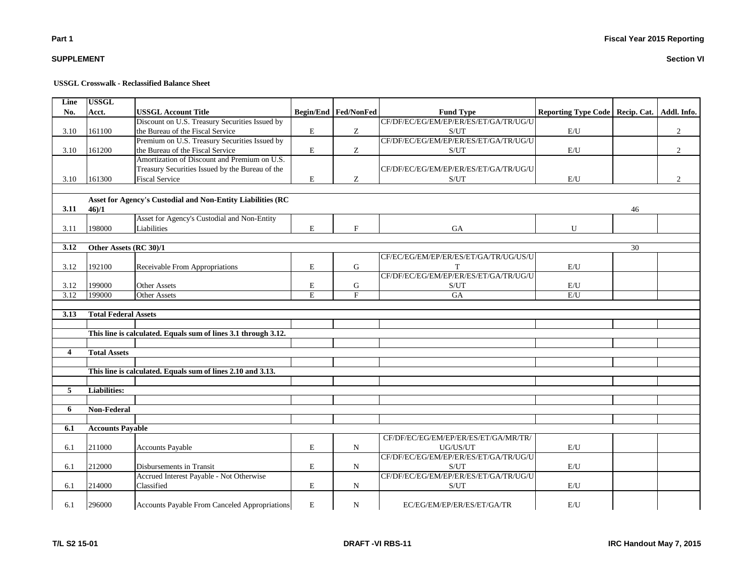## **SUPPLEMENT**

#### **USSGL Crosswalk - Reclassified Balance Sheet**

| Line           | <b>USSGL</b>                |                                                                |             |                      |                                                    |                                 |    |             |
|----------------|-----------------------------|----------------------------------------------------------------|-------------|----------------------|----------------------------------------------------|---------------------------------|----|-------------|
| No.            | Acct.                       | <b>USSGL Account Title</b>                                     |             | Begin/End Fed/NonFed | <b>Fund Type</b>                                   | Reporting Type Code Recip. Cat. |    | Addl. Info. |
|                |                             | Discount on U.S. Treasury Securities Issued by                 |             |                      | CF/DF/EC/EG/EM/EP/ER/ES/ET/GA/TR/UG/U              |                                 |    |             |
| 3.10           | 161100                      | the Bureau of the Fiscal Service                               | ${\bf E}$   | Z                    | $\ensuremath{\mathrm{S}}/\ensuremath{\mathrm{UT}}$ | $\mathbf{E}/\mathbf{U}$         |    | $\sqrt{2}$  |
|                |                             | Premium on U.S. Treasury Securities Issued by                  |             |                      | CF/DF/EC/EG/EM/EP/ER/ES/ET/GA/TR/UG/U              |                                 |    |             |
| 3.10           | 161200                      | the Bureau of the Fiscal Service                               | ${\bf E}$   | Z.                   | S/UT                                               | E/U                             |    | 2           |
|                |                             | Amortization of Discount and Premium on U.S.                   |             |                      |                                                    |                                 |    |             |
|                |                             | Treasury Securities Issued by the Bureau of the                |             |                      | CF/DF/EC/EG/EM/EP/ER/ES/ET/GA/TR/UG/U              |                                 |    |             |
| 3.10           | 161300                      | <b>Fiscal Service</b>                                          | E           | Ζ                    | S/UT                                               | E/U                             |    | 2           |
|                |                             |                                                                |             |                      |                                                    |                                 |    |             |
|                |                             | Asset for Agency's Custodial and Non-Entity Liabilities (RC    |             |                      |                                                    |                                 |    |             |
| 3.11           | 46/1                        |                                                                |             |                      |                                                    |                                 | 46 |             |
|                |                             | Asset for Agency's Custodial and Non-Entity                    |             |                      |                                                    |                                 |    |             |
| 3.11           | 198000                      | Liabilities                                                    | E           | $\mathbf{F}$         | GA                                                 | U                               |    |             |
|                |                             |                                                                |             |                      |                                                    |                                 |    |             |
| 3.12           | Other Assets (RC 30)/1      |                                                                |             |                      |                                                    |                                 | 30 |             |
|                |                             |                                                                |             |                      | CF/EC/EG/EM/EP/ER/ES/ET/GA/TR/UG/US/U              |                                 |    |             |
| 3.12           | 192100                      | Receivable From Appropriations                                 | ${\bf E}$   | $\mathbf G$          | T                                                  | $\mathrm{E}/\mathrm{U}$         |    |             |
|                |                             |                                                                |             |                      | CF/DF/EC/EG/EM/EP/ER/ES/ET/GA/TR/UG/U              |                                 |    |             |
| 3.12           | 199000                      | <b>Other Assets</b>                                            | ${\bf E}$   | G                    | S/UT                                               | E/U                             |    |             |
| 3.12           | 199000                      | <b>Other Assets</b>                                            | E           | F                    | <b>GA</b>                                          | E/U                             |    |             |
|                |                             |                                                                |             |                      |                                                    |                                 |    |             |
| 3.13           | <b>Total Federal Assets</b> |                                                                |             |                      |                                                    |                                 |    |             |
|                |                             |                                                                |             |                      |                                                    |                                 |    |             |
|                |                             | This line is calculated. Equals sum of lines 3.1 through 3.12. |             |                      |                                                    |                                 |    |             |
|                |                             |                                                                |             |                      |                                                    |                                 |    |             |
| $\overline{4}$ | <b>Total Assets</b>         |                                                                |             |                      |                                                    |                                 |    |             |
|                |                             |                                                                |             |                      |                                                    |                                 |    |             |
|                |                             | This line is calculated. Equals sum of lines 2.10 and 3.13.    |             |                      |                                                    |                                 |    |             |
|                |                             |                                                                |             |                      |                                                    |                                 |    |             |
| 5              | <b>Liabilities:</b>         |                                                                |             |                      |                                                    |                                 |    |             |
|                |                             |                                                                |             |                      |                                                    |                                 |    |             |
| 6              | Non-Federal                 |                                                                |             |                      |                                                    |                                 |    |             |
|                |                             |                                                                |             |                      |                                                    |                                 |    |             |
| 6.1            | <b>Accounts Payable</b>     |                                                                |             |                      |                                                    |                                 |    |             |
|                |                             |                                                                |             |                      | CF/DF/EC/EG/EM/EP/ER/ES/ET/GA/MR/TR/               |                                 |    |             |
| 6.1            | 211000                      | <b>Accounts Payable</b>                                        | $\mathbf E$ | $\mathbf N$          | UG/US/UT                                           | E/U                             |    |             |
|                |                             |                                                                |             |                      | CF/DF/EC/EG/EM/EP/ER/ES/ET/GA/TR/UG/U              |                                 |    |             |
| 6.1            | 212000                      | Disbursements in Transit                                       | E           | $\mathbf N$          | $\ensuremath{\mathrm{S}}/\ensuremath{\mathrm{UT}}$ | E/U                             |    |             |
|                |                             | Accrued Interest Payable - Not Otherwise                       |             |                      | CF/DF/EC/EG/EM/EP/ER/ES/ET/GA/TR/UG/U              |                                 |    |             |
| 6.1            | 214000                      | Classified                                                     | ${\bf E}$   | $\mathbf N$          | $\ensuremath{\mathrm{S}}/\ensuremath{\mathrm{UT}}$ | $\mathbf{E}/\mathbf{U}$         |    |             |
|                |                             |                                                                |             |                      |                                                    |                                 |    |             |
| 6.1            | 296000                      | Accounts Payable From Canceled Appropriations                  | $\mathbf E$ | $\mathbf N$          | EC/EG/EM/EP/ER/ES/ET/GA/TR                         | E/U                             |    |             |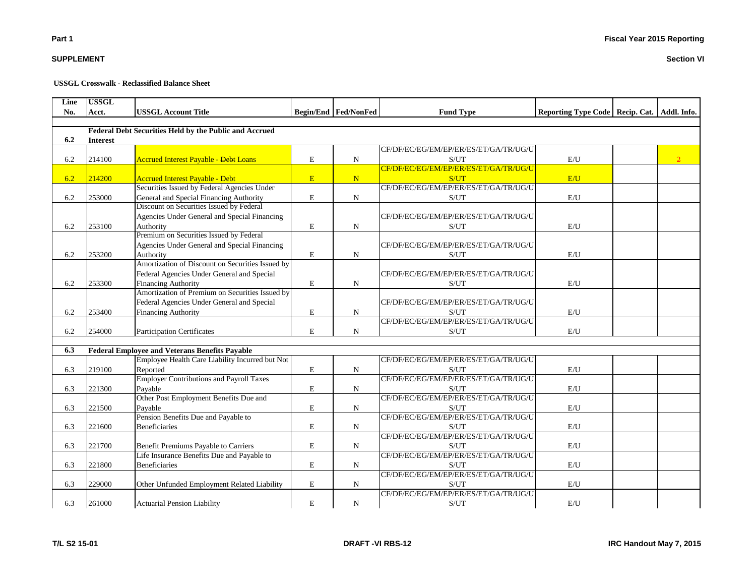#### **Line No. Acct. USSGL Account Title Begin/End Fed/NonFed Fund Type Reporting Type Code Recip. Cat. Addl. Info.**

|     |                 | <b>Federal Debt Securities Held by the Public and Accrued</b> |             |             |                                               |                         |                |
|-----|-----------------|---------------------------------------------------------------|-------------|-------------|-----------------------------------------------|-------------------------|----------------|
| 6.2 | <b>Interest</b> |                                                               |             |             |                                               |                         |                |
|     |                 |                                                               |             |             | CF/DF/EC/EG/EM/EP/ER/ES/ET/GA/TR/UG/U         |                         |                |
| 6.2 | 214100          | <b>Accrued Interest Payable - Debt Loans</b>                  | E           | $\mathbf N$ | S/UT                                          | E/U                     | $\overline{2}$ |
|     |                 |                                                               |             |             | CF/DF/EC/EG/EM/EP/ER/ES/ET/GA/TR/UG/U         |                         |                |
| 6.2 | 214200          | <b>Accrued Interest Payable - Debt</b>                        | E           | N           | S/UT                                          | E/U                     |                |
|     |                 | Securities Issued by Federal Agencies Under                   |             |             | CF/DF/EC/EG/EM/EP/ER/ES/ET/GA/TR/UG/U         |                         |                |
| 6.2 | 253000          | General and Special Financing Authority                       | E           | $\mathbf N$ | S/UT                                          | E/U                     |                |
|     |                 | Discount on Securities Issued by Federal                      |             |             |                                               |                         |                |
|     |                 | Agencies Under General and Special Financing                  |             |             | CF/DF/EC/EG/EM/EP/ER/ES/ET/GA/TR/UG/U         |                         |                |
| 6.2 | 253100          | Authority                                                     | E           | $\mathbf N$ | S/UT                                          | E/U                     |                |
|     |                 | Premium on Securities Issued by Federal                       |             |             |                                               |                         |                |
|     |                 | Agencies Under General and Special Financing                  |             |             | CF/DF/EC/EG/EM/EP/ER/ES/ET/GA/TR/UG/U         |                         |                |
| 6.2 | 253200          | Authority                                                     | $\mathbf E$ | $\mathbf N$ | S/UT                                          | E/U                     |                |
|     |                 | Amortization of Discount on Securities Issued by              |             |             |                                               |                         |                |
|     |                 | Federal Agencies Under General and Special                    |             |             | CF/DF/EC/EG/EM/EP/ER/ES/ET/GA/TR/UG/U         |                         |                |
| 6.2 | 253300          | <b>Financing Authority</b>                                    | $\mathbf E$ | $\mathbf N$ | S/UT                                          | E/U                     |                |
|     |                 | Amortization of Premium on Securities Issued by               |             |             |                                               |                         |                |
|     |                 | Federal Agencies Under General and Special                    |             |             | CF/DF/EC/EG/EM/EP/ER/ES/ET/GA/TR/UG/U         |                         |                |
| 6.2 | 253400          |                                                               | $\mathbf E$ | $\mathbf N$ |                                               | E/U                     |                |
|     |                 | <b>Financing Authority</b>                                    |             |             | S/UT<br>CF/DF/EC/EG/EM/EP/ER/ES/ET/GA/TR/UG/U |                         |                |
|     |                 |                                                               |             |             |                                               |                         |                |
| 6.2 | 254000          | <b>Participation Certificates</b>                             | E           | $\mathbf N$ | S/UT                                          | E/U                     |                |
|     |                 |                                                               |             |             |                                               |                         |                |
| 6.3 |                 | <b>Federal Employee and Veterans Benefits Payable</b>         |             |             |                                               |                         |                |
|     |                 | Employee Health Care Liability Incurred but Not               |             |             | CF/DF/EC/EG/EM/EP/ER/ES/ET/GA/TR/UG/U         |                         |                |
| 6.3 | 219100          | Reported                                                      | $\mathbf E$ | ${\bf N}$   | S/UT                                          | E/U                     |                |
|     |                 | <b>Employer Contributions and Payroll Taxes</b>               |             |             | CF/DF/EC/EG/EM/EP/ER/ES/ET/GA/TR/UG/U         |                         |                |
| 6.3 | 221300          | Pavable                                                       | E           | $\mathbf N$ | S/UT                                          | E/U                     |                |
|     |                 | Other Post Employment Benefits Due and                        |             |             | CF/DF/EC/EG/EM/EP/ER/ES/ET/GA/TR/UG/U         |                         |                |
| 6.3 | 221500          | Payable                                                       | E           | $\mathbf N$ | S/UT                                          | E/U                     |                |
|     |                 | Pension Benefits Due and Payable to                           |             |             | CF/DF/EC/EG/EM/EP/ER/ES/ET/GA/TR/UG/U         |                         |                |
| 6.3 | 221600          | <b>Beneficiaries</b>                                          | E           | $\mathbf N$ | S/UT                                          | E/U                     |                |
|     |                 |                                                               |             |             | CF/DF/EC/EG/EM/EP/ER/ES/ET/GA/TR/UG/U         |                         |                |
| 6.3 | 221700          | Benefit Premiums Payable to Carriers                          | $\mathbf E$ | $\mathbf N$ | S/UT                                          | E/U                     |                |
|     |                 | Life Insurance Benefits Due and Payable to                    |             |             | CF/DF/EC/EG/EM/EP/ER/ES/ET/GA/TR/UG/U         |                         |                |
| 6.3 | 221800          | <b>Beneficiaries</b>                                          | $\mathbf E$ | $\mathbf N$ | S/UT                                          | $\mathrm{E}/\mathrm{U}$ |                |
|     |                 |                                                               |             |             | CF/DF/EC/EG/EM/EP/ER/ES/ET/GA/TR/UG/U         |                         |                |
| 6.3 | 229000          | Other Unfunded Employment Related Liability                   | E           | $\mathbf N$ | S/UT                                          | $\mathrm{E}/\mathrm{U}$ |                |
|     |                 |                                                               |             |             | CF/DF/EC/EG/EM/EP/ER/ES/ET/GA/TR/UG/U         |                         |                |
| 6.3 | 261000          | <b>Actuarial Pension Liability</b>                            | E           | $\mathbf N$ | S/UT                                          | E/U                     |                |

**USSGL**

# **SUPPLEMENT**

**Part 1**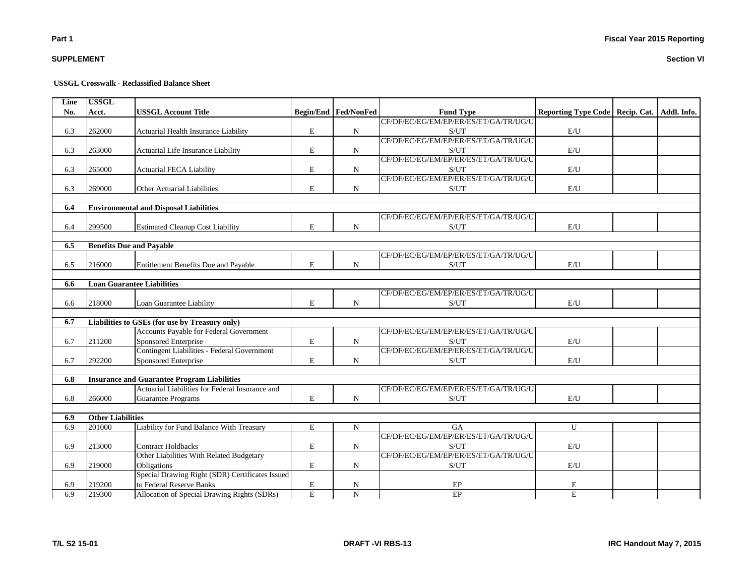## **Fiscal Year 2015 Reporting**

## **SUPPLEMENT**

#### **USSGL Crosswalk - Reclassified Balance Sheet**

| Line | <b>USSGL</b>             |                                                    |                |                             |                                       |                                   |             |
|------|--------------------------|----------------------------------------------------|----------------|-----------------------------|---------------------------------------|-----------------------------------|-------------|
| No.  | Acct.                    | <b>USSGL Account Title</b>                         |                | <b>Begin/End Fed/NonFed</b> | <b>Fund Type</b>                      | Reporting Type Code   Recip. Cat. | Addl. Info. |
|      |                          |                                                    |                |                             | CF/DF/EC/EG/EM/EP/ER/ES/ET/GA/TR/UG/U |                                   |             |
| 6.3  | 262000                   | Actuarial Health Insurance Liability               | E              | $\mathbf N$                 | S/UT                                  | $\mathrm{E}/\mathrm{U}$           |             |
|      |                          |                                                    |                |                             | CF/DF/EC/EG/EM/EP/ER/ES/ET/GA/TR/UG/U |                                   |             |
| 6.3  | 263000                   | Actuarial Life Insurance Liability                 | E              | N                           | S/UT                                  | $\mathrm{E}/\mathrm{U}$           |             |
|      |                          |                                                    |                |                             | CF/DF/EC/EG/EM/EP/ER/ES/ET/GA/TR/UG/U |                                   |             |
| 6.3  | 265000                   | <b>Actuarial FECA Liability</b>                    | E              | N                           | S/UT                                  | $\mathrm{E}/\mathrm{U}$           |             |
|      |                          |                                                    |                |                             | CF/DF/EC/EG/EM/EP/ER/ES/ET/GA/TR/UG/U |                                   |             |
| 6.3  | 269000                   | Other Actuarial Liabilities                        | E              | N                           | S/UT                                  | E/U                               |             |
|      |                          |                                                    |                |                             |                                       |                                   |             |
| 6.4  |                          | <b>Environmental and Disposal Liabilities</b>      |                |                             |                                       |                                   |             |
|      |                          |                                                    |                |                             | CF/DF/EC/EG/EM/EP/ER/ES/ET/GA/TR/UG/U |                                   |             |
| 6.4  | 299500                   | <b>Estimated Cleanup Cost Liability</b>            | E              | $\mathbf N$                 | S/UT                                  | E/U                               |             |
| 6.5  |                          | <b>Benefits Due and Payable</b>                    |                |                             |                                       |                                   |             |
|      |                          |                                                    |                |                             | CF/DF/EC/EG/EM/EP/ER/ES/ET/GA/TR/UG/U |                                   |             |
| 6.5  | 216000                   | <b>Entitlement Benefits Due and Payable</b>        | E              | $\mathbf N$                 | S/UT                                  | E/U                               |             |
|      |                          |                                                    |                |                             |                                       |                                   |             |
| 6.6  |                          | <b>Loan Guarantee Liabilities</b>                  |                |                             |                                       |                                   |             |
|      |                          |                                                    |                |                             | CF/DF/EC/EG/EM/EP/ER/ES/ET/GA/TR/UG/U |                                   |             |
| 6.6  | 218000                   | Loan Guarantee Liability                           | E              | N                           | S/UT                                  | E/U                               |             |
|      |                          |                                                    |                |                             |                                       |                                   |             |
| 6.7  |                          | Liabilities to GSEs (for use by Treasury only)     |                |                             |                                       |                                   |             |
|      |                          | Accounts Payable for Federal Government            |                |                             | CF/DF/EC/EG/EM/EP/ER/ES/ET/GA/TR/UG/U |                                   |             |
| 6.7  | 211200                   | Sponsored Enterprise                               | E              | N                           | S/UT                                  | E/U                               |             |
|      |                          | Contingent Liabilities - Federal Government        |                |                             | CF/DF/EC/EG/EM/EP/ER/ES/ET/GA/TR/UG/U |                                   |             |
| 6.7  | 292200                   | Sponsored Enterprise                               | E              | N                           | S/UT                                  | E/U                               |             |
|      |                          |                                                    |                |                             |                                       |                                   |             |
| 6.8  |                          | <b>Insurance and Guarantee Program Liabilities</b> |                |                             |                                       |                                   |             |
|      |                          | Actuarial Liabilities for Federal Insurance and    |                |                             | CF/DF/EC/EG/EM/EP/ER/ES/ET/GA/TR/UG/U |                                   |             |
| 6.8  | 266000                   | <b>Guarantee Programs</b>                          | E              | $\mathbf N$                 | S/UT                                  | E/U                               |             |
| 6.9  | <b>Other Liabilities</b> |                                                    |                |                             |                                       |                                   |             |
| 6.9  | 201000                   | Liability for Fund Balance With Treasury           | $\mathbf E$    | $\mathbf N$                 | <b>GA</b>                             | $\overline{U}$                    |             |
|      |                          |                                                    |                |                             | CF/DF/EC/EG/EM/EP/ER/ES/ET/GA/TR/UG/U |                                   |             |
| 6.9  | 213000                   | <b>Contract Holdbacks</b>                          | E              | N                           | S/UT                                  | E/U                               |             |
|      |                          | Other Liabilities With Related Budgetary           |                |                             | CF/DF/EC/EG/EM/EP/ER/ES/ET/GA/TR/UG/U |                                   |             |
| 6.9  | 219000                   | Obligations                                        | $\mathbf E$    | ${\bf N}$                   | S/UT                                  | E/U                               |             |
|      |                          | Special Drawing Right (SDR) Certificates Issued    |                |                             |                                       |                                   |             |
| 6.9  | 219200                   | to Federal Reserve Banks                           | $\mathbf E$    | N                           | EP                                    | E                                 |             |
| 6.9  | 219300                   | Allocation of Special Drawing Rights (SDRs)        | $\overline{E}$ | $\overline{N}$              | EP                                    | $\overline{E}$                    |             |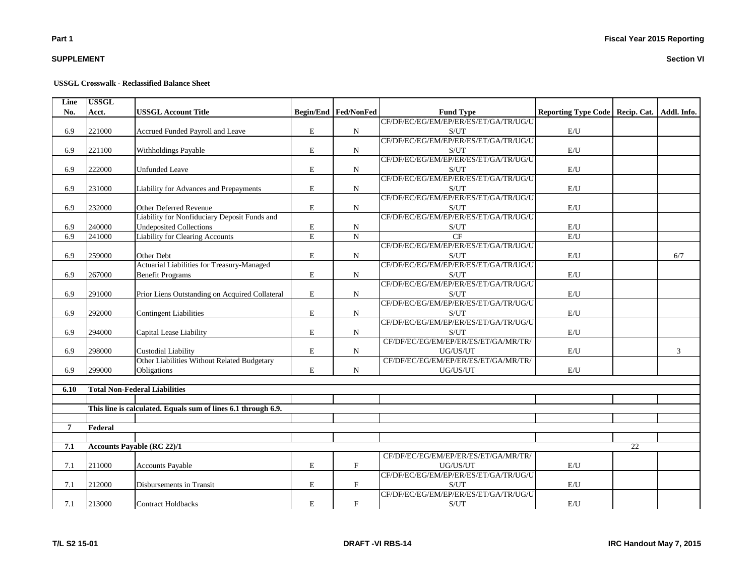## **SUPPLEMENT**

#### **USSGL Crosswalk - Reclassified Balance Sheet**

| Line           | <b>USSGL</b> |                                                               |                         |                      |                                       |                            |             |             |
|----------------|--------------|---------------------------------------------------------------|-------------------------|----------------------|---------------------------------------|----------------------------|-------------|-------------|
| No.            | Acct.        | <b>USSGL Account Title</b>                                    |                         | Begin/End Fed/NonFed | <b>Fund Type</b>                      | <b>Reporting Type Code</b> | Recip. Cat. | Addl. Info. |
|                |              |                                                               |                         |                      | CF/DF/EC/EG/EM/EP/ER/ES/ET/GA/TR/UG/U |                            |             |             |
| 6.9            | 221000       | Accrued Funded Payroll and Leave                              | $\mathbf E$             | $\mathbf N$          | S/UT                                  | E/U                        |             |             |
|                |              |                                                               |                         |                      | CF/DF/EC/EG/EM/EP/ER/ES/ET/GA/TR/UG/U |                            |             |             |
| 6.9            | 221100       | <b>Withholdings Payable</b>                                   | E                       | $\mathbf N$          | S/UT                                  | E/U                        |             |             |
|                |              |                                                               |                         |                      | CF/DF/EC/EG/EM/EP/ER/ES/ET/GA/TR/UG/U |                            |             |             |
| 6.9            | 222000       | <b>Unfunded Leave</b>                                         | ${\bf E}$               | $\mathbf N$          | S/UT                                  | E/U                        |             |             |
|                |              |                                                               |                         |                      | CF/DF/EC/EG/EM/EP/ER/ES/ET/GA/TR/UG/U |                            |             |             |
| 6.9            | 231000       | Liability for Advances and Prepayments                        | E                       | $\mathbf N$          | S/UT                                  | E/U                        |             |             |
|                |              |                                                               |                         |                      | CF/DF/EC/EG/EM/EP/ER/ES/ET/GA/TR/UG/U |                            |             |             |
| 6.9            | 232000       | Other Deferred Revenue                                        | E                       | ${\bf N}$            | S/UT                                  | $\mathbf{E}/\mathbf{U}$    |             |             |
|                |              | Liability for Nonfiduciary Deposit Funds and                  |                         |                      | CF/DF/EC/EG/EM/EP/ER/ES/ET/GA/TR/UG/U |                            |             |             |
| 6.9            | 240000       | <b>Undeposited Collections</b>                                | E                       | N                    | S/UT                                  | E/U                        |             |             |
| 6.9            | 241000       | <b>Liability for Clearing Accounts</b>                        | $\overline{\mathrm{E}}$ | $\overline{N}$       | CF                                    | E/U                        |             |             |
|                |              |                                                               |                         |                      | CF/DF/EC/EG/EM/EP/ER/ES/ET/GA/TR/UG/U |                            |             |             |
| 6.9            | 259000       | Other Debt                                                    | $\mathbf E$             | $\mathbf N$          | S/UT                                  | E/U                        |             | 6/7         |
|                |              | Actuarial Liabilities for Treasury-Managed                    |                         |                      | CF/DF/EC/EG/EM/EP/ER/ES/ET/GA/TR/UG/U |                            |             |             |
| 6.9            | 267000       | <b>Benefit Programs</b>                                       | E                       | $\mathbf N$          | S/UT                                  | E/U                        |             |             |
|                |              |                                                               |                         |                      | CF/DF/EC/EG/EM/EP/ER/ES/ET/GA/TR/UG/U |                            |             |             |
| 6.9            | 291000       | Prior Liens Outstanding on Acquired Collateral                | E                       | $\mathbf N$          | S/UT                                  | E/U                        |             |             |
|                |              |                                                               |                         |                      | CF/DF/EC/EG/EM/EP/ER/ES/ET/GA/TR/UG/U |                            |             |             |
| 6.9            | 292000       | <b>Contingent Liabilities</b>                                 | ${\bf E}$               | $\mathbf N$          | S/UT                                  | E/U                        |             |             |
|                |              |                                                               |                         |                      | CF/DF/EC/EG/EM/EP/ER/ES/ET/GA/TR/UG/U |                            |             |             |
| 6.9            | 294000       | Capital Lease Liability                                       | E                       | $\mathbf N$          | S/UT                                  | E/U                        |             |             |
|                |              |                                                               |                         |                      | CF/DF/EC/EG/EM/EP/ER/ES/ET/GA/MR/TR/  |                            |             |             |
| 6.9            | 298000       | <b>Custodial Liability</b>                                    | E                       | N                    | UG/US/UT                              | E/U                        |             | 3           |
|                |              | Other Liabilities Without Related Budgetary                   |                         |                      | CF/DF/EC/EG/EM/EP/ER/ES/ET/GA/MR/TR/  |                            |             |             |
| 6.9            | 299000       | Obligations                                                   | E                       | ${\bf N}$            | $UG/US/UT$                            | $\mathbf{E}/\mathbf{U}$    |             |             |
|                |              |                                                               |                         |                      |                                       |                            |             |             |
| 6.10           |              | <b>Total Non-Federal Liabilities</b>                          |                         |                      |                                       |                            |             |             |
|                |              |                                                               |                         |                      |                                       |                            |             |             |
|                |              | This line is calculated. Equals sum of lines 6.1 through 6.9. |                         |                      |                                       |                            |             |             |
|                |              |                                                               |                         |                      |                                       |                            |             |             |
| $\overline{7}$ | Federal      |                                                               |                         |                      |                                       |                            |             |             |
|                |              |                                                               |                         |                      |                                       |                            |             |             |
| 7.1            |              | <b>Accounts Payable (RC 22)/1</b>                             |                         |                      |                                       |                            | 22          |             |
|                |              |                                                               |                         |                      | CF/DF/EC/EG/EM/EP/ER/ES/ET/GA/MR/TR/  |                            |             |             |
| 7.1            | 211000       | <b>Accounts Payable</b>                                       | E                       | $\mathbf{F}$         | UG/US/UT                              | E/U                        |             |             |
|                |              |                                                               |                         |                      | CF/DF/EC/EG/EM/EP/ER/ES/ET/GA/TR/UG/U |                            |             |             |
| 7.1            | 212000       | Disbursements in Transit                                      | E                       | $\mathbf F$          | S/UT                                  | E/U                        |             |             |
|                |              |                                                               |                         |                      | CF/DF/EC/EG/EM/EP/ER/ES/ET/GA/TR/UG/U |                            |             |             |
| 7.1            | 213000       | <b>Contract Holdbacks</b>                                     | ${\bf E}$               | $\mathbf F$          | S/UT                                  | E/U                        |             |             |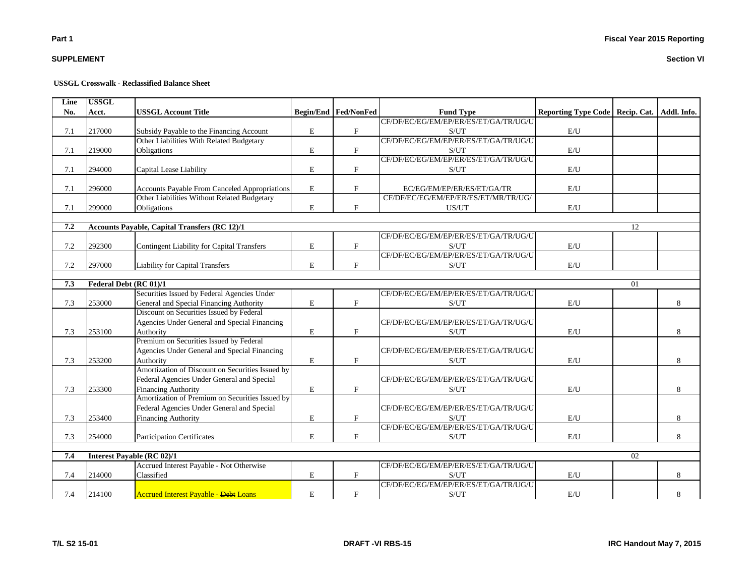## **SUPPLEMENT**

#### **USSGL Crosswalk - Reclassified Balance Sheet**

| Line    | <b>USSGL</b> |                                                      |             |                             |                                       |                            |             |             |
|---------|--------------|------------------------------------------------------|-------------|-----------------------------|---------------------------------------|----------------------------|-------------|-------------|
| No.     | Acct.        | <b>USSGL Account Title</b>                           |             | <b>Begin/End Fed/NonFed</b> | <b>Fund Type</b>                      | <b>Reporting Type Code</b> | Recip. Cat. | Addl. Info. |
|         |              |                                                      |             |                             | CF/DF/EC/EG/EM/EP/ER/ES/ET/GA/TR/UG/U |                            |             |             |
| 7.1     | 217000       | Subsidy Payable to the Financing Account             | E           | $\mathbf F$                 | S/UT                                  | E/U                        |             |             |
|         |              | Other Liabilities With Related Budgetary             |             |                             | CF/DF/EC/EG/EM/EP/ER/ES/ET/GA/TR/UG/U |                            |             |             |
| 7.1     | 219000       | Obligations                                          | $\bf E$     | $\mathbf{F}$                | S/UT                                  | E/U                        |             |             |
|         |              |                                                      |             |                             | CF/DF/EC/EG/EM/EP/ER/ES/ET/GA/TR/UG/U |                            |             |             |
| 7.1     | 294000       | Capital Lease Liability                              | $\mathbf E$ | $_{\rm F}$                  | S/UT                                  | E/U                        |             |             |
|         |              |                                                      |             |                             |                                       |                            |             |             |
| 7.1     | 296000       | Accounts Payable From Canceled Appropriations        | $\bf E$     | $\mathbf{F}$                | EC/EG/EM/EP/ER/ES/ET/GA/TR            | E/U                        |             |             |
|         |              | Other Liabilities Without Related Budgetary          |             |                             | CF/DF/EC/EG/EM/EP/ER/ES/ET/MR/TR/UG/  |                            |             |             |
| 7.1     | 299000       | Obligations                                          | E           | $\mathbf{F}$                | US/UT                                 | E/U                        |             |             |
|         |              |                                                      |             |                             |                                       |                            |             |             |
| 7.2     |              | <b>Accounts Payable, Capital Transfers (RC 12)/1</b> |             |                             |                                       |                            | 12          |             |
|         |              |                                                      |             |                             | CF/DF/EC/EG/EM/EP/ER/ES/ET/GA/TR/UG/U |                            |             |             |
| $7.2\,$ | 292300       | Contingent Liability for Capital Transfers           | E           | $\mathbf F$                 | S/UT                                  | $\mathrm{E}/\mathrm{U}$    |             |             |
|         |              |                                                      |             |                             | CF/DF/EC/EG/EM/EP/ER/ES/ET/GA/TR/UG/U |                            |             |             |
| 7.2     | 297000       | <b>Liability for Capital Transfers</b>               | E           | $\mathbf{F}$                | S/UT                                  | E/U                        |             |             |
|         |              |                                                      |             |                             |                                       |                            |             |             |
| 7.3     |              | Federal Debt (RC 01)/1                               |             |                             |                                       |                            | 01          |             |
|         |              | Securities Issued by Federal Agencies Under          |             |                             | CF/DF/EC/EG/EM/EP/ER/ES/ET/GA/TR/UG/U |                            |             |             |
| 7.3     | 253000       | General and Special Financing Authority              | $\mathbf E$ | $\mathbf{F}$                | S/UT                                  | E/U                        |             | 8           |
|         |              | Discount on Securities Issued by Federal             |             |                             |                                       |                            |             |             |
|         |              | Agencies Under General and Special Financing         |             |                             | CF/DF/EC/EG/EM/EP/ER/ES/ET/GA/TR/UG/U |                            |             |             |
| 7.3     | 253100       | Authority                                            | E           | $\mathbf F$                 | S/UT                                  | E/U                        |             | 8           |
|         |              | Premium on Securities Issued by Federal              |             |                             |                                       |                            |             |             |
|         |              | Agencies Under General and Special Financing         |             |                             | CF/DF/EC/EG/EM/EP/ER/ES/ET/GA/TR/UG/U |                            |             |             |
| 7.3     | 253200       | Authority                                            | $\mathbf E$ | F                           | S/UT                                  | E/U                        |             | 8           |
|         |              | Amortization of Discount on Securities Issued by     |             |                             |                                       |                            |             |             |
|         |              | Federal Agencies Under General and Special           |             |                             | CF/DF/EC/EG/EM/EP/ER/ES/ET/GA/TR/UG/U |                            |             |             |
| 7.3     | 253300       | <b>Financing Authority</b>                           | $\mathbf E$ | $\mathbf{F}$                | S/UT                                  | E/U                        |             | 8           |
|         |              | Amortization of Premium on Securities Issued by      |             |                             |                                       |                            |             |             |
|         |              | Federal Agencies Under General and Special           |             |                             | CF/DF/EC/EG/EM/EP/ER/ES/ET/GA/TR/UG/U |                            |             |             |
| 7.3     | 253400       | <b>Financing Authority</b>                           | E           | $_{\rm F}$                  | S/UT                                  | E/U                        |             | 8           |
|         |              |                                                      |             |                             | CF/DF/EC/EG/EM/EP/ER/ES/ET/GA/TR/UG/U |                            |             |             |
| 7.3     | 254000       | <b>Participation Certificates</b>                    | E           | $\mathbf{F}$                | S/UT                                  | E/U                        |             | 8           |
|         |              |                                                      |             |                             |                                       |                            |             |             |
| 7.4     |              | <b>Interest Payable (RC 02)/1</b>                    |             |                             |                                       |                            | 02          |             |
|         |              | Accrued Interest Payable - Not Otherwise             |             |                             | CF/DF/EC/EG/EM/EP/ER/ES/ET/GA/TR/UG/U |                            |             |             |
| 7.4     | 214000       | Classified                                           | $\mathbf E$ | $\boldsymbol{\mathrm{F}}$   | S/UT                                  | E/U                        |             | 8           |
|         |              |                                                      |             |                             | CF/DF/EC/EG/EM/EP/ER/ES/ET/GA/TR/UG/U |                            |             |             |
| 7.4     | 214100       | <b>Accrued Interest Payable - Debt Loans</b>         | E           | $\mathbf{F}$                | S/UT                                  | E/U                        |             | 8           |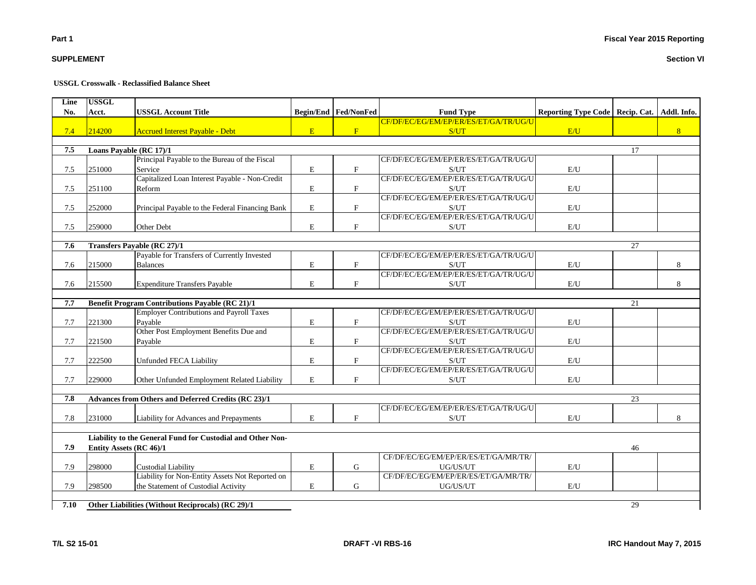|  | <b>DRAFT-VI RBS-16</b> |  |
|--|------------------------|--|
|  |                        |  |

#### **Section VI**

## **USSGL Crosswalk - Reclassified Balance Sheet**

| Line<br>No. | <b>USSGL</b><br>Acct. | <b>USSGL Account Title</b>                                 |             | Begin/End Fed/NonFed      |                                                           |                                   |    |                |
|-------------|-----------------------|------------------------------------------------------------|-------------|---------------------------|-----------------------------------------------------------|-----------------------------------|----|----------------|
|             |                       |                                                            |             |                           | <b>Fund Type</b><br>CF/DF/EC/EG/EM/EP/ER/ES/ET/GA/TR/UG/U | Reporting Type Code   Recip. Cat. |    | Addl. Info.    |
| 7.4         | 214200                | <b>Accrued Interest Payable - Debt</b>                     | E           | F                         | S/UT                                                      | E/U                               |    | 8 <sup>1</sup> |
|             |                       |                                                            |             |                           |                                                           |                                   |    |                |
| 7.5         |                       | Loans Payable (RC 17)/1                                    |             |                           |                                                           |                                   | 17 |                |
|             |                       | Principal Payable to the Bureau of the Fiscal              |             |                           | CF/DF/EC/EG/EM/EP/ER/ES/ET/GA/TR/UG/U                     |                                   |    |                |
| 7.5         | 251000                | Service                                                    | $\mathbf E$ | $\mathbf{F}$              | S/UT                                                      | E/U                               |    |                |
|             |                       | Capitalized Loan Interest Payable - Non-Credit             |             |                           | CF/DF/EC/EG/EM/EP/ER/ES/ET/GA/TR/UG/U                     |                                   |    |                |
| 7.5         | 251100                | Reform                                                     | $\mathbf E$ | $\boldsymbol{\mathrm{F}}$ | S/UT                                                      | E/U                               |    |                |
|             |                       |                                                            |             |                           | CF/DF/EC/EG/EM/EP/ER/ES/ET/GA/TR/UG/U                     |                                   |    |                |
| 7.5         | 252000                | Principal Payable to the Federal Financing Bank            | $\mathbf E$ | $\mathbf{F}$              | S/UT                                                      | E/U                               |    |                |
|             |                       |                                                            |             |                           | CF/DF/EC/EG/EM/EP/ER/ES/ET/GA/TR/UG/U                     |                                   |    |                |
| $7.5$       | 259000                | Other Debt                                                 | ${\bf E}$   | $\mathbf F$               | S/UT                                                      | $\mathbf{E}/\mathbf{U}$           |    |                |
| 7.6         |                       | <b>Transfers Payable (RC 27)/1</b>                         |             |                           |                                                           |                                   | 27 |                |
|             |                       | Payable for Transfers of Currently Invested                |             |                           | CF/DF/EC/EG/EM/EP/ER/ES/ET/GA/TR/UG/U                     |                                   |    |                |
| 7.6         | 215000                | <b>Balances</b>                                            | E           | $\mathbf{F}$              | S/UT                                                      | E/U                               |    | 8              |
|             |                       |                                                            |             |                           | CF/DF/EC/EG/EM/EP/ER/ES/ET/GA/TR/UG/U                     |                                   |    |                |
| 7.6         | 215500                | <b>Expenditure Transfers Payable</b>                       | $\mathbf E$ | $\mathbf F$               | S/UT                                                      | E/U                               |    | 8              |
|             |                       |                                                            |             |                           |                                                           |                                   |    |                |
| 7.7         |                       | <b>Benefit Program Contributions Payable (RC 21)/1</b>     |             |                           |                                                           |                                   | 21 |                |
|             |                       | <b>Employer Contributions and Payroll Taxes</b>            |             |                           | CF/DF/EC/EG/EM/EP/ER/ES/ET/GA/TR/UG/U                     |                                   |    |                |
| 7.7         | 221300                | Pavable                                                    | ${\bf E}$   | $\mathbf F$               | S/UT                                                      | E/U                               |    |                |
|             |                       | Other Post Employment Benefits Due and                     |             |                           | CF/DF/EC/EG/EM/EP/ER/ES/ET/GA/TR/UG/U                     |                                   |    |                |
| 7.7         | 221500                | Payable                                                    | E           | $\mathbf{F}$              | S/UT                                                      | E/U                               |    |                |
|             |                       |                                                            |             |                           | CF/DF/EC/EG/EM/EP/ER/ES/ET/GA/TR/UG/U                     |                                   |    |                |
| 7.7         | 222500                | <b>Unfunded FECA Liability</b>                             | $\mathbf E$ | $\mathbf F$               | S/UT                                                      | $\mathbf{E}/\mathbf{U}$           |    |                |
|             |                       |                                                            |             |                           | CF/DF/EC/EG/EM/EP/ER/ES/ET/GA/TR/UG/U                     |                                   |    |                |
| 7.7         | 229000                | Other Unfunded Employment Related Liability                | E           | $\mathbf F$               | S/UT                                                      | E/U                               |    |                |
| 7.8         |                       | Advances from Others and Deferred Credits (RC 23)/1        |             |                           |                                                           |                                   | 23 |                |
|             |                       |                                                            |             |                           | CF/DF/EC/EG/EM/EP/ER/ES/ET/GA/TR/UG/U                     |                                   |    |                |
| 7.8         | 231000                | Liability for Advances and Prepayments                     | E           | $\mathbf{F}$              | S/UT                                                      | E/U                               |    | 8              |
|             |                       |                                                            |             |                           |                                                           |                                   |    |                |
|             |                       | Liability to the General Fund for Custodial and Other Non- |             |                           |                                                           |                                   |    |                |
| 7.9         |                       | Entity Assets (RC 46)/1                                    |             |                           |                                                           |                                   | 46 |                |
|             |                       |                                                            |             |                           | CF/DF/EC/EG/EM/EP/ER/ES/ET/GA/MR/TR/                      |                                   |    |                |
| 7.9         | 298000                | <b>Custodial Liability</b>                                 | $\mathbf E$ | G                         | UG/US/UT                                                  | E/U                               |    |                |
|             |                       | Liability for Non-Entity Assets Not Reported on            |             |                           | CF/DF/EC/EG/EM/EP/ER/ES/ET/GA/MR/TR/                      |                                   |    |                |
| 7.9         | 298500                | the Statement of Custodial Activity                        | E           | G                         | UG/US/UT                                                  | E/U                               |    |                |
|             |                       |                                                            |             |                           |                                                           |                                   |    |                |
| 7.10        |                       | Other Liabilities (Without Reciprocals) (RC 29)/1          |             |                           |                                                           |                                   | 29 |                |

**SUPPLEMENT**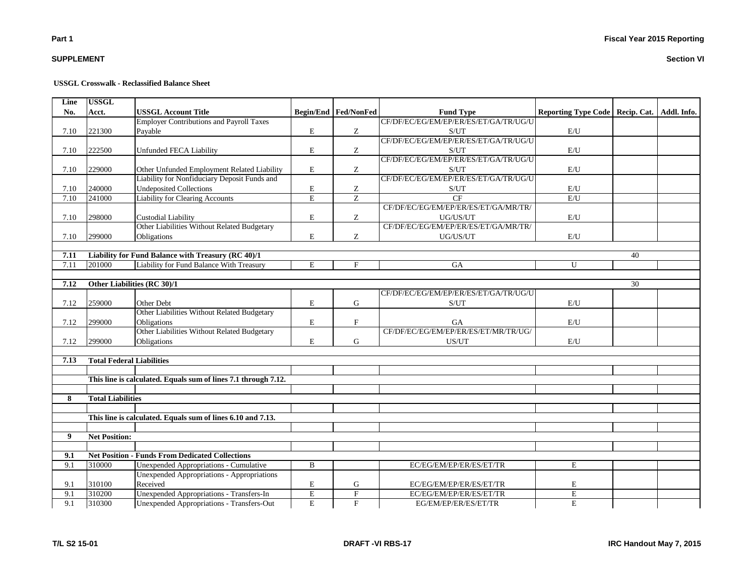## **Fiscal Year 2015 Reporting**

## **SUPPLEMENT**

#### **USSGL Crosswalk - Reclassified Balance Sheet**

| Line | <b>USSGL</b>                     |                                                                |                |                             |                                       |                                   |    |             |
|------|----------------------------------|----------------------------------------------------------------|----------------|-----------------------------|---------------------------------------|-----------------------------------|----|-------------|
| No.  | Acct.                            | <b>USSGL Account Title</b>                                     |                | <b>Begin/End Fed/NonFed</b> | <b>Fund Type</b>                      | Reporting Type Code   Recip. Cat. |    | Addl. Info. |
|      |                                  | <b>Employer Contributions and Payroll Taxes</b>                |                |                             | CF/DF/EC/EG/EM/EP/ER/ES/ET/GA/TR/UG/U |                                   |    |             |
| 7.10 | 221300                           | Payable                                                        | E              | Z                           | S/UT                                  | E/U                               |    |             |
|      |                                  |                                                                |                |                             | CF/DF/EC/EG/EM/EP/ER/ES/ET/GA/TR/UG/U |                                   |    |             |
| 7.10 | 222500                           | Unfunded FECA Liability                                        | E              | Z                           | S/UT                                  | $\mathbf{E}/\mathbf{U}$           |    |             |
|      |                                  |                                                                |                |                             | CF/DF/EC/EG/EM/EP/ER/ES/ET/GA/TR/UG/U |                                   |    |             |
| 7.10 | 229000                           | Other Unfunded Employment Related Liability                    | E              | Z                           | S/UT                                  | E/U                               |    |             |
|      |                                  | Liability for Nonfiduciary Deposit Funds and                   |                |                             | CF/DF/EC/EG/EM/EP/ER/ES/ET/GA/TR/UG/U |                                   |    |             |
| 7.10 | 240000                           | <b>Undeposited Collections</b>                                 | E              | Z                           | S/UT                                  | E/U                               |    |             |
| 7.10 | 241000                           | Liability for Clearing Accounts                                | $\overline{E}$ | $\overline{z}$              | CF                                    | $\mathrm{E}/\mathrm{U}$           |    |             |
|      |                                  |                                                                |                |                             | CF/DF/EC/EG/EM/EP/ER/ES/ET/GA/MR/TR/  |                                   |    |             |
| 7.10 | 298000                           | <b>Custodial Liability</b>                                     | $\mathbf E$    | Z                           | UG/US/UT                              | E/U                               |    |             |
|      |                                  | Other Liabilities Without Related Budgetary                    |                |                             | CF/DF/EC/EG/EM/EP/ER/ES/ET/GA/MR/TR/  |                                   |    |             |
| 7.10 | 299000                           | Obligations                                                    | E              | Ζ                           | UG/US/UT                              | E/U                               |    |             |
|      |                                  |                                                                |                |                             |                                       |                                   |    |             |
| 7.11 |                                  | Liability for Fund Balance with Treasury (RC 40)/1             |                |                             |                                       |                                   | 40 |             |
| 7.11 | 201000                           | Liability for Fund Balance With Treasury                       | E              | F                           | <b>GA</b>                             | U                                 |    |             |
|      |                                  |                                                                |                |                             |                                       |                                   |    |             |
| 7.12 |                                  | Other Liabilities (RC 30)/1                                    |                |                             |                                       |                                   | 30 |             |
|      |                                  |                                                                |                |                             | CF/DF/EC/EG/EM/EP/ER/ES/ET/GA/TR/UG/U |                                   |    |             |
| 7.12 | 259000                           | Other Debt                                                     | E              | G                           | S/UT                                  | E/U                               |    |             |
|      |                                  | Other Liabilities Without Related Budgetary                    |                |                             |                                       |                                   |    |             |
| 7.12 | 299000                           | Obligations                                                    | E              | $\mathbf F$                 | GA                                    | E/U                               |    |             |
|      |                                  | Other Liabilities Without Related Budgetary                    |                |                             | CF/DF/EC/EG/EM/EP/ER/ES/ET/MR/TR/UG/  |                                   |    |             |
| 7.12 | 299000                           | Obligations                                                    | E              | G                           | US/UT                                 | E/U                               |    |             |
|      |                                  |                                                                |                |                             |                                       |                                   |    |             |
| 7.13 | <b>Total Federal Liabilities</b> |                                                                |                |                             |                                       |                                   |    |             |
|      |                                  |                                                                |                |                             |                                       |                                   |    |             |
|      |                                  | This line is calculated. Equals sum of lines 7.1 through 7.12. |                |                             |                                       |                                   |    |             |
|      |                                  |                                                                |                |                             |                                       |                                   |    |             |
| 8    | <b>Total Liabilities</b>         |                                                                |                |                             |                                       |                                   |    |             |
|      |                                  |                                                                |                |                             |                                       |                                   |    |             |
|      |                                  | This line is calculated. Equals sum of lines 6.10 and 7.13.    |                |                             |                                       |                                   |    |             |
|      |                                  |                                                                |                |                             |                                       |                                   |    |             |
| 9    | <b>Net Position:</b>             |                                                                |                |                             |                                       |                                   |    |             |
|      |                                  |                                                                |                |                             |                                       |                                   |    |             |
| 9.1  |                                  | <b>Net Position - Funds From Dedicated Collections</b>         |                |                             |                                       |                                   |    |             |
| 9.1  | 310000                           | Unexpended Appropriations - Cumulative                         | $\mathbf{B}$   |                             | EC/EG/EM/EP/ER/ES/ET/TR               | E                                 |    |             |
|      |                                  | Unexpended Appropriations - Appropriations                     |                |                             |                                       |                                   |    |             |
| 9.1  | 310100                           | Received                                                       | E              | G                           | EC/EG/EM/EP/ER/ES/ET/TR               | $\mathbf E$                       |    |             |
| 9.1  | 310200                           | Unexpended Appropriations - Transfers-In                       | E              | $\mathbf F$                 | EC/EG/EM/EP/ER/ES/ET/TR               | $\mathbf E$                       |    |             |
| 9.1  | 310300                           | Unexpended Appropriations - Transfers-Out                      | $\mathbf E$    | $\mathbf F$                 | EG/EM/EP/ER/ES/ET/TR                  | $\mathbf E$                       |    |             |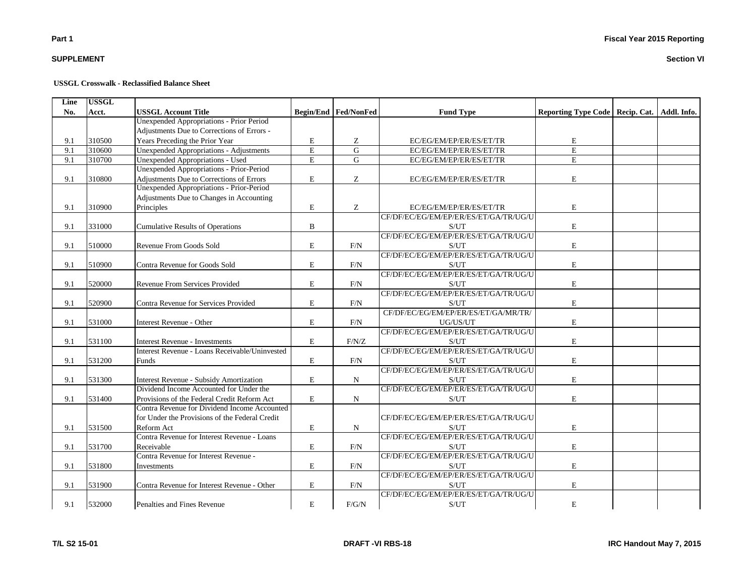## **SUPPLEMENT**

#### **USSGL Crosswalk - Reclassified Balance Sheet**

| Line | <b>USSGL</b> |                                                 |                |                             |                                                    |                            |                           |  |
|------|--------------|-------------------------------------------------|----------------|-----------------------------|----------------------------------------------------|----------------------------|---------------------------|--|
| No.  | Acct.        | <b>USSGL Account Title</b>                      |                | <b>Begin/End Fed/NonFed</b> | <b>Fund Type</b>                                   | <b>Reporting Type Code</b> | Recip. Cat.   Addl. Info. |  |
|      |              | <b>Unexpended Appropriations - Prior Period</b> |                |                             |                                                    |                            |                           |  |
|      |              | Adjustments Due to Corrections of Errors -      |                |                             |                                                    |                            |                           |  |
| 9.1  | 310500       | Years Preceding the Prior Year                  | E              | Ζ                           | EC/EG/EM/EP/ER/ES/ET/TR                            | E                          |                           |  |
| 9.1  | 310600       | <b>Unexpended Appropriations - Adjustments</b>  | $\overline{E}$ | $\overline{G}$              | EC/EG/EM/EP/ER/ES/ET/TR                            | E                          |                           |  |
| 9.1  | 310700       | <b>Unexpended Appropriations - Used</b>         | E              | G                           | EC/EG/EM/EP/ER/ES/ET/TR                            | E                          |                           |  |
|      |              | Unexpended Appropriations - Prior-Period        |                |                             |                                                    |                            |                           |  |
| 9.1  | 310800       | Adjustments Due to Corrections of Errors        | $\mathbf E$    | Z                           | EC/EG/EM/EP/ER/ES/ET/TR                            | $\mathbf E$                |                           |  |
|      |              | Unexpended Appropriations - Prior-Period        |                |                             |                                                    |                            |                           |  |
|      |              | Adjustments Due to Changes in Accounting        |                |                             |                                                    |                            |                           |  |
| 9.1  | 310900       | Principles                                      | $\mathbf E$    | Ζ                           | EC/EG/EM/EP/ER/ES/ET/TR                            | $\mathbf E$                |                           |  |
|      |              |                                                 |                |                             | CF/DF/EC/EG/EM/EP/ER/ES/ET/GA/TR/UG/U              |                            |                           |  |
| 9.1  | 331000       | <b>Cumulative Results of Operations</b>         | B              |                             | S/UT                                               | $\mathbf E$                |                           |  |
|      |              |                                                 |                |                             | CF/DF/EC/EG/EM/EP/ER/ES/ET/GA/TR/UG/U              |                            |                           |  |
| 9.1  | 510000       | Revenue From Goods Sold                         | E              | F/N                         | S/UT                                               | $\mathbf E$                |                           |  |
|      |              |                                                 |                |                             | CF/DF/EC/EG/EM/EP/ER/ES/ET/GA/TR/UG/U              |                            |                           |  |
| 9.1  | 510900       | Contra Revenue for Goods Sold                   | $\mathbf E$    | F/N                         | S/UT                                               | $\mathbf E$                |                           |  |
|      |              |                                                 |                |                             | CF/DF/EC/EG/EM/EP/ER/ES/ET/GA/TR/UG/U              |                            |                           |  |
| 9.1  | 520000       | Revenue From Services Provided                  | E              | F/N                         | $\ensuremath{\mathrm{S}}/\ensuremath{\mathrm{UT}}$ | $\mathbf E$                |                           |  |
|      |              |                                                 |                |                             | CF/DF/EC/EG/EM/EP/ER/ES/ET/GA/TR/UG/U              |                            |                           |  |
| 9.1  | 520900       | Contra Revenue for Services Provided            | E              | F/N                         | $\ensuremath{\mathrm{S}}/\ensuremath{\mathrm{UT}}$ | $\mathbf E$                |                           |  |
|      |              |                                                 |                |                             | CF/DF/EC/EG/EM/EP/ER/ES/ET/GA/MR/TR/               |                            |                           |  |
| 9.1  | 531000       | Interest Revenue - Other                        | E              | F/N                         | UG/US/UT                                           | E                          |                           |  |
|      |              |                                                 |                |                             | CF/DF/EC/EG/EM/EP/ER/ES/ET/GA/TR/UG/U              |                            |                           |  |
| 9.1  | 531100       | <b>Interest Revenue - Investments</b>           | $\mathbf E$    | F/N/Z                       | S/UT                                               | $\mathbf E$                |                           |  |
|      |              | Interest Revenue - Loans Receivable/Uninvested  |                |                             | CF/DF/EC/EG/EM/EP/ER/ES/ET/GA/TR/UG/U              |                            |                           |  |
| 9.1  | 531200       | Funds                                           | E              | F/N                         | S/UT                                               | E                          |                           |  |
|      |              |                                                 |                |                             | CF/DF/EC/EG/EM/EP/ER/ES/ET/GA/TR/UG/U              |                            |                           |  |
| 9.1  | 531300       | Interest Revenue - Subsidy Amortization         | E              | N                           | S/UT                                               | E                          |                           |  |
|      |              | Dividend Income Accounted for Under the         |                |                             | CF/DF/EC/EG/EM/EP/ER/ES/ET/GA/TR/UG/U              |                            |                           |  |
| 9.1  | 531400       | Provisions of the Federal Credit Reform Act     | $\mathbf E$    | $\mathbf N$                 | S/UT                                               | $\mathbf E$                |                           |  |
|      |              | Contra Revenue for Dividend Income Accounted    |                |                             |                                                    |                            |                           |  |
|      |              | for Under the Provisions of the Federal Credit  |                |                             | CF/DF/EC/EG/EM/EP/ER/ES/ET/GA/TR/UG/U              |                            |                           |  |
| 9.1  | 531500       | Reform Act                                      | $\mathbf E$    | N                           | S/UT                                               | $\mathbf E$                |                           |  |
|      |              | Contra Revenue for Interest Revenue - Loans     |                |                             | CF/DF/EC/EG/EM/EP/ER/ES/ET/GA/TR/UG/U              |                            |                           |  |
| 9.1  | 531700       | Receivable                                      | E              | F/N                         | S/UT                                               | $\mathbf E$                |                           |  |
|      |              | Contra Revenue for Interest Revenue -           |                |                             | CF/DF/EC/EG/EM/EP/ER/ES/ET/GA/TR/UG/U              |                            |                           |  |
| 9.1  | 531800       | Investments                                     | E              | F/N                         | S/UT                                               | E                          |                           |  |
|      |              |                                                 |                |                             | CF/DF/EC/EG/EM/EP/ER/ES/ET/GA/TR/UG/U              |                            |                           |  |
| 9.1  | 531900       | Contra Revenue for Interest Revenue - Other     | E              | F/N                         | S/UT                                               | $\mathbf E$                |                           |  |
|      |              |                                                 |                |                             | CF/DF/EC/EG/EM/EP/ER/ES/ET/GA/TR/UG/U              |                            |                           |  |
| 9.1  | 532000       | Penalties and Fines Revenue                     | E              | F/G/N                       | S/UT                                               | $\mathbf E$                |                           |  |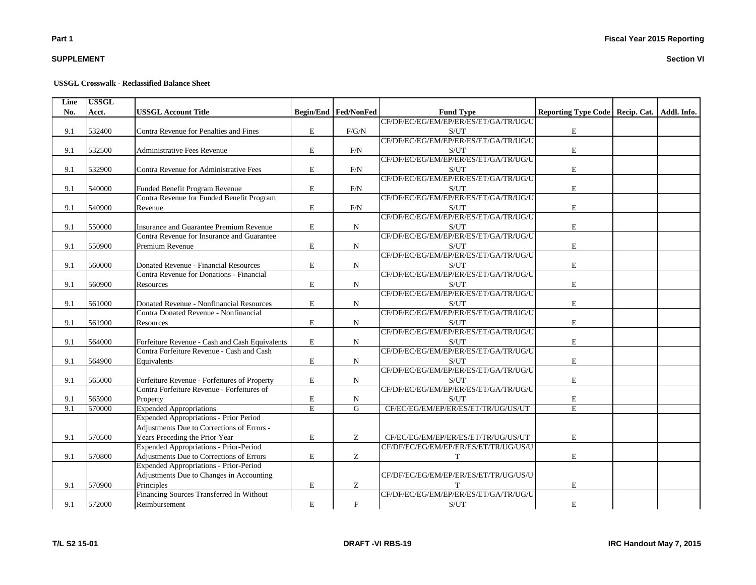## **SUPPLEMENT**

#### **USSGL Crosswalk - Reclassified Balance Sheet**

| Line | <b>USSGL</b> |                                                |             |                             |                                                    |                                                 |  |
|------|--------------|------------------------------------------------|-------------|-----------------------------|----------------------------------------------------|-------------------------------------------------|--|
| No.  | Acct.        | <b>USSGL Account Title</b>                     |             | <b>Begin/End Fed/NonFed</b> | <b>Fund Type</b>                                   | Reporting Type Code   Recip. Cat.   Addl. Info. |  |
|      |              |                                                |             |                             | CF/DF/EC/EG/EM/EP/ER/ES/ET/GA/TR/UG/U              |                                                 |  |
| 9.1  | 532400       | Contra Revenue for Penalties and Fines         | E           | F/G/N                       | S/UT                                               | $\mathbf E$                                     |  |
|      |              |                                                |             |                             | CF/DF/EC/EG/EM/EP/ER/ES/ET/GA/TR/UG/U              |                                                 |  |
| 9.1  | 532500       | <b>Administrative Fees Revenue</b>             | E           | F/N                         | S/UT                                               | $\mathbf E$                                     |  |
|      |              |                                                |             |                             | CF/DF/EC/EG/EM/EP/ER/ES/ET/GA/TR/UG/U              |                                                 |  |
| 9.1  | 532900       | Contra Revenue for Administrative Fees         | E           | F/N                         | S/UT                                               | $\mathbf E$                                     |  |
|      |              |                                                |             |                             | CF/DF/EC/EG/EM/EP/ER/ES/ET/GA/TR/UG/U              |                                                 |  |
| 9.1  | 540000       | Funded Benefit Program Revenue                 | E           | F/N                         | S/UT                                               | $\mathbf E$                                     |  |
|      |              | Contra Revenue for Funded Benefit Program      |             |                             | CF/DF/EC/EG/EM/EP/ER/ES/ET/GA/TR/UG/U              |                                                 |  |
| 9.1  | 540900       | Revenue                                        | E           | $F/N$                       | S/UT                                               | $\mathbf E$                                     |  |
|      |              |                                                |             |                             | CF/DF/EC/EG/EM/EP/ER/ES/ET/GA/TR/UG/U              |                                                 |  |
| 9.1  | 550000       | Insurance and Guarantee Premium Revenue        | E           | N                           | S/UT                                               | $\mathbf E$                                     |  |
|      |              | Contra Revenue for Insurance and Guarantee     |             |                             | CF/DF/EC/EG/EM/EP/ER/ES/ET/GA/TR/UG/U              |                                                 |  |
| 9.1  | 550900       | Premium Revenue                                | E           | N                           | S/UT                                               | E                                               |  |
|      |              |                                                |             |                             | CF/DF/EC/EG/EM/EP/ER/ES/ET/GA/TR/UG/U              |                                                 |  |
| 9.1  | 560000       | Donated Revenue - Financial Resources          | E           | N                           | S/UT                                               | $\mathbf E$                                     |  |
|      |              | Contra Revenue for Donations - Financial       |             |                             | CF/DF/EC/EG/EM/EP/ER/ES/ET/GA/TR/UG/U              |                                                 |  |
| 9.1  | 560900       | Resources                                      | $\mathbf E$ | ${\bf N}$                   | $\ensuremath{\mathrm{S}}/\ensuremath{\mathrm{UT}}$ | ${\bf E}$                                       |  |
|      |              |                                                |             |                             | CF/DF/EC/EG/EM/EP/ER/ES/ET/GA/TR/UG/U              |                                                 |  |
| 9.1  | 561000       | Donated Revenue - Nonfinancial Resources       | E           | N                           | S/UT                                               | ${\bf E}$                                       |  |
|      |              | Contra Donated Revenue - Nonfinancial          |             |                             | CF/DF/EC/EG/EM/EP/ER/ES/ET/GA/TR/UG/U              |                                                 |  |
| 9.1  | 561900       | Resources                                      | $\mathbf E$ | N                           | S/UT                                               | $\mathbf E$                                     |  |
|      |              |                                                |             |                             | CF/DF/EC/EG/EM/EP/ER/ES/ET/GA/TR/UG/U              |                                                 |  |
| 9.1  | 564000       | Forfeiture Revenue - Cash and Cash Equivalents | E           | N                           | S/UT                                               | $\mathbf E$                                     |  |
|      |              | Contra Forfeiture Revenue - Cash and Cash      |             |                             | CF/DF/EC/EG/EM/EP/ER/ES/ET/GA/TR/UG/U              |                                                 |  |
| 9.1  | 564900       | Equivalents                                    | E           | N                           | S/UT                                               | $\mathbf E$                                     |  |
|      |              |                                                |             |                             | CF/DF/EC/EG/EM/EP/ER/ES/ET/GA/TR/UG/U              |                                                 |  |
| 9.1  | 565000       | Forfeiture Revenue - Forfeitures of Property   | E           | N                           | S/UT                                               | E                                               |  |
|      |              | Contra Forfeiture Revenue - Forfeitures of     |             |                             | CF/DF/EC/EG/EM/EP/ER/ES/ET/GA/TR/UG/U              |                                                 |  |
| 9.1  | 565900       | Property                                       | E           | ${\bf N}$                   | S/UT                                               | $\mathbf E$                                     |  |
| 9.1  | 570000       | <b>Expended Appropriations</b>                 | E           | $\overline{G}$              | CF/EC/EG/EM/EP/ER/ES/ET/TR/UG/US/UT                | $\overline{\mathrm{E}}$                         |  |
|      |              | Expended Appropriations - Prior Period         |             |                             |                                                    |                                                 |  |
|      |              | Adjustments Due to Corrections of Errors -     |             |                             |                                                    |                                                 |  |
| 9.1  | 570500       | Years Preceding the Prior Year                 | E           | Z.                          | CF/EC/EG/EM/EP/ER/ES/ET/TR/UG/US/UT                | $\mathbf E$                                     |  |
|      |              | Expended Appropriations - Prior-Period         |             |                             | CF/DF/EC/EG/EM/EP/ER/ES/ET/TR/UG/US/U              |                                                 |  |
| 9.1  | 570800       | Adjustments Due to Corrections of Errors       | E           | Z                           | T                                                  | E                                               |  |
|      |              | Expended Appropriations - Prior-Period         |             |                             |                                                    |                                                 |  |
|      |              | Adjustments Due to Changes in Accounting       |             |                             | CF/DF/EC/EG/EM/EP/ER/ES/ET/TR/UG/US/U              |                                                 |  |
| 9.1  | 570900       | Principles                                     | E           | Z                           |                                                    | E                                               |  |
|      |              | Financing Sources Transferred In Without       |             |                             | CF/DF/EC/EG/EM/EP/ER/ES/ET/GA/TR/UG/U              |                                                 |  |
| 9.1  | 572000       | Reimbursement                                  | ${\bf E}$   | $\mathbf F$                 | S/UT                                               | $\mathbf E$                                     |  |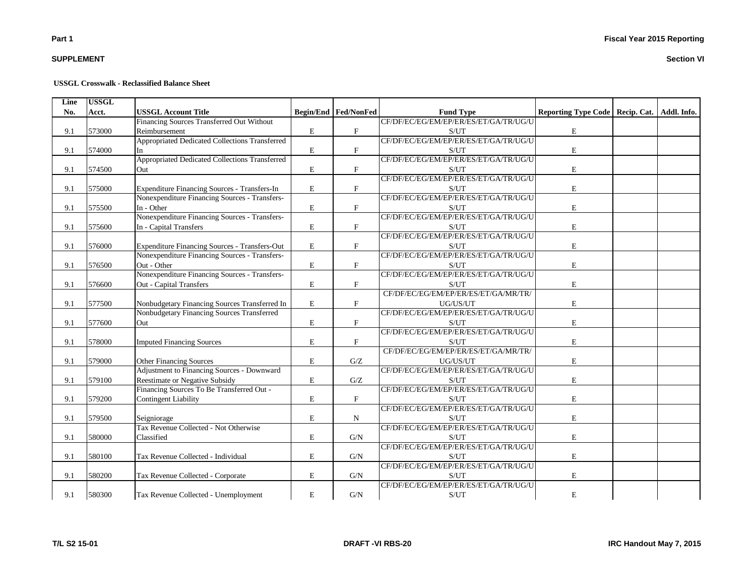## **SUPPLEMENT**

#### **USSGL Crosswalk - Reclassified Balance Sheet**

| Line | <b>USSGL</b> |                                                |             |                             |                                                    |                                                 |  |
|------|--------------|------------------------------------------------|-------------|-----------------------------|----------------------------------------------------|-------------------------------------------------|--|
| No.  | Acct.        | <b>USSGL Account Title</b>                     |             | <b>Begin/End Fed/NonFed</b> | <b>Fund Type</b>                                   | Reporting Type Code   Recip. Cat.   Addl. Info. |  |
|      |              | Financing Sources Transferred Out Without      |             |                             | CF/DF/EC/EG/EM/EP/ER/ES/ET/GA/TR/UG/U              |                                                 |  |
| 9.1  | 573000       | Reimbursement                                  | E           | $\boldsymbol{\mathrm{F}}$   | S/UT                                               | $\mathbf E$                                     |  |
|      |              | Appropriated Dedicated Collections Transferred |             |                             | CF/DF/EC/EG/EM/EP/ER/ES/ET/GA/TR/UG/U              |                                                 |  |
| 9.1  | 574000       | In                                             | ${\bf E}$   | $\mathbf F$                 | S/UT                                               | $\mathbf E$                                     |  |
|      |              | Appropriated Dedicated Collections Transferred |             |                             | CF/DF/EC/EG/EM/EP/ER/ES/ET/GA/TR/UG/U              |                                                 |  |
| 9.1  | 574500       | Out                                            | E           | $\mathbf F$                 | S/UT                                               | E                                               |  |
|      |              |                                                |             |                             | CF/DF/EC/EG/EM/EP/ER/ES/ET/GA/TR/UG/U              |                                                 |  |
| 9.1  | 575000       | Expenditure Financing Sources - Transfers-In   | E           | $\mathbf F$                 | S/UT                                               | $\mathbf E$                                     |  |
|      |              | Nonexpenditure Financing Sources - Transfers-  |             |                             | CF/DF/EC/EG/EM/EP/ER/ES/ET/GA/TR/UG/U              |                                                 |  |
| 9.1  | 575500       | In - Other                                     | $\mathbf E$ | $\boldsymbol{\mathrm{F}}$   | S/UT                                               | $\mathbf E$                                     |  |
|      |              | Nonexpenditure Financing Sources - Transfers-  |             |                             | CF/DF/EC/EG/EM/EP/ER/ES/ET/GA/TR/UG/U              |                                                 |  |
| 9.1  | 575600       | In - Capital Transfers                         | ${\bf E}$   | $\mathbf F$                 | S/UT                                               | $\mathbf E$                                     |  |
|      |              |                                                |             |                             | CF/DF/EC/EG/EM/EP/ER/ES/ET/GA/TR/UG/U              |                                                 |  |
| 9.1  | 576000       | Expenditure Financing Sources - Transfers-Out  | $\bf E$     | $\mathbf{F}$                | S/UT                                               | $\mathbf E$                                     |  |
|      |              | Nonexpenditure Financing Sources - Transfers-  |             |                             | CF/DF/EC/EG/EM/EP/ER/ES/ET/GA/TR/UG/U              |                                                 |  |
| 9.1  | 576500       | Out - Other                                    | $\mathbf E$ | $\mathbf F$                 | S/UT                                               | $\mathbf E$                                     |  |
|      |              | Nonexpenditure Financing Sources - Transfers-  |             |                             | CF/DF/EC/EG/EM/EP/ER/ES/ET/GA/TR/UG/U              |                                                 |  |
| 9.1  | 576600       | Out - Capital Transfers                        | $\mathbf E$ | $\mathbf{F}$                | S/UT                                               | $\mathbf E$                                     |  |
|      |              |                                                |             |                             | CF/DF/EC/EG/EM/EP/ER/ES/ET/GA/MR/TR/               |                                                 |  |
| 9.1  | 577500       | Nonbudgetary Financing Sources Transferred In  | E           | $\boldsymbol{\mathrm{F}}$   | UG/US/UT                                           | $\mathbf E$                                     |  |
|      |              | Nonbudgetary Financing Sources Transferred     |             |                             | CF/DF/EC/EG/EM/EP/ER/ES/ET/GA/TR/UG/U              |                                                 |  |
| 9.1  | 577600       | Out                                            | ${\bf E}$   | $\boldsymbol{\mathrm{F}}$   | $\ensuremath{\mathrm{S}}/\ensuremath{\mathrm{UT}}$ | ${\bf E}$                                       |  |
|      |              |                                                |             |                             | CF/DF/EC/EG/EM/EP/ER/ES/ET/GA/TR/UG/U              |                                                 |  |
| 9.1  | 578000       | <b>Imputed Financing Sources</b>               | E           | $\mathbf F$                 | S/UT                                               | $\mathbf E$                                     |  |
|      |              |                                                |             |                             | CF/DF/EC/EG/EM/EP/ER/ES/ET/GA/MR/TR/               |                                                 |  |
| 9.1  | 579000       | <b>Other Financing Sources</b>                 | $\mathbf E$ | G/Z                         | UG/US/UT                                           | $\mathbf E$                                     |  |
|      |              | Adjustment to Financing Sources - Downward     |             |                             | CF/DF/EC/EG/EM/EP/ER/ES/ET/GA/TR/UG/U              |                                                 |  |
| 9.1  | 579100       | Reestimate or Negative Subsidy                 | E           | G/Z                         | S/UT                                               | $\mathbf E$                                     |  |
|      |              | Financing Sources To Be Transferred Out -      |             |                             | CF/DF/EC/EG/EM/EP/ER/ES/ET/GA/TR/UG/U              |                                                 |  |
| 9.1  | 579200       | <b>Contingent Liability</b>                    | ${\bf E}$   | $\mathbf F$                 | S/UT                                               | $\mathbf E$                                     |  |
|      |              |                                                |             |                             | CF/DF/EC/EG/EM/EP/ER/ES/ET/GA/TR/UG/U              |                                                 |  |
| 9.1  | 579500       | Seigniorage                                    | E           | N                           | S/UT                                               | E                                               |  |
|      |              | Tax Revenue Collected - Not Otherwise          |             |                             | CF/DF/EC/EG/EM/EP/ER/ES/ET/GA/TR/UG/U              |                                                 |  |
| 9.1  | 580000       | Classified                                     | E           | G/N                         | S/UT                                               | E                                               |  |
|      |              |                                                |             |                             | CF/DF/EC/EG/EM/EP/ER/ES/ET/GA/TR/UG/U              |                                                 |  |
| 9.1  | 580100       | Tax Revenue Collected - Individual             | E           | G/N                         | S/UT                                               | E                                               |  |
|      |              |                                                |             |                             | CF/DF/EC/EG/EM/EP/ER/ES/ET/GA/TR/UG/U              |                                                 |  |
| 9.1  | 580200       | Tax Revenue Collected - Corporate              | ${\bf E}$   | G/N                         | S/UT                                               | $\mathbf E$                                     |  |
|      |              |                                                |             |                             | CF/DF/EC/EG/EM/EP/ER/ES/ET/GA/TR/UG/U              |                                                 |  |
| 9.1  | 580300       | Tax Revenue Collected - Unemployment           | E           | G/N                         | S/UT                                               | $\mathbf E$                                     |  |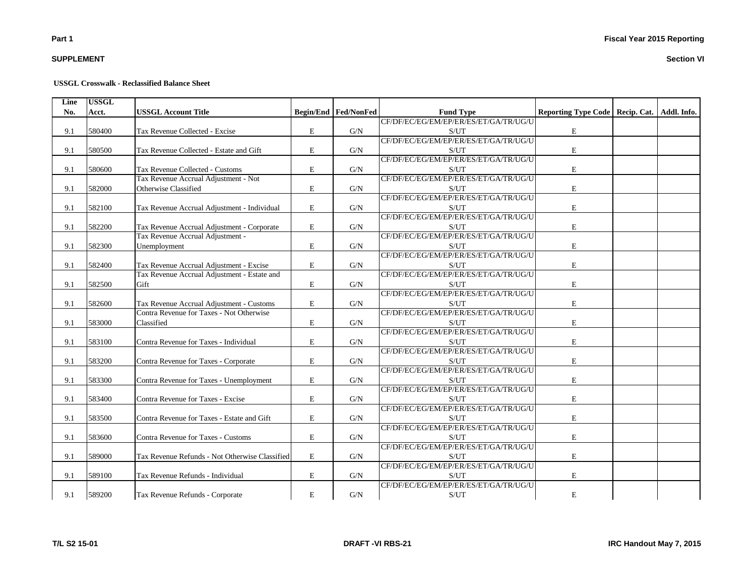## **SUPPLEMENT**

#### **USSGL Crosswalk - Reclassified Balance Sheet**

| Line | <b>USSGL</b> |                                                |           |                             |                                       |                                                 |  |
|------|--------------|------------------------------------------------|-----------|-----------------------------|---------------------------------------|-------------------------------------------------|--|
| No.  | Acct.        | <b>USSGL Account Title</b>                     |           | <b>Begin/End Fed/NonFed</b> | <b>Fund Type</b>                      | Reporting Type Code   Recip. Cat.   Addl. Info. |  |
|      |              |                                                |           |                             | CF/DF/EC/EG/EM/EP/ER/ES/ET/GA/TR/UG/U |                                                 |  |
| 9.1  | 580400       | Tax Revenue Collected - Excise                 | E         | G/N                         | S/UT                                  | $\mathbf E$                                     |  |
|      |              |                                                |           |                             | CF/DF/EC/EG/EM/EP/ER/ES/ET/GA/TR/UG/U |                                                 |  |
| 9.1  | 580500       | Tax Revenue Collected - Estate and Gift        | E         | G/N                         | S/UT                                  | E                                               |  |
|      |              |                                                |           |                             | CF/DF/EC/EG/EM/EP/ER/ES/ET/GA/TR/UG/U |                                                 |  |
| 9.1  | 580600       | Tax Revenue Collected - Customs                | E         | G/N                         | S/UT                                  | E                                               |  |
|      |              | Tax Revenue Accrual Adjustment - Not           |           |                             | CF/DF/EC/EG/EM/EP/ER/ES/ET/GA/TR/UG/U |                                                 |  |
| 9.1  | 582000       | Otherwise Classified                           | E         | G/N                         | S/UT                                  | E                                               |  |
|      |              |                                                |           |                             | CF/DF/EC/EG/EM/EP/ER/ES/ET/GA/TR/UG/U |                                                 |  |
| 9.1  | 582100       | Tax Revenue Accrual Adjustment - Individual    | E         | G/N                         | S/UT                                  | E                                               |  |
|      |              |                                                |           |                             | CF/DF/EC/EG/EM/EP/ER/ES/ET/GA/TR/UG/U |                                                 |  |
| 9.1  | 582200       | Tax Revenue Accrual Adjustment - Corporate     | E         | G/N                         | S/UT                                  | E                                               |  |
|      |              | Tax Revenue Accrual Adjustment -               |           |                             | CF/DF/EC/EG/EM/EP/ER/ES/ET/GA/TR/UG/U |                                                 |  |
| 9.1  | 582300       | Unemployment                                   | E         | G/N                         | S/UT                                  | E                                               |  |
|      |              |                                                |           |                             | CF/DF/EC/EG/EM/EP/ER/ES/ET/GA/TR/UG/U |                                                 |  |
| 9.1  | 582400       | Tax Revenue Accrual Adjustment - Excise        | E         | G/N                         | S/UT                                  | E                                               |  |
|      |              | Tax Revenue Accrual Adjustment - Estate and    |           |                             | CF/DF/EC/EG/EM/EP/ER/ES/ET/GA/TR/UG/U |                                                 |  |
| 9.1  | 582500       | Gift                                           | E         | G/N                         | S/UT                                  | $\mathbf E$                                     |  |
|      |              |                                                |           |                             | CF/DF/EC/EG/EM/EP/ER/ES/ET/GA/TR/UG/U |                                                 |  |
| 9.1  | 582600       | Tax Revenue Accrual Adjustment - Customs       | E         | G/N                         | S/UT                                  | E                                               |  |
|      |              | Contra Revenue for Taxes - Not Otherwise       |           |                             | CF/DF/EC/EG/EM/EP/ER/ES/ET/GA/TR/UG/U |                                                 |  |
| 9.1  | 583000       | Classified                                     | E         | G/N                         | S/UT                                  | E                                               |  |
|      |              |                                                |           |                             | CF/DF/EC/EG/EM/EP/ER/ES/ET/GA/TR/UG/U |                                                 |  |
| 9.1  | 583100       | Contra Revenue for Taxes - Individual          | E         | G/N                         | S/UT                                  | E                                               |  |
|      |              |                                                |           |                             | CF/DF/EC/EG/EM/EP/ER/ES/ET/GA/TR/UG/U |                                                 |  |
| 9.1  | 583200       | Contra Revenue for Taxes - Corporate           | E         | G/N                         | S/UT                                  | E                                               |  |
|      |              |                                                |           |                             | CF/DF/EC/EG/EM/EP/ER/ES/ET/GA/TR/UG/U |                                                 |  |
| 9.1  | 583300       | Contra Revenue for Taxes - Unemployment        | E         | G/N                         | S/UT                                  | E                                               |  |
|      |              |                                                |           |                             | CF/DF/EC/EG/EM/EP/ER/ES/ET/GA/TR/UG/U |                                                 |  |
| 9.1  | 583400       | Contra Revenue for Taxes - Excise              | E         | G/N                         | S/UT                                  | E                                               |  |
|      |              |                                                |           |                             | CF/DF/EC/EG/EM/EP/ER/ES/ET/GA/TR/UG/U |                                                 |  |
| 9.1  | 583500       | Contra Revenue for Taxes - Estate and Gift     | E         | G/N                         | S/UT                                  | E                                               |  |
|      |              |                                                |           |                             | CF/DF/EC/EG/EM/EP/ER/ES/ET/GA/TR/UG/U |                                                 |  |
| 9.1  | 583600       | Contra Revenue for Taxes - Customs             | E         | G/N                         | S/UT                                  | E                                               |  |
|      |              |                                                |           |                             | CF/DF/EC/EG/EM/EP/ER/ES/ET/GA/TR/UG/U |                                                 |  |
| 9.1  | 589000       | Tax Revenue Refunds - Not Otherwise Classified | E         | G/N                         | S/UT                                  | E                                               |  |
|      |              |                                                |           |                             | CF/DF/EC/EG/EM/EP/ER/ES/ET/GA/TR/UG/U |                                                 |  |
| 9.1  | 589100       | Tax Revenue Refunds - Individual               | ${\bf E}$ | G/N                         | S/UT                                  | $\mathbf E$                                     |  |
|      |              |                                                |           |                             | CF/DF/EC/EG/EM/EP/ER/ES/ET/GA/TR/UG/U |                                                 |  |
| 9.1  | 589200       | Tax Revenue Refunds - Corporate                | E         | G/N                         | S/UT                                  | E                                               |  |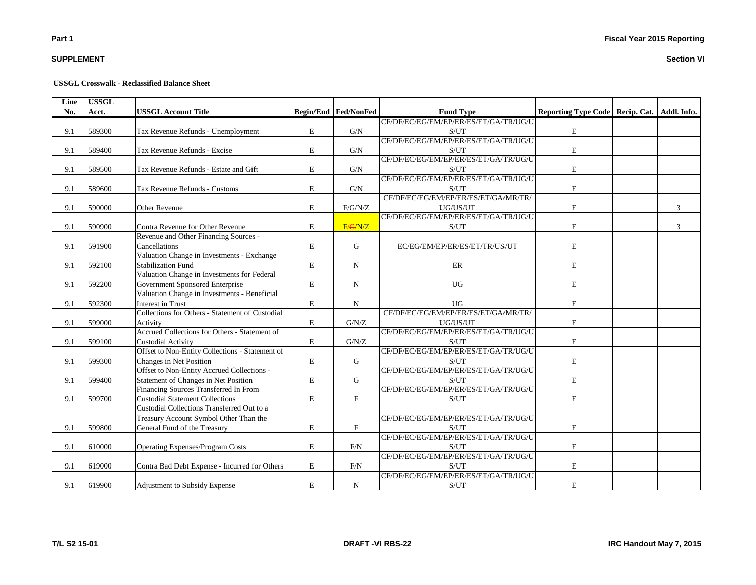## **SUPPLEMENT**

#### **USSGL Crosswalk - Reclassified Balance Sheet**

| Line | <b>USSGL</b> |                                                 |             |                             |                                       |                                   |             |
|------|--------------|-------------------------------------------------|-------------|-----------------------------|---------------------------------------|-----------------------------------|-------------|
| No.  | Acct.        | <b>USSGL Account Title</b>                      |             | <b>Begin/End Fed/NonFed</b> | <b>Fund Type</b>                      | Reporting Type Code   Recip. Cat. | Addl. Info. |
|      |              |                                                 |             |                             | CF/DF/EC/EG/EM/EP/ER/ES/ET/GA/TR/UG/U |                                   |             |
| 9.1  | 589300       | Tax Revenue Refunds - Unemployment              | E           | G/N                         | S/UT                                  | $\mathbf E$                       |             |
|      |              |                                                 |             |                             | CF/DF/EC/EG/EM/EP/ER/ES/ET/GA/TR/UG/U |                                   |             |
| 9.1  | 589400       | Tax Revenue Refunds - Excise                    | $\mathbf E$ | G/N                         | S/UT                                  | $\mathbf E$                       |             |
|      |              |                                                 |             |                             | CF/DF/EC/EG/EM/EP/ER/ES/ET/GA/TR/UG/U |                                   |             |
| 9.1  | 589500       | Tax Revenue Refunds - Estate and Gift           | $\mathbf E$ | G/N                         | S/UT                                  | $\mathbf E$                       |             |
|      |              |                                                 |             |                             | CF/DF/EC/EG/EM/EP/ER/ES/ET/GA/TR/UG/U |                                   |             |
| 9.1  | 589600       | Tax Revenue Refunds - Customs                   | E           | G/N                         | S/UT                                  | $\mathbf E$                       |             |
|      |              |                                                 |             |                             | CF/DF/EC/EG/EM/EP/ER/ES/ET/GA/MR/TR/  |                                   |             |
| 9.1  | 590000       | Other Revenue                                   | $\mathbf E$ | F/G/N/Z                     | UG/US/UT                              | $\mathbf E$                       | 3           |
|      |              |                                                 |             |                             | CF/DF/EC/EG/EM/EP/ER/ES/ET/GA/TR/UG/U |                                   |             |
| 9.1  | 590900       | Contra Revenue for Other Revenue                | $\mathbf E$ | F/G/N/Z                     | S/UT                                  | $\mathbf E$                       | 3           |
|      |              | Revenue and Other Financing Sources -           |             |                             |                                       |                                   |             |
| 9.1  | 591900       | Cancellations                                   | E           | G                           | EC/EG/EM/EP/ER/ES/ET/TR/US/UT         | $\mathbf E$                       |             |
|      |              | Valuation Change in Investments - Exchange      |             |                             |                                       |                                   |             |
| 9.1  | 592100       | <b>Stabilization Fund</b>                       | ${\bf E}$   | ${\bf N}$                   | ER                                    | ${\bf E}$                         |             |
|      |              | Valuation Change in Investments for Federal     |             |                             |                                       |                                   |             |
| 9.1  | 592200       | Government Sponsored Enterprise                 | E           | N                           | <b>UG</b>                             | $\mathbf E$                       |             |
|      |              | Valuation Change in Investments - Beneficial    |             |                             |                                       |                                   |             |
| 9.1  | 592300       | <b>Interest in Trust</b>                        | $\mathbf E$ | N                           | <b>UG</b>                             | $\mathbf E$                       |             |
|      |              | Collections for Others - Statement of Custodial |             |                             | CF/DF/EC/EG/EM/EP/ER/ES/ET/GA/MR/TR/  |                                   |             |
| 9.1  | 599000       | Activity                                        | $\mathbf E$ | G/N/Z                       | UG/US/UT                              | $\mathbf E$                       |             |
|      |              | Accrued Collections for Others - Statement of   |             |                             | CF/DF/EC/EG/EM/EP/ER/ES/ET/GA/TR/UG/U |                                   |             |
| 9.1  | 599100       | <b>Custodial Activity</b>                       | E           | G/N/Z                       | S/UT                                  | $\mathbf E$                       |             |
|      |              | Offset to Non-Entity Collections - Statement of |             |                             | CF/DF/EC/EG/EM/EP/ER/ES/ET/GA/TR/UG/U |                                   |             |
| 9.1  | 599300       | Changes in Net Position                         | $\mathbf E$ | G                           | S/UT                                  | $\mathbf E$                       |             |
|      |              | Offset to Non-Entity Accrued Collections -      |             |                             | CF/DF/EC/EG/EM/EP/ER/ES/ET/GA/TR/UG/U |                                   |             |
| 9.1  | 599400       | Statement of Changes in Net Position            | $\mathbf E$ | G                           | S/UT                                  | $\mathbf E$                       |             |
|      |              | Financing Sources Transferred In From           |             |                             | CF/DF/EC/EG/EM/EP/ER/ES/ET/GA/TR/UG/U |                                   |             |
| 9.1  | 599700       | <b>Custodial Statement Collections</b>          | $\mathbf E$ | $_{\rm F}$                  | S/UT                                  | E                                 |             |
|      |              | Custodial Collections Transferred Out to a      |             |                             |                                       |                                   |             |
|      |              | Treasury Account Symbol Other Than the          |             |                             | CF/DF/EC/EG/EM/EP/ER/ES/ET/GA/TR/UG/U |                                   |             |
| 9.1  | 599800       | General Fund of the Treasury                    | $\mathbf E$ | $\mathbf F$                 | S/UT                                  | $\mathbf E$                       |             |
|      |              |                                                 |             |                             | CF/DF/EC/EG/EM/EP/ER/ES/ET/GA/TR/UG/U |                                   |             |
| 9.1  | 610000       | <b>Operating Expenses/Program Costs</b>         | E           | F/N                         | S/UT                                  | $\mathbf E$                       |             |
|      |              |                                                 |             |                             | CF/DF/EC/EG/EM/EP/ER/ES/ET/GA/TR/UG/U |                                   |             |
| 9.1  | 619000       | Contra Bad Debt Expense - Incurred for Others   | ${\bf E}$   | $\rm{F/N}$                  | S/UT                                  | $\mathbf E$                       |             |
|      |              |                                                 |             |                             | CF/DF/EC/EG/EM/EP/ER/ES/ET/GA/TR/UG/U |                                   |             |
| 9.1  | 619900       | Adjustment to Subsidy Expense                   | $\mathbf E$ | $\mathbf N$                 | S/UT                                  | $\mathbf E$                       |             |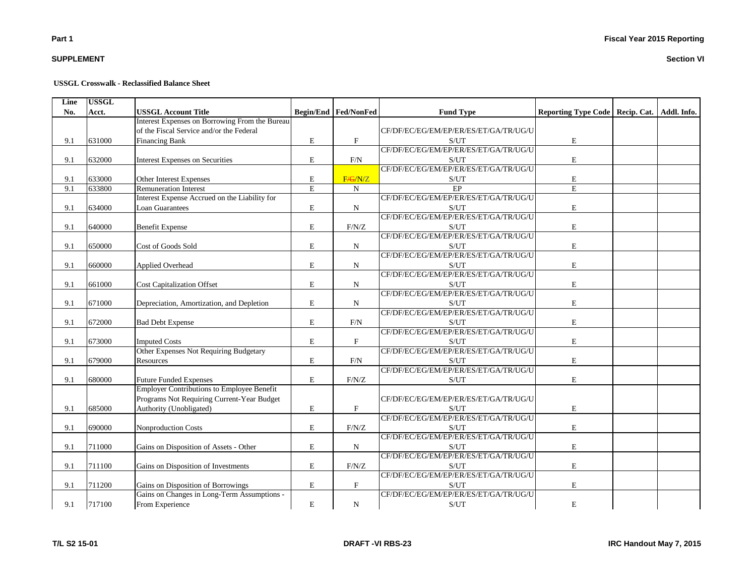## **SUPPLEMENT**

#### **USSGL Crosswalk - Reclassified Balance Sheet**

| Line | <b>USSGL</b> |                                                   |             |                             |                                                    |                                                 |  |
|------|--------------|---------------------------------------------------|-------------|-----------------------------|----------------------------------------------------|-------------------------------------------------|--|
| No.  | Acct.        | <b>USSGL Account Title</b>                        |             | <b>Begin/End Fed/NonFed</b> | <b>Fund Type</b>                                   | Reporting Type Code   Recip. Cat.   Addl. Info. |  |
|      |              | Interest Expenses on Borrowing From the Bureau    |             |                             |                                                    |                                                 |  |
|      |              | of the Fiscal Service and/or the Federal          |             |                             | CF/DF/EC/EG/EM/EP/ER/ES/ET/GA/TR/UG/U              |                                                 |  |
| 9.1  | 631000       | <b>Financing Bank</b>                             | E           | F                           | S/UT                                               | $\mathbf E$                                     |  |
|      |              |                                                   |             |                             | CF/DF/EC/EG/EM/EP/ER/ES/ET/GA/TR/UG/U              |                                                 |  |
| 9.1  | 632000       | Interest Expenses on Securities                   | $\mathbf E$ | F/N                         | S/UT                                               | $\mathbf E$                                     |  |
|      |              |                                                   |             |                             | CF/DF/EC/EG/EM/EP/ER/ES/ET/GA/TR/UG/U              |                                                 |  |
| 9.1  | 633000       | Other Interest Expenses                           | $\mathbf E$ | F/G/N/Z                     | S/UT                                               | $\mathbf E$                                     |  |
| 9.1  | 633800       | <b>Remuneration Interest</b>                      | E           | N                           | EP                                                 | $\mathbf E$                                     |  |
|      |              | Interest Expense Accrued on the Liability for     |             |                             | CF/DF/EC/EG/EM/EP/ER/ES/ET/GA/TR/UG/U              |                                                 |  |
| 9.1  | 634000       | <b>Loan Guarantees</b>                            | E           | ${\bf N}$                   | S/UT                                               | $\mathbf E$                                     |  |
|      |              |                                                   |             |                             | CF/DF/EC/EG/EM/EP/ER/ES/ET/GA/TR/UG/U              |                                                 |  |
| 9.1  | 640000       | <b>Benefit Expense</b>                            | E           | F/N/Z                       | S/UT                                               | $\mathbf E$                                     |  |
|      |              |                                                   |             |                             | CF/DF/EC/EG/EM/EP/ER/ES/ET/GA/TR/UG/U              |                                                 |  |
| 9.1  | 650000       | Cost of Goods Sold                                | $\mathbf E$ | N                           | S/UT                                               | $\mathbf E$                                     |  |
|      |              |                                                   |             |                             | CF/DF/EC/EG/EM/EP/ER/ES/ET/GA/TR/UG/U              |                                                 |  |
| 9.1  | 660000       | Applied Overhead                                  | $\mathbf E$ | N                           | S/UT                                               | $\mathbf E$                                     |  |
|      |              |                                                   |             |                             | CF/DF/EC/EG/EM/EP/ER/ES/ET/GA/TR/UG/U              |                                                 |  |
| 9.1  | 661000       | <b>Cost Capitalization Offset</b>                 | $\mathbf E$ | N                           | $\ensuremath{\mathrm{S}}/\ensuremath{\mathrm{UT}}$ | $\mathbf E$                                     |  |
|      |              |                                                   |             |                             | CF/DF/EC/EG/EM/EP/ER/ES/ET/GA/TR/UG/U              |                                                 |  |
| 9.1  | 671000       | Depreciation, Amortization, and Depletion         | E           | N                           | $\ensuremath{\mathrm{S}}/\ensuremath{\mathrm{UT}}$ | $\mathbf E$                                     |  |
|      |              |                                                   |             |                             | CF/DF/EC/EG/EM/EP/ER/ES/ET/GA/TR/UG/U              |                                                 |  |
| 9.1  | 672000       | <b>Bad Debt Expense</b>                           | ${\bf E}$   | F/N                         | S/UT                                               | $\mathbf E$                                     |  |
|      |              |                                                   |             |                             | CF/DF/EC/EG/EM/EP/ER/ES/ET/GA/TR/UG/U              |                                                 |  |
| 9.1  | 673000       | <b>Imputed Costs</b>                              | $\mathbf E$ | $\boldsymbol{\mathrm{F}}$   | S/UT                                               | $\mathbf E$                                     |  |
|      |              | Other Expenses Not Requiring Budgetary            |             |                             | CF/DF/EC/EG/EM/EP/ER/ES/ET/GA/TR/UG/U              |                                                 |  |
| 9.1  | 679000       | Resources                                         | $\mathbf E$ | F/N                         | S/UT                                               | $\mathbf E$                                     |  |
|      |              |                                                   |             |                             | CF/DF/EC/EG/EM/EP/ER/ES/ET/GA/TR/UG/U              |                                                 |  |
| 9.1  | 680000       | Future Funded Expenses                            | E           | F/N/Z                       | S/UT                                               | $\mathbf E$                                     |  |
|      |              | <b>Employer Contributions to Employee Benefit</b> |             |                             |                                                    |                                                 |  |
|      |              | Programs Not Requiring Current-Year Budget        |             |                             | CF/DF/EC/EG/EM/EP/ER/ES/ET/GA/TR/UG/U              |                                                 |  |
| 9.1  | 685000       | Authority (Unobligated)                           | $\mathbf E$ | $\mathbf F$                 | S/UT                                               | $\mathbf E$                                     |  |
|      |              |                                                   |             |                             | CF/DF/EC/EG/EM/EP/ER/ES/ET/GA/TR/UG/U              |                                                 |  |
| 9.1  | 690000       | Nonproduction Costs                               | $\mathbf E$ | F/N/Z                       | S/UT                                               | $\mathbf E$                                     |  |
|      |              |                                                   |             |                             | CF/DF/EC/EG/EM/EP/ER/ES/ET/GA/TR/UG/U              |                                                 |  |
| 9.1  | 711000       | Gains on Disposition of Assets - Other            | E           | N                           | S/UT                                               | $\mathbf E$                                     |  |
|      |              |                                                   |             |                             | CF/DF/EC/EG/EM/EP/ER/ES/ET/GA/TR/UG/U              |                                                 |  |
| 9.1  | 711100       | Gains on Disposition of Investments               | $\mathbf E$ | F/N/Z                       | S/UT                                               | $\mathbf E$                                     |  |
|      |              |                                                   |             |                             | CF/DF/EC/EG/EM/EP/ER/ES/ET/GA/TR/UG/U              |                                                 |  |
| 9.1  | 711200       | Gains on Disposition of Borrowings                | $\mathbf E$ | $\boldsymbol{\mathrm{F}}$   | S/UT                                               | E                                               |  |
|      |              | Gains on Changes in Long-Term Assumptions -       |             |                             | CF/DF/EC/EG/EM/EP/ER/ES/ET/GA/TR/UG/U              |                                                 |  |
| 9.1  | 717100       | From Experience                                   | $\mathbf E$ | ${\bf N}$                   | S/UT                                               | $\mathbf E$                                     |  |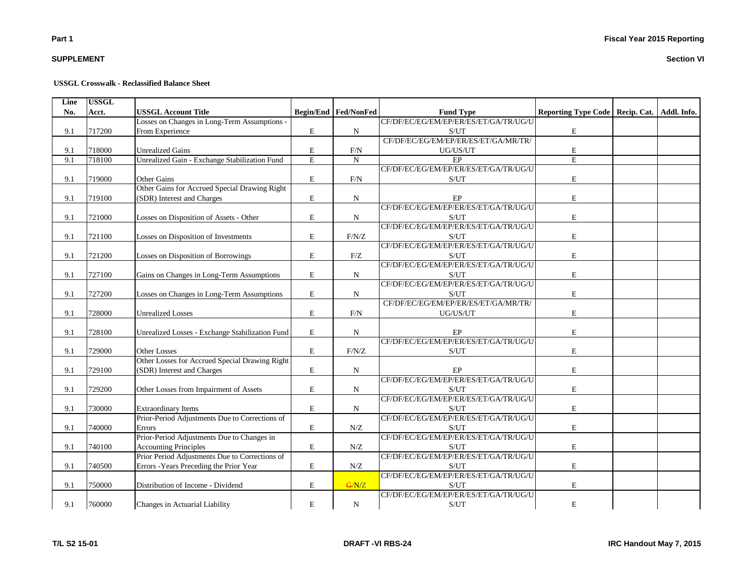## **SUPPLEMENT**

#### **USSGL Crosswalk - Reclassified Balance Sheet**

| Line | <b>USSGL</b> |                                                 |             |                      |                                                    |                                                 |  |
|------|--------------|-------------------------------------------------|-------------|----------------------|----------------------------------------------------|-------------------------------------------------|--|
| No.  | Acct.        | <b>USSGL Account Title</b>                      |             | Begin/End Fed/NonFed | <b>Fund Type</b>                                   | Reporting Type Code   Recip. Cat.   Addl. Info. |  |
|      |              | Losses on Changes in Long-Term Assumptions -    |             |                      | CF/DF/EC/EG/EM/EP/ER/ES/ET/GA/TR/UG/U              |                                                 |  |
| 9.1  | 717200       | From Experience                                 | E           | $\mathbf N$          | S/UT                                               | $\mathbf E$                                     |  |
|      |              |                                                 |             |                      | CF/DF/EC/EG/EM/EP/ER/ES/ET/GA/MR/TR/               |                                                 |  |
| 9.1  | 718000       | <b>Unrealized Gains</b>                         | ${\bf E}$   | F/N                  | UG/US/UT                                           | $\mathbf E$                                     |  |
| 9.1  | 718100       | Unrealized Gain - Exchange Stabilization Fund   | $\mathbf E$ | $\mathbf N$          | $\rm EP$                                           | $\mathbf E$                                     |  |
|      |              |                                                 |             |                      | CF/DF/EC/EG/EM/EP/ER/ES/ET/GA/TR/UG/U              |                                                 |  |
| 9.1  | 719000       | Other Gains                                     | E           | F/N                  | S/UT                                               | $\mathbf E$                                     |  |
|      |              | Other Gains for Accrued Special Drawing Right   |             |                      |                                                    |                                                 |  |
| 9.1  | 719100       | (SDR) Interest and Charges                      | E           | ${\bf N}$            | EP                                                 | $\mathbf E$                                     |  |
|      |              |                                                 |             |                      | CF/DF/EC/EG/EM/EP/ER/ES/ET/GA/TR/UG/U              |                                                 |  |
| 9.1  | 721000       | Losses on Disposition of Assets - Other         | $\mathbf E$ | $\mathbf N$          | S/UT                                               | ${\bf E}$                                       |  |
|      |              |                                                 |             |                      | CF/DF/EC/EG/EM/EP/ER/ES/ET/GA/TR/UG/U              |                                                 |  |
| 9.1  | 721100       | Losses on Disposition of Investments            | E           | F/N/Z                | S/UT                                               | ${\bf E}$                                       |  |
|      |              |                                                 |             |                      | CF/DF/EC/EG/EM/EP/ER/ES/ET/GA/TR/UG/U              |                                                 |  |
| 9.1  | 721200       | Losses on Disposition of Borrowings             | $\mathbf E$ | F/Z                  | S/UT                                               | $\mathbf E$                                     |  |
|      |              |                                                 |             |                      | CF/DF/EC/EG/EM/EP/ER/ES/ET/GA/TR/UG/U              |                                                 |  |
| 9.1  | 727100       | Gains on Changes in Long-Term Assumptions       | E           | $\mathbf N$          | S/UT                                               | ${\bf E}$                                       |  |
|      |              |                                                 |             |                      | CF/DF/EC/EG/EM/EP/ER/ES/ET/GA/TR/UG/U              |                                                 |  |
| 9.1  | 727200       | Losses on Changes in Long-Term Assumptions      | E           | ${\bf N}$            | S/UT                                               | $\mathbf E$                                     |  |
|      |              |                                                 |             |                      | CF/DF/EC/EG/EM/EP/ER/ES/ET/GA/MR/TR/               |                                                 |  |
| 9.1  | 728000       | <b>Unrealized Losses</b>                        | ${\rm E}$   | F/N                  | UG/US/UT                                           | $\mathbf E$                                     |  |
|      |              |                                                 |             |                      |                                                    |                                                 |  |
| 9.1  | 728100       | Unrealized Losses - Exchange Stabilization Fund | E           | $\mathbf N$          | EP                                                 | $\mathbf E$                                     |  |
|      |              |                                                 |             |                      | CF/DF/EC/EG/EM/EP/ER/ES/ET/GA/TR/UG/U              |                                                 |  |
| 9.1  | 729000       | <b>Other Losses</b>                             | $\mathbf E$ | $\rm F/N/Z$          | S/UT                                               | $\mathbf E$                                     |  |
|      |              | Other Losses for Accrued Special Drawing Right  |             |                      |                                                    |                                                 |  |
| 9.1  | 729100       | (SDR) Interest and Charges                      | ${\bf E}$   | $_{\rm N}$           | EP                                                 | $\mathbf E$                                     |  |
|      |              |                                                 |             |                      | CF/DF/EC/EG/EM/EP/ER/ES/ET/GA/TR/UG/U              |                                                 |  |
| 9.1  | 729200       | Other Losses from Impairment of Assets          | $\mathbf E$ | $\mathbf N$          | S/UT                                               | $\mathbf E$                                     |  |
|      |              |                                                 |             |                      | CF/DF/EC/EG/EM/EP/ER/ES/ET/GA/TR/UG/U              |                                                 |  |
| 9.1  | 730000       | <b>Extraordinary Items</b>                      | E           | $\mathbf N$          | S/UT                                               | $\mathbf E$                                     |  |
|      |              | Prior-Period Adjustments Due to Corrections of  |             |                      | CF/DF/EC/EG/EM/EP/ER/ES/ET/GA/TR/UG/U              |                                                 |  |
| 9.1  | 740000       | Errors                                          | $\mathbf E$ | N/Z                  | S/UT                                               | $\mathbf E$                                     |  |
|      |              | Prior-Period Adjustments Due to Changes in      |             |                      | CF/DF/EC/EG/EM/EP/ER/ES/ET/GA/TR/UG/U              |                                                 |  |
| 9.1  | 740100       | <b>Accounting Principles</b>                    | E           | N/Z                  | S/UT                                               | $\mathbf E$                                     |  |
|      |              | Prior Period Adjustments Due to Corrections of  |             |                      | CF/DF/EC/EG/EM/EP/ER/ES/ET/GA/TR/UG/U              |                                                 |  |
| 9.1  | 740500       | Errors - Years Preceding the Prior Year         | E           | N/Z                  | S/UT                                               | $\mathbf E$                                     |  |
|      |              |                                                 |             |                      | CF/DF/EC/EG/EM/EP/ER/ES/ET/GA/TR/UG/U              |                                                 |  |
| 9.1  | 750000       | Distribution of Income - Dividend               | ${\bf E}$   | G/N/Z                | S/UT                                               | $\mathbf E$                                     |  |
|      |              |                                                 |             |                      | CF/DF/EC/EG/EM/EP/ER/ES/ET/GA/TR/UG/U              |                                                 |  |
| 9.1  | 760000       | Changes in Actuarial Liability                  | E           | $\mathbf N$          | $\ensuremath{\mathrm{S}}/\ensuremath{\mathrm{UT}}$ | $\mathbf E$                                     |  |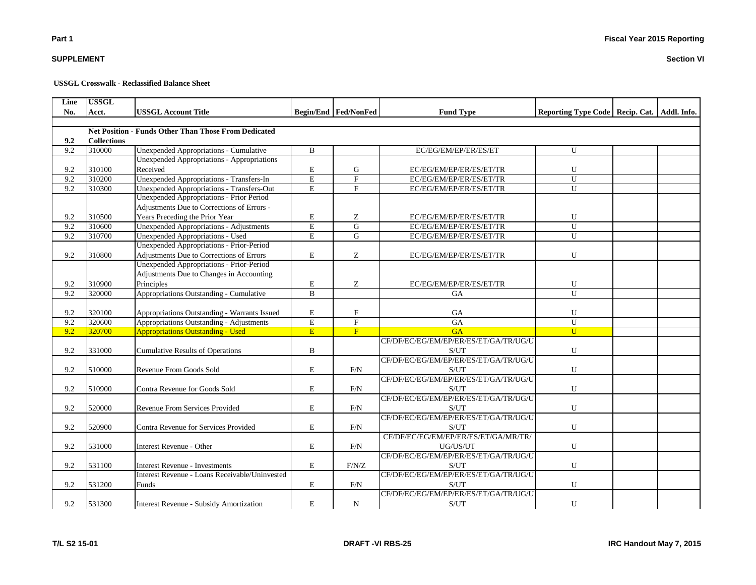## **SUPPLEMENT**

#### **USSGL Crosswalk - Reclassified Balance Sheet**

| Line | <b>USSGL</b>       |                                                             |                         |                               |                                       |                                                 |  |
|------|--------------------|-------------------------------------------------------------|-------------------------|-------------------------------|---------------------------------------|-------------------------------------------------|--|
| No.  | Acct.              | <b>USSGL Account Title</b>                                  |                         | <b>Begin/End   Fed/NonFed</b> | <b>Fund Type</b>                      | Reporting Type Code   Recip. Cat.   Addl. Info. |  |
|      |                    |                                                             |                         |                               |                                       |                                                 |  |
|      |                    | <b>Net Position - Funds Other Than Those From Dedicated</b> |                         |                               |                                       |                                                 |  |
| 9.2  | <b>Collections</b> |                                                             |                         |                               |                                       |                                                 |  |
| 9.2  | 310000             | Unexpended Appropriations - Cumulative                      | B                       |                               | EC/EG/EM/EP/ER/ES/ET                  | U                                               |  |
|      |                    | <b>Unexpended Appropriations - Appropriations</b>           |                         |                               |                                       |                                                 |  |
| 9.2  | 310100             | Received                                                    | E                       | G                             | EC/EG/EM/EP/ER/ES/ET/TR               | U                                               |  |
| 9.2  | 310200             | <b>Unexpended Appropriations - Transfers-In</b>             | $\overline{\mathrm{E}}$ | $\overline{F}$                | EC/EG/EM/EP/ER/ES/ET/TR               | $\overline{U}$                                  |  |
| 9.2  | 310300             | Unexpended Appropriations - Transfers-Out                   | E                       | $\mathbf{F}$                  | EC/EG/EM/EP/ER/ES/ET/TR               | U                                               |  |
|      |                    | Unexpended Appropriations - Prior Period                    |                         |                               |                                       |                                                 |  |
|      |                    | Adjustments Due to Corrections of Errors -                  |                         |                               |                                       |                                                 |  |
| 9.2  | 310500             | Years Preceding the Prior Year                              | E                       | Z                             | EC/EG/EM/EP/ER/ES/ET/TR               | U                                               |  |
| 9.2  | 310600             | <b>Unexpended Appropriations - Adjustments</b>              | $\overline{E}$          | $\overline{G}$                | EC/EG/EM/EP/ER/ES/ET/TR               | $\overline{U}$                                  |  |
| 9.2  | 310700             | <b>Unexpended Appropriations - Used</b>                     | $\mathbf E$             | G                             | EC/EG/EM/EP/ER/ES/ET/TR               | U                                               |  |
|      |                    | Unexpended Appropriations - Prior-Period                    |                         |                               |                                       |                                                 |  |
| 9.2  | 310800             | Adjustments Due to Corrections of Errors                    | $\mathbf E$             | Z                             | EC/EG/EM/EP/ER/ES/ET/TR               | U                                               |  |
|      |                    | Unexpended Appropriations - Prior-Period                    |                         |                               |                                       |                                                 |  |
|      |                    | Adjustments Due to Changes in Accounting                    |                         |                               |                                       |                                                 |  |
| 9.2  | 310900             | Principles                                                  | $\mathbf E$             | Z                             | EC/EG/EM/EP/ER/ES/ET/TR               | U                                               |  |
| 9.2  | 320000             | Appropriations Outstanding - Cumulative                     | $\overline{B}$          |                               | <b>GA</b>                             | $\mathbf{U}$                                    |  |
|      |                    |                                                             |                         |                               |                                       |                                                 |  |
| 9.2  | 320100             | Appropriations Outstanding - Warrants Issued                | E                       | $\boldsymbol{\mathrm{F}}$     | <b>GA</b>                             | U                                               |  |
| 9.2  | 320600             | Appropriations Outstanding - Adjustments                    | $\overline{E}$          | $\overline{\mathrm{F}}$       | <b>GA</b>                             | ${\bf U}$                                       |  |
| 9.2  | 320700             | <b>Appropriations Outstanding - Used</b>                    | E                       | F                             | G A                                   | $\overline{U}$                                  |  |
|      |                    |                                                             |                         |                               | CF/DF/EC/EG/EM/EP/ER/ES/ET/GA/TR/UG/U |                                                 |  |
| 9.2  | 331000             | <b>Cumulative Results of Operations</b>                     | B                       |                               | S/UT                                  | U                                               |  |
|      |                    |                                                             |                         |                               | CF/DF/EC/EG/EM/EP/ER/ES/ET/GA/TR/UG/U |                                                 |  |
| 9.2  | 510000             | Revenue From Goods Sold                                     | $\mathbf E$             | F/N                           | S/UT                                  | U                                               |  |
|      |                    |                                                             |                         |                               | CF/DF/EC/EG/EM/EP/ER/ES/ET/GA/TR/UG/U |                                                 |  |
| 9.2  | 510900             | Contra Revenue for Goods Sold                               | $\mathbf E$             | F/N                           | S/UT                                  | U                                               |  |
|      |                    |                                                             |                         |                               | CF/DF/EC/EG/EM/EP/ER/ES/ET/GA/TR/UG/U |                                                 |  |
| 9.2  | 520000             | Revenue From Services Provided                              | $\mathbf E$             | F/N                           | S/UT                                  | U                                               |  |
|      |                    |                                                             |                         |                               | CF/DF/EC/EG/EM/EP/ER/ES/ET/GA/TR/UG/U |                                                 |  |
| 9.2  | 520900             | Contra Revenue for Services Provided                        | E                       | F/N                           | S/UT                                  | U                                               |  |
|      |                    |                                                             |                         |                               | CF/DF/EC/EG/EM/EP/ER/ES/ET/GA/MR/TR/  |                                                 |  |
| 9.2  | 531000             | Interest Revenue - Other                                    | E                       | F/N                           | UG/US/UT                              | U                                               |  |
|      |                    |                                                             |                         |                               | CF/DF/EC/EG/EM/EP/ER/ES/ET/GA/TR/UG/U |                                                 |  |
| 9.2  | 531100             | <b>Interest Revenue - Investments</b>                       | $\mathbf E$             | F/N/Z                         | S/UT                                  | U                                               |  |
|      |                    | Interest Revenue - Loans Receivable/Uninvested              |                         |                               | CF/DF/EC/EG/EM/EP/ER/ES/ET/GA/TR/UG/U |                                                 |  |
| 9.2  | 531200             | Funds                                                       | E                       | F/N                           | S/UT                                  | U                                               |  |
|      |                    |                                                             |                         |                               | CF/DF/EC/EG/EM/EP/ER/ES/ET/GA/TR/UG/U |                                                 |  |
| 9.2  | 531300             | <b>Interest Revenue - Subsidy Amortization</b>              | E                       | $\mathbf N$                   | S/UT                                  | U                                               |  |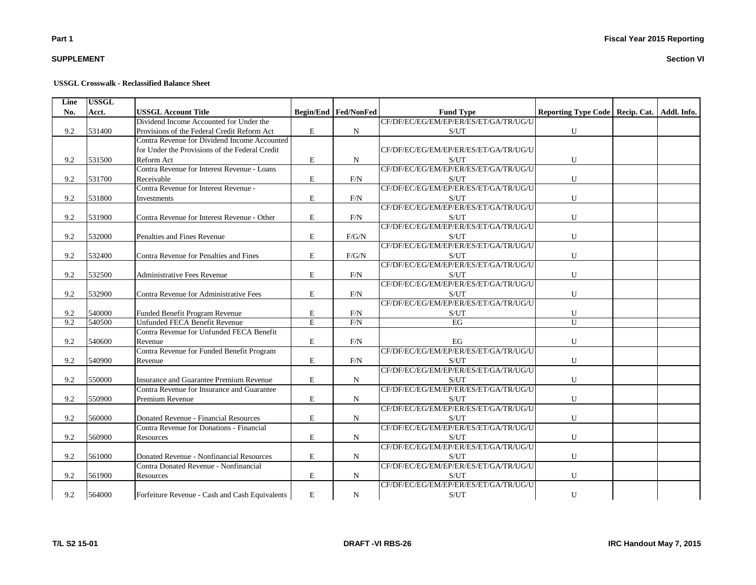## **SUPPLEMENT**

#### **USSGL Crosswalk - Reclassified Balance Sheet**

| Line | <b>USSGL</b> |                                                                                   |                |                             |                                               |                                                 |  |
|------|--------------|-----------------------------------------------------------------------------------|----------------|-----------------------------|-----------------------------------------------|-------------------------------------------------|--|
| No.  | Acct.        | <b>USSGL Account Title</b>                                                        |                | <b>Begin/End Fed/NonFed</b> | <b>Fund Type</b>                              | Reporting Type Code   Recip. Cat.   Addl. Info. |  |
|      |              | Dividend Income Accounted for Under the                                           |                |                             | CF/DF/EC/EG/EM/EP/ER/ES/ET/GA/TR/UG/U         |                                                 |  |
| 9.2  | 531400       | Provisions of the Federal Credit Reform Act                                       | E              | $\mathbf N$                 | S/UT                                          | ${\bf U}$                                       |  |
|      |              | Contra Revenue for Dividend Income Accounted                                      |                |                             |                                               |                                                 |  |
|      |              | for Under the Provisions of the Federal Credit                                    |                |                             | CF/DF/EC/EG/EM/EP/ER/ES/ET/GA/TR/UG/U         |                                                 |  |
| 9.2  | 531500       | Reform Act                                                                        | ${\rm E}$      | N                           | S/UT                                          | U                                               |  |
|      |              | Contra Revenue for Interest Revenue - Loans                                       |                |                             | CF/DF/EC/EG/EM/EP/ER/ES/ET/GA/TR/UG/U         |                                                 |  |
| 9.2  | 531700       | Receivable                                                                        | ${\bf E}$      | F/N                         | S/UT                                          | ${\bf U}$                                       |  |
|      |              | Contra Revenue for Interest Revenue -                                             |                |                             | CF/DF/EC/EG/EM/EP/ER/ES/ET/GA/TR/UG/U         |                                                 |  |
| 9.2  | 531800       | Investments                                                                       | $\mathbf E$    | F/N                         | S/UT                                          | U                                               |  |
|      |              |                                                                                   |                |                             | CF/DF/EC/EG/EM/EP/ER/ES/ET/GA/TR/UG/U         |                                                 |  |
| 9.2  | 531900       | Contra Revenue for Interest Revenue - Other                                       | E              | F/N                         | S/UT                                          | ${\bf U}$                                       |  |
|      |              |                                                                                   |                |                             | CF/DF/EC/EG/EM/EP/ER/ES/ET/GA/TR/UG/U         |                                                 |  |
| 9.2  | 532000       | Penalties and Fines Revenue                                                       | E              | F/G/N                       | S/UT                                          | U                                               |  |
|      |              |                                                                                   |                |                             | CF/DF/EC/EG/EM/EP/ER/ES/ET/GA/TR/UG/U         |                                                 |  |
| 9.2  | 532400       | Contra Revenue for Penalties and Fines                                            | E              | F/G/N                       | S/UT                                          | U                                               |  |
|      |              |                                                                                   |                |                             | CF/DF/EC/EG/EM/EP/ER/ES/ET/GA/TR/UG/U         |                                                 |  |
| 9.2  | 532500       | <b>Administrative Fees Revenue</b>                                                | E              | F/N                         | S/UT                                          | U                                               |  |
|      |              |                                                                                   |                |                             | CF/DF/EC/EG/EM/EP/ER/ES/ET/GA/TR/UG/U         |                                                 |  |
| 9.2  | 532900       | Contra Revenue for Administrative Fees                                            | $\mathbf E$    | $\rm{F/N}$                  | S/UT                                          | U                                               |  |
|      |              |                                                                                   |                |                             | CF/DF/EC/EG/EM/EP/ER/ES/ET/GA/TR/UG/U         |                                                 |  |
| 9.2  | 540000       | Funded Benefit Program Revenue                                                    | E              | F/N                         | S/UT                                          | U                                               |  |
| 9.2  | 540500       | Unfunded FECA Benefit Revenue                                                     | $\overline{E}$ | F/N                         | EG                                            | $\overline{U}$                                  |  |
|      |              | Contra Revenue for Unfunded FECA Benefit                                          |                |                             |                                               |                                                 |  |
| 9.2  | 540600       | Revenue                                                                           | E              | F/N                         | EG                                            | U                                               |  |
|      |              | Contra Revenue for Funded Benefit Program                                         |                |                             | CF/DF/EC/EG/EM/EP/ER/ES/ET/GA/TR/UG/U         |                                                 |  |
| 9.2  | 540900       | Revenue                                                                           | E              | F/N                         | S/UT                                          | U                                               |  |
|      |              |                                                                                   |                |                             | CF/DF/EC/EG/EM/EP/ER/ES/ET/GA/TR/UG/U         |                                                 |  |
| 9.2  | 550000       | Insurance and Guarantee Premium Revenue                                           | $\bf E$        | ${\bf N}$                   | S/UT                                          | ${\bf U}$                                       |  |
|      |              | Contra Revenue for Insurance and Guarantee                                        |                |                             | CF/DF/EC/EG/EM/EP/ER/ES/ET/GA/TR/UG/U         |                                                 |  |
| 9.2  | 550900       | Premium Revenue                                                                   | ${\bf E}$      | N                           | S/UT                                          | ${\bf U}$                                       |  |
|      |              |                                                                                   |                |                             | CF/DF/EC/EG/EM/EP/ER/ES/ET/GA/TR/UG/U         |                                                 |  |
| 9.2  | 560000       | Donated Revenue - Financial Resources                                             | E              | N                           | S/UT                                          | U                                               |  |
|      |              | Contra Revenue for Donations - Financial                                          |                |                             | CF/DF/EC/EG/EM/EP/ER/ES/ET/GA/TR/UG/U         |                                                 |  |
| 9.2  | 560900       | Resources                                                                         | E              |                             | S/UT                                          |                                                 |  |
|      |              |                                                                                   |                | N                           | CF/DF/EC/EG/EM/EP/ER/ES/ET/GA/TR/UG/U         | U                                               |  |
|      |              |                                                                                   |                |                             |                                               |                                                 |  |
| 9.2  | 561000       | Donated Revenue - Nonfinancial Resources<br>Contra Donated Revenue - Nonfinancial | E              | $\mathbf N$                 | S/UT<br>CF/DF/EC/EG/EM/EP/ER/ES/ET/GA/TR/UG/U | ${\bf U}$                                       |  |
|      |              |                                                                                   |                |                             |                                               |                                                 |  |
| 9.2  | 561900       | Resources                                                                         | E              | $\mathbf N$                 | S/UT                                          | U                                               |  |
|      |              |                                                                                   |                |                             | CF/DF/EC/EG/EM/EP/ER/ES/ET/GA/TR/UG/U         |                                                 |  |
| 9.2  | 564000       | Forfeiture Revenue - Cash and Cash Equivalents                                    | E              | N                           | S/UT                                          | U                                               |  |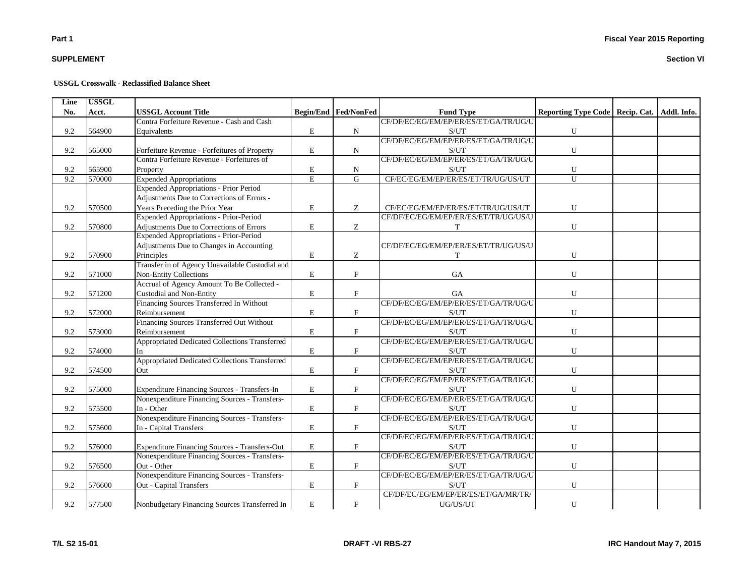## **SUPPLEMENT**

#### **USSGL Crosswalk - Reclassified Balance Sheet**

| Line | <b>USSGL</b> |                                                 |                |                             |                                       |                                                 |  |
|------|--------------|-------------------------------------------------|----------------|-----------------------------|---------------------------------------|-------------------------------------------------|--|
| No.  | Acct.        | <b>USSGL Account Title</b>                      |                | <b>Begin/End Fed/NonFed</b> | <b>Fund Type</b>                      | Reporting Type Code   Recip. Cat.   Addl. Info. |  |
|      |              | Contra Forfeiture Revenue - Cash and Cash       |                |                             | CF/DF/EC/EG/EM/EP/ER/ES/ET/GA/TR/UG/U |                                                 |  |
| 9.2  | 564900       | Equivalents                                     | E              | N                           | S/UT                                  | ${\bf U}$                                       |  |
|      |              |                                                 |                |                             | CF/DF/EC/EG/EM/EP/ER/ES/ET/GA/TR/UG/U |                                                 |  |
| 9.2  | 565000       | Forfeiture Revenue - Forfeitures of Property    | E              | N                           | S/UT                                  | ${\bf U}$                                       |  |
|      |              | Contra Forfeiture Revenue - Forfeitures of      |                |                             | CF/DF/EC/EG/EM/EP/ER/ES/ET/GA/TR/UG/U |                                                 |  |
| 9.2  | 565900       | Property                                        | ${\bf E}$      | N                           | S/UT                                  | U                                               |  |
| 9.2  | 570000       | <b>Expended Appropriations</b>                  | $\overline{E}$ | $\overline{G}$              | CF/EC/EG/EM/EP/ER/ES/ET/TR/UG/US/UT   | $\overline{U}$                                  |  |
|      |              | <b>Expended Appropriations - Prior Period</b>   |                |                             |                                       |                                                 |  |
|      |              | Adjustments Due to Corrections of Errors -      |                |                             |                                       |                                                 |  |
| 9.2  | 570500       | Years Preceding the Prior Year                  | $\mathbf E$    | Ζ                           | CF/EC/EG/EM/EP/ER/ES/ET/TR/UG/US/UT   | ${\bf U}$                                       |  |
|      |              | Expended Appropriations - Prior-Period          |                |                             | CF/DF/EC/EG/EM/EP/ER/ES/ET/TR/UG/US/U |                                                 |  |
| 9.2  | 570800       | Adjustments Due to Corrections of Errors        | E              | Z                           | T                                     | ${\bf U}$                                       |  |
|      |              | <b>Expended Appropriations - Prior-Period</b>   |                |                             |                                       |                                                 |  |
|      |              | Adjustments Due to Changes in Accounting        |                |                             | CF/DF/EC/EG/EM/EP/ER/ES/ET/TR/UG/US/U |                                                 |  |
| 9.2  | 570900       | Principles                                      | ${\bf E}$      | Z                           | T                                     | ${\bf U}$                                       |  |
|      |              | Transfer in of Agency Unavailable Custodial and |                |                             |                                       |                                                 |  |
| 9.2  | 571000       | Non-Entity Collections                          | ${\bf E}$      | $\mathbf F$                 | GA                                    | ${\bf U}$                                       |  |
|      |              | Accrual of Agency Amount To Be Collected -      |                |                             |                                       |                                                 |  |
| 9.2  | 571200       | <b>Custodial and Non-Entity</b>                 | ${\bf E}$      | $\mathbf F$                 | <b>GA</b>                             | ${\bf U}$                                       |  |
|      |              | Financing Sources Transferred In Without        |                |                             | CF/DF/EC/EG/EM/EP/ER/ES/ET/GA/TR/UG/U |                                                 |  |
| 9.2  | 572000       | Reimbursement                                   | E              | $\mathbf F$                 | S/UT                                  | ${\bf U}$                                       |  |
|      |              | Financing Sources Transferred Out Without       |                |                             | CF/DF/EC/EG/EM/EP/ER/ES/ET/GA/TR/UG/U |                                                 |  |
| 9.2  | 573000       | Reimbursement                                   | E              | $\mathbf F$                 | S/UT                                  | ${\bf U}$                                       |  |
|      |              | Appropriated Dedicated Collections Transferred  |                |                             | CF/DF/EC/EG/EM/EP/ER/ES/ET/GA/TR/UG/U |                                                 |  |
| 9.2  | 574000       | In                                              | E              | $\mathbf F$                 | S/UT                                  | ${\bf U}$                                       |  |
|      |              | Appropriated Dedicated Collections Transferred  |                |                             | CF/DF/EC/EG/EM/EP/ER/ES/ET/GA/TR/UG/U |                                                 |  |
| 9.2  | 574500       | Out                                             | ${\bf E}$      | $\rm F$                     | S/UT                                  | ${\bf U}$                                       |  |
|      |              |                                                 |                |                             | CF/DF/EC/EG/EM/EP/ER/ES/ET/GA/TR/UG/U |                                                 |  |
| 9.2  | 575000       | Expenditure Financing Sources - Transfers-In    | $\mathbf E$    | $\mathbf F$                 | S/UT                                  | ${\bf U}$                                       |  |
|      |              | Nonexpenditure Financing Sources - Transfers-   |                |                             | CF/DF/EC/EG/EM/EP/ER/ES/ET/GA/TR/UG/U |                                                 |  |
| 9.2  | 575500       | In - Other                                      | $\mathbf E$    | $\boldsymbol{\mathrm{F}}$   | S/UT                                  | ${\bf U}$                                       |  |
|      |              | Nonexpenditure Financing Sources - Transfers-   |                |                             | CF/DF/EC/EG/EM/EP/ER/ES/ET/GA/TR/UG/U |                                                 |  |
| 9.2  | 575600       | In - Capital Transfers                          | ${\bf E}$      | $\mathbf F$                 | S/UT                                  | ${\bf U}$                                       |  |
|      |              |                                                 |                |                             | CF/DF/EC/EG/EM/EP/ER/ES/ET/GA/TR/UG/U |                                                 |  |
| 9.2  | 576000       | Expenditure Financing Sources - Transfers-Out   | $\mathbf E$    | $\boldsymbol{\mathrm{F}}$   | S/UT                                  | ${\bf U}$                                       |  |
|      |              | Nonexpenditure Financing Sources - Transfers-   |                |                             | CF/DF/EC/EG/EM/EP/ER/ES/ET/GA/TR/UG/U |                                                 |  |
| 9.2  | 576500       | Out - Other                                     | E              | $\mathbf F$                 | S/UT                                  | ${\bf U}$                                       |  |
|      |              | Nonexpenditure Financing Sources - Transfers-   |                |                             | CF/DF/EC/EG/EM/EP/ER/ES/ET/GA/TR/UG/U |                                                 |  |
| 9.2  | 576600       | Out - Capital Transfers                         | E              | $\boldsymbol{\mathrm{F}}$   | S/UT                                  | U                                               |  |
|      |              |                                                 |                |                             | CF/DF/EC/EG/EM/EP/ER/ES/ET/GA/MR/TR/  |                                                 |  |
| 9.2  | 577500       | Nonbudgetary Financing Sources Transferred In   | E              | $\mathbf F$                 | UG/US/UT                              | ${\bf U}$                                       |  |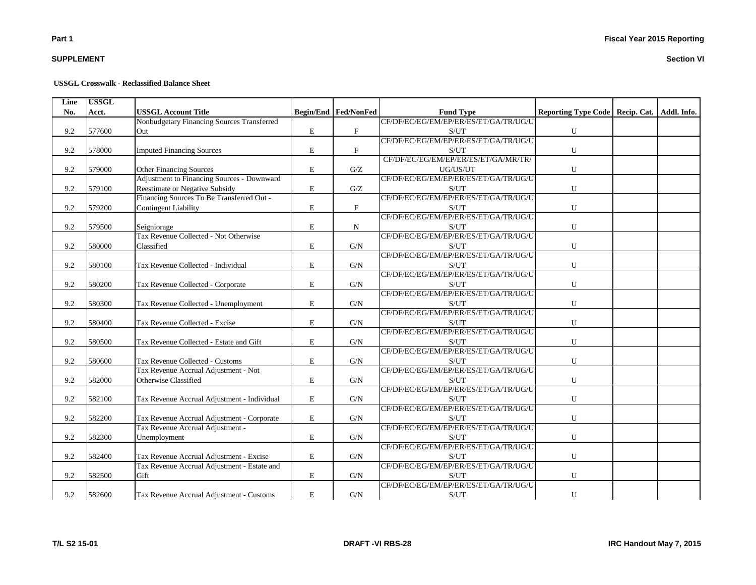## **SUPPLEMENT**

#### **USSGL Crosswalk - Reclassified Balance Sheet**

| Line | <b>USSGL</b> |                                             |             |                               |                                       |                                                 |  |
|------|--------------|---------------------------------------------|-------------|-------------------------------|---------------------------------------|-------------------------------------------------|--|
| No.  | Acct.        | <b>USSGL Account Title</b>                  |             | <b>Begin/End   Fed/NonFed</b> | <b>Fund Type</b>                      | Reporting Type Code   Recip. Cat.   Addl. Info. |  |
|      |              | Nonbudgetary Financing Sources Transferred  |             |                               | CF/DF/EC/EG/EM/EP/ER/ES/ET/GA/TR/UG/U |                                                 |  |
| 9.2  | 577600       | Out                                         | $\mathbf E$ | $\boldsymbol{\mathrm{F}}$     | S/UT                                  | ${\bf U}$                                       |  |
|      |              |                                             |             |                               | CF/DF/EC/EG/EM/EP/ER/ES/ET/GA/TR/UG/U |                                                 |  |
| 9.2  | 578000       | <b>Imputed Financing Sources</b>            | $\mathbf E$ | $\mathbf{F}$                  | S/UT                                  | ${\bf U}$                                       |  |
|      |              |                                             |             |                               | CF/DF/EC/EG/EM/EP/ER/ES/ET/GA/MR/TR/  |                                                 |  |
| 9.2  | 579000       | Other Financing Sources                     | $\mathbf E$ | G/Z                           | UG/US/UT                              | U                                               |  |
|      |              | Adjustment to Financing Sources - Downward  |             |                               | CF/DF/EC/EG/EM/EP/ER/ES/ET/GA/TR/UG/U |                                                 |  |
| 9.2  | 579100       | Reestimate or Negative Subsidy              | ${\bf E}$   | G/Z                           | S/UT                                  | ${\bf U}$                                       |  |
|      |              | Financing Sources To Be Transferred Out -   |             |                               | CF/DF/EC/EG/EM/EP/ER/ES/ET/GA/TR/UG/U |                                                 |  |
| 9.2  | 579200       | <b>Contingent Liability</b>                 | E           | $\mathbf{F}$                  | S/UT                                  | $\mathbf U$                                     |  |
|      |              |                                             |             |                               | CF/DF/EC/EG/EM/EP/ER/ES/ET/GA/TR/UG/U |                                                 |  |
| 9.2  | 579500       | Seigniorage                                 | E           | N                             | S/UT                                  | $\mathbf U$                                     |  |
|      |              | Tax Revenue Collected - Not Otherwise       |             |                               | CF/DF/EC/EG/EM/EP/ER/ES/ET/GA/TR/UG/U |                                                 |  |
| 9.2  | 580000       | Classified                                  | $\bf E$     | G/N                           | S/UT                                  | ${\bf U}$                                       |  |
|      |              |                                             |             |                               | CF/DF/EC/EG/EM/EP/ER/ES/ET/GA/TR/UG/U |                                                 |  |
| 9.2  | 580100       | Tax Revenue Collected - Individual          | E           | G/N                           | S/UT                                  | U                                               |  |
|      |              |                                             |             |                               | CF/DF/EC/EG/EM/EP/ER/ES/ET/GA/TR/UG/U |                                                 |  |
| 9.2  | 580200       | Tax Revenue Collected - Corporate           | E           | G/N                           | S/UT                                  | U                                               |  |
|      |              |                                             |             |                               | CF/DF/EC/EG/EM/EP/ER/ES/ET/GA/TR/UG/U |                                                 |  |
| 9.2  | 580300       | Tax Revenue Collected - Unemployment        | $\mathbf E$ | G/N                           | S/UT                                  | ${\bf U}$                                       |  |
|      |              |                                             |             |                               | CF/DF/EC/EG/EM/EP/ER/ES/ET/GA/TR/UG/U |                                                 |  |
| 9.2  | 580400       | Tax Revenue Collected - Excise              | E           | G/N                           | S/UT                                  | ${\bf U}$                                       |  |
|      |              |                                             |             |                               | CF/DF/EC/EG/EM/EP/ER/ES/ET/GA/TR/UG/U |                                                 |  |
| 9.2  | 580500       | Tax Revenue Collected - Estate and Gift     | E           | G/N                           | S/UT                                  | U                                               |  |
|      |              |                                             |             |                               | CF/DF/EC/EG/EM/EP/ER/ES/ET/GA/TR/UG/U |                                                 |  |
| 9.2  | 580600       | Tax Revenue Collected - Customs             | $\mathbf E$ | G/N                           | S/UT                                  | ${\bf U}$                                       |  |
|      |              | Tax Revenue Accrual Adjustment - Not        |             |                               | CF/DF/EC/EG/EM/EP/ER/ES/ET/GA/TR/UG/U |                                                 |  |
| 9.2  | 582000       | Otherwise Classified                        | E           | G/N                           | S/UT                                  | ${\bf U}$                                       |  |
|      |              |                                             |             |                               | CF/DF/EC/EG/EM/EP/ER/ES/ET/GA/TR/UG/U |                                                 |  |
| 9.2  | 582100       | Tax Revenue Accrual Adjustment - Individual | E           | G/N                           | S/UT                                  | ${\bf U}$                                       |  |
|      |              |                                             |             |                               | CF/DF/EC/EG/EM/EP/ER/ES/ET/GA/TR/UG/U |                                                 |  |
| 9.2  | 582200       | Tax Revenue Accrual Adjustment - Corporate  | E           | G/N                           | S/UT                                  | ${\bf U}$                                       |  |
|      |              | Tax Revenue Accrual Adjustment -            |             |                               | CF/DF/EC/EG/EM/EP/ER/ES/ET/GA/TR/UG/U |                                                 |  |
| 9.2  | 582300       | Unemployment                                | E           | G/N                           | S/UT                                  | ${\bf U}$                                       |  |
|      |              |                                             |             |                               | CF/DF/EC/EG/EM/EP/ER/ES/ET/GA/TR/UG/U |                                                 |  |
| 9.2  | 582400       | Tax Revenue Accrual Adjustment - Excise     | E           | G/N                           | S/UT                                  | ${\bf U}$                                       |  |
|      |              | Tax Revenue Accrual Adjustment - Estate and |             |                               | CF/DF/EC/EG/EM/EP/ER/ES/ET/GA/TR/UG/U |                                                 |  |
| 9.2  | 582500       | Gift                                        | $\mathbf E$ | G/N                           | S/UT                                  | U                                               |  |
|      |              |                                             |             |                               | CF/DF/EC/EG/EM/EP/ER/ES/ET/GA/TR/UG/U |                                                 |  |
| 9.2  | 582600       | Tax Revenue Accrual Adjustment - Customs    | $\mathbf E$ | G/N                           | S/UT                                  | ${\bf U}$                                       |  |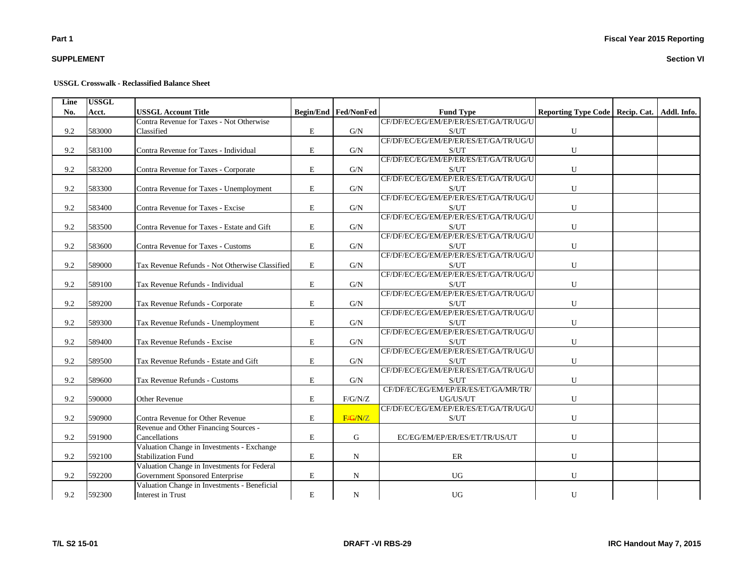## **SUPPLEMENT**

#### **USSGL Crosswalk - Reclassified Balance Sheet**

| Line | <b>USSGL</b> |                                                |           |                               |                                       |                                                 |  |
|------|--------------|------------------------------------------------|-----------|-------------------------------|---------------------------------------|-------------------------------------------------|--|
| No.  | Acct.        | <b>USSGL Account Title</b>                     |           | <b>Begin/End   Fed/NonFed</b> | <b>Fund Type</b>                      | Reporting Type Code   Recip. Cat.   Addl. Info. |  |
|      |              | Contra Revenue for Taxes - Not Otherwise       |           |                               | CF/DF/EC/EG/EM/EP/ER/ES/ET/GA/TR/UG/U |                                                 |  |
| 9.2  | 583000       | Classified                                     | E         | G/N                           | S/UT                                  | U                                               |  |
|      |              |                                                |           |                               | CF/DF/EC/EG/EM/EP/ER/ES/ET/GA/TR/UG/U |                                                 |  |
| 9.2  | 583100       | Contra Revenue for Taxes - Individual          | E         | G/N                           | S/UT                                  | U                                               |  |
|      |              |                                                |           |                               | CF/DF/EC/EG/EM/EP/ER/ES/ET/GA/TR/UG/U |                                                 |  |
| 9.2  | 583200       | Contra Revenue for Taxes - Corporate           | E         | G/N                           | S/UT                                  | U                                               |  |
|      |              |                                                |           |                               | CF/DF/EC/EG/EM/EP/ER/ES/ET/GA/TR/UG/U |                                                 |  |
| 9.2  | 583300       | Contra Revenue for Taxes - Unemployment        | E         | G/N                           | S/UT                                  | ${\bf U}$                                       |  |
|      |              |                                                |           |                               | CF/DF/EC/EG/EM/EP/ER/ES/ET/GA/TR/UG/U |                                                 |  |
| 9.2  | 583400       | Contra Revenue for Taxes - Excise              | E         | G/N                           | S/UT                                  | U                                               |  |
|      |              |                                                |           |                               | CF/DF/EC/EG/EM/EP/ER/ES/ET/GA/TR/UG/U |                                                 |  |
| 9.2  | 583500       | Contra Revenue for Taxes - Estate and Gift     | E         | G/N                           | S/UT                                  | U                                               |  |
|      |              |                                                |           |                               | CF/DF/EC/EG/EM/EP/ER/ES/ET/GA/TR/UG/U |                                                 |  |
| 9.2  | 583600       | Contra Revenue for Taxes - Customs             | E         | G/N                           | S/UT                                  | U                                               |  |
|      |              |                                                |           |                               | CF/DF/EC/EG/EM/EP/ER/ES/ET/GA/TR/UG/U |                                                 |  |
| 9.2  | 589000       | Tax Revenue Refunds - Not Otherwise Classified | E         | G/N                           | S/UT                                  | U                                               |  |
|      |              |                                                |           |                               | CF/DF/EC/EG/EM/EP/ER/ES/ET/GA/TR/UG/U |                                                 |  |
| 9.2  | 589100       | Tax Revenue Refunds - Individual               | E         | G/N                           | S/UT                                  | U                                               |  |
|      |              |                                                |           |                               | CF/DF/EC/EG/EM/EP/ER/ES/ET/GA/TR/UG/U |                                                 |  |
| 9.2  | 589200       | Tax Revenue Refunds - Corporate                | E         | G/N                           | S/UT                                  | U                                               |  |
|      |              |                                                |           |                               | CF/DF/EC/EG/EM/EP/ER/ES/ET/GA/TR/UG/U |                                                 |  |
| 9.2  | 589300       | Tax Revenue Refunds - Unemployment             | E         | G/N                           | S/UT                                  | U                                               |  |
|      |              |                                                |           |                               | CF/DF/EC/EG/EM/EP/ER/ES/ET/GA/TR/UG/U |                                                 |  |
| 9.2  | 589400       | Tax Revenue Refunds - Excise                   | E         | G/N                           | S/UT                                  | U                                               |  |
|      |              |                                                |           |                               | CF/DF/EC/EG/EM/EP/ER/ES/ET/GA/TR/UG/U |                                                 |  |
| 9.2  | 589500       | Tax Revenue Refunds - Estate and Gift          | E         | G/N                           | S/UT                                  | U                                               |  |
|      |              |                                                |           |                               | CF/DF/EC/EG/EM/EP/ER/ES/ET/GA/TR/UG/U |                                                 |  |
| 9.2  | 589600       | Tax Revenue Refunds - Customs                  | E         | G/N                           | S/UT                                  | U                                               |  |
|      |              |                                                |           |                               | CF/DF/EC/EG/EM/EP/ER/ES/ET/GA/MR/TR/  |                                                 |  |
| 9.2  | 590000       | Other Revenue                                  | E         | F/G/N/Z                       | UG/US/UT                              | U                                               |  |
|      |              |                                                |           |                               | CF/DF/EC/EG/EM/EP/ER/ES/ET/GA/TR/UG/U |                                                 |  |
| 9.2  | 590900       | Contra Revenue for Other Revenue               | E         | F/G/N/Z                       | S/UT                                  | U                                               |  |
|      |              | Revenue and Other Financing Sources -          |           |                               |                                       |                                                 |  |
| 9.2  | 591900       | Cancellations                                  | E         | G                             | EC/EG/EM/EP/ER/ES/ET/TR/US/UT         | U                                               |  |
|      |              | Valuation Change in Investments - Exchange     |           |                               |                                       |                                                 |  |
| 9.2  | 592100       | <b>Stabilization Fund</b>                      | E         | $\mathbf N$                   | ER                                    | U                                               |  |
|      |              | Valuation Change in Investments for Federal    |           |                               |                                       |                                                 |  |
| 9.2  | 592200       | Government Sponsored Enterprise                | ${\bf E}$ | $\mathbf N$                   | <b>UG</b>                             | ${\bf U}$                                       |  |
|      |              | Valuation Change in Investments - Beneficial   |           |                               |                                       |                                                 |  |
| 9.2  | 592300       | <b>Interest in Trust</b>                       | E         | ${\bf N}$                     | <b>UG</b>                             | U                                               |  |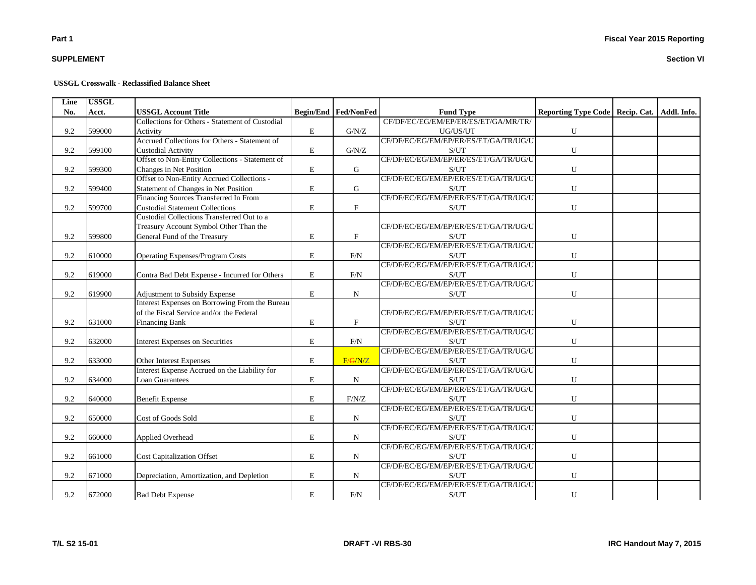## **SUPPLEMENT**

#### **USSGL Crosswalk - Reclassified Balance Sheet**

| Line | <b>USSGL</b> |                                                 |             |                      |                                       |                                                 |  |
|------|--------------|-------------------------------------------------|-------------|----------------------|---------------------------------------|-------------------------------------------------|--|
| No.  | Acct.        | <b>USSGL Account Title</b>                      |             | Begin/End Fed/NonFed | <b>Fund Type</b>                      | Reporting Type Code   Recip. Cat.   Addl. Info. |  |
|      |              | Collections for Others - Statement of Custodial |             |                      | CF/DF/EC/EG/EM/EP/ER/ES/ET/GA/MR/TR/  |                                                 |  |
| 9.2  | 599000       | Activity                                        | $\mathbf E$ | ${\rm G/N/Z}$        | UG/US/UT                              | ${\bf U}$                                       |  |
|      |              | Accrued Collections for Others - Statement of   |             |                      | CF/DF/EC/EG/EM/EP/ER/ES/ET/GA/TR/UG/U |                                                 |  |
| 9.2  | 599100       | <b>Custodial Activity</b>                       | $\mathbf E$ | G/N/Z                | S/UT                                  | ${\bf U}$                                       |  |
|      |              | Offset to Non-Entity Collections - Statement of |             |                      | CF/DF/EC/EG/EM/EP/ER/ES/ET/GA/TR/UG/U |                                                 |  |
| 9.2  | 599300       | Changes in Net Position                         | E           | G                    | S/UT                                  | ${\bf U}$                                       |  |
|      |              | Offset to Non-Entity Accrued Collections -      |             |                      | CF/DF/EC/EG/EM/EP/ER/ES/ET/GA/TR/UG/U |                                                 |  |
| 9.2  | 599400       | Statement of Changes in Net Position            | $\mathbf E$ | G                    | S/UT                                  | ${\bf U}$                                       |  |
|      |              | Financing Sources Transferred In From           |             |                      | CF/DF/EC/EG/EM/EP/ER/ES/ET/GA/TR/UG/U |                                                 |  |
| 9.2  | 599700       | <b>Custodial Statement Collections</b>          | $\mathbf E$ | $\mathbf{F}$         | S/UT                                  | $\mathbf U$                                     |  |
|      |              | Custodial Collections Transferred Out to a      |             |                      |                                       |                                                 |  |
|      |              | Treasury Account Symbol Other Than the          |             |                      | CF/DF/EC/EG/EM/EP/ER/ES/ET/GA/TR/UG/U |                                                 |  |
| 9.2  | 599800       | General Fund of the Treasury                    | $\mathbf E$ | $\mathbf F$          | S/UT                                  | ${\bf U}$                                       |  |
|      |              |                                                 |             |                      | CF/DF/EC/EG/EM/EP/ER/ES/ET/GA/TR/UG/U |                                                 |  |
| 9.2  | 610000       | Operating Expenses/Program Costs                | E           | F/N                  | S/UT                                  | U                                               |  |
|      |              |                                                 |             |                      | CF/DF/EC/EG/EM/EP/ER/ES/ET/GA/TR/UG/U |                                                 |  |
| 9.2  | 619000       | Contra Bad Debt Expense - Incurred for Others   | $\mathbf E$ | F/N                  | S/UT                                  | $\mathbf U$                                     |  |
|      |              |                                                 |             |                      | CF/DF/EC/EG/EM/EP/ER/ES/ET/GA/TR/UG/U |                                                 |  |
| 9.2  | 619900       | Adjustment to Subsidy Expense                   | $\mathbf E$ | N                    | S/UT                                  | ${\bf U}$                                       |  |
|      |              | Interest Expenses on Borrowing From the Bureau  |             |                      |                                       |                                                 |  |
|      |              | of the Fiscal Service and/or the Federal        |             |                      | CF/DF/EC/EG/EM/EP/ER/ES/ET/GA/TR/UG/U |                                                 |  |
| 9.2  | 631000       | <b>Financing Bank</b>                           | $\mathbf E$ | $\mathbf F$          | S/UT                                  | U                                               |  |
|      |              |                                                 |             |                      | CF/DF/EC/EG/EM/EP/ER/ES/ET/GA/TR/UG/U |                                                 |  |
| 9.2  | 632000       | <b>Interest Expenses on Securities</b>          | $\mathbf E$ | F/N                  | S/UT                                  | U                                               |  |
|      |              |                                                 |             |                      | CF/DF/EC/EG/EM/EP/ER/ES/ET/GA/TR/UG/U |                                                 |  |
| 9.2  | 633000       | Other Interest Expenses                         | E           | F/G/N/Z              | S/UT                                  | ${\bf U}$                                       |  |
|      |              | Interest Expense Accrued on the Liability for   |             |                      | CF/DF/EC/EG/EM/EP/ER/ES/ET/GA/TR/UG/U |                                                 |  |
| 9.2  | 634000       | <b>Loan Guarantees</b>                          | $\mathbf E$ | N                    | S/UT                                  | ${\bf U}$                                       |  |
|      |              |                                                 |             |                      | CF/DF/EC/EG/EM/EP/ER/ES/ET/GA/TR/UG/U |                                                 |  |
| 9.2  | 640000       | <b>Benefit Expense</b>                          | $\mathbf E$ | F/N/Z                | S/UT                                  | ${\bf U}$                                       |  |
|      |              |                                                 |             |                      | CF/DF/EC/EG/EM/EP/ER/ES/ET/GA/TR/UG/U |                                                 |  |
| 9.2  | 650000       | Cost of Goods Sold                              | E           | $\mathbf N$          | S/UT                                  | ${\bf U}$                                       |  |
|      |              |                                                 |             |                      | CF/DF/EC/EG/EM/EP/ER/ES/ET/GA/TR/UG/U |                                                 |  |
| 9.2  | 660000       | Applied Overhead                                | $\mathbf E$ | N                    | S/UT                                  | ${\bf U}$                                       |  |
|      |              |                                                 |             |                      | CF/DF/EC/EG/EM/EP/ER/ES/ET/GA/TR/UG/U |                                                 |  |
| 9.2  | 661000       | <b>Cost Capitalization Offset</b>               | $\mathbf E$ | N                    | S/UT                                  | $\mathbf U$                                     |  |
|      |              |                                                 |             |                      | CF/DF/EC/EG/EM/EP/ER/ES/ET/GA/TR/UG/U |                                                 |  |
| 9.2  | 671000       | Depreciation, Amortization, and Depletion       | $\mathbf E$ | ${\bf N}$            | S/UT                                  | ${\bf U}$                                       |  |
|      |              |                                                 |             |                      | CF/DF/EC/EG/EM/EP/ER/ES/ET/GA/TR/UG/U |                                                 |  |
| 9.2  | 672000       | <b>Bad Debt Expense</b>                         | $\mathbf E$ | $\rm{F/N}$           | S/UT                                  | U                                               |  |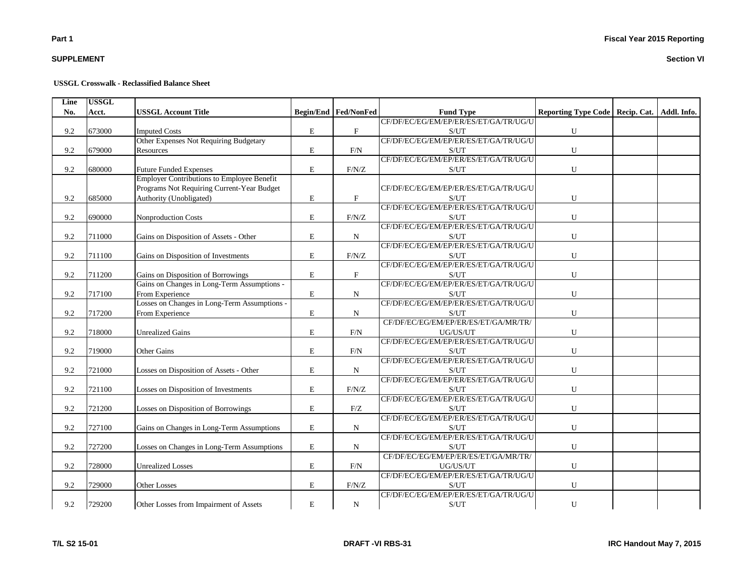# **SUPPLEMENT**

### **USSGL Crosswalk - Reclassified Balance Sheet**

| Line | <b>USSGL</b> |                                                   |             |                             |                                                    |                                                 |  |
|------|--------------|---------------------------------------------------|-------------|-----------------------------|----------------------------------------------------|-------------------------------------------------|--|
| No.  | Acct.        | <b>USSGL Account Title</b>                        |             | <b>Begin/End Fed/NonFed</b> | <b>Fund Type</b>                                   | Reporting Type Code   Recip. Cat.   Addl. Info. |  |
|      |              |                                                   |             |                             | CF/DF/EC/EG/EM/EP/ER/ES/ET/GA/TR/UG/U              |                                                 |  |
| 9.2  | 673000       | <b>Imputed Costs</b>                              | E           | $\mathbf F$                 | S/UT                                               | U                                               |  |
|      |              | Other Expenses Not Requiring Budgetary            |             |                             | CF/DF/EC/EG/EM/EP/ER/ES/ET/GA/TR/UG/U              |                                                 |  |
| 9.2  | 679000       | Resources                                         | E           | F/N                         | S/UT                                               | $\mathbf U$                                     |  |
|      |              |                                                   |             |                             | CF/DF/EC/EG/EM/EP/ER/ES/ET/GA/TR/UG/U              |                                                 |  |
| 9.2  | 680000       | <b>Future Funded Expenses</b>                     | E           | F/N/Z                       | S/UT                                               | U                                               |  |
|      |              | <b>Employer Contributions to Employee Benefit</b> |             |                             |                                                    |                                                 |  |
|      |              | Programs Not Requiring Current-Year Budget        |             |                             | CF/DF/EC/EG/EM/EP/ER/ES/ET/GA/TR/UG/U              |                                                 |  |
| 9.2  | 685000       | Authority (Unobligated)                           | E           | $\boldsymbol{\mathrm{F}}$   | S/UT                                               | U                                               |  |
|      |              |                                                   |             |                             | CF/DF/EC/EG/EM/EP/ER/ES/ET/GA/TR/UG/U              |                                                 |  |
| 9.2  | 690000       | Nonproduction Costs                               | E           | F/N/Z                       | S/UT                                               | U                                               |  |
|      |              |                                                   |             |                             | CF/DF/EC/EG/EM/EP/ER/ES/ET/GA/TR/UG/U              |                                                 |  |
| 9.2  | 711000       | Gains on Disposition of Assets - Other            | E           | N                           | S/UT                                               | U                                               |  |
|      |              |                                                   |             |                             | CF/DF/EC/EG/EM/EP/ER/ES/ET/GA/TR/UG/U              |                                                 |  |
| 9.2  | 711100       | Gains on Disposition of Investments               | E           | F/N/Z                       | S/UT                                               | ${\bf U}$                                       |  |
|      |              |                                                   |             |                             | CF/DF/EC/EG/EM/EP/ER/ES/ET/GA/TR/UG/U              |                                                 |  |
| 9.2  | 711200       | Gains on Disposition of Borrowings                | E           | $\boldsymbol{\mathrm{F}}$   | S/UT                                               | U                                               |  |
|      |              | Gains on Changes in Long-Term Assumptions -       |             |                             | CF/DF/EC/EG/EM/EP/ER/ES/ET/GA/TR/UG/U              |                                                 |  |
| 9.2  | 717100       | From Experience                                   | ${\rm E}$   | $\mathbf N$                 | S/UT                                               | U                                               |  |
|      |              | Losses on Changes in Long-Term Assumptions -      |             |                             | CF/DF/EC/EG/EM/EP/ER/ES/ET/GA/TR/UG/U              |                                                 |  |
| 9.2  | 717200       | From Experience                                   | E           | $\mathbf N$                 | S/UT                                               | U                                               |  |
|      |              |                                                   |             |                             | CF/DF/EC/EG/EM/EP/ER/ES/ET/GA/MR/TR/               |                                                 |  |
| 9.2  | 718000       | <b>Unrealized Gains</b>                           | $\mathbf E$ | F/N                         | UG/US/UT                                           | ${\bf U}$                                       |  |
|      |              |                                                   |             |                             | CF/DF/EC/EG/EM/EP/ER/ES/ET/GA/TR/UG/U              |                                                 |  |
| 9.2  | 719000       | Other Gains                                       | E           | F/N                         | S/UT                                               | U                                               |  |
|      |              |                                                   |             |                             | CF/DF/EC/EG/EM/EP/ER/ES/ET/GA/TR/UG/U              |                                                 |  |
| 9.2  | 721000       | Losses on Disposition of Assets - Other           | E           | $_{\rm N}$                  | S/UT                                               | U                                               |  |
|      |              |                                                   |             |                             | CF/DF/EC/EG/EM/EP/ER/ES/ET/GA/TR/UG/U              |                                                 |  |
| 9.2  | 721100       | Losses on Disposition of Investments              | E           | F/N/Z                       | S/UT                                               | U                                               |  |
|      |              |                                                   |             |                             | CF/DF/EC/EG/EM/EP/ER/ES/ET/GA/TR/UG/U              |                                                 |  |
| 9.2  | 721200       | Losses on Disposition of Borrowings               | E           | F/Z                         | S/UT                                               | ${\bf U}$                                       |  |
|      |              |                                                   |             |                             | CF/DF/EC/EG/EM/EP/ER/ES/ET/GA/TR/UG/U              |                                                 |  |
| 9.2  | 727100       | Gains on Changes in Long-Term Assumptions         | E           | $\mathbf N$                 | S/UT                                               | U                                               |  |
|      |              |                                                   |             |                             | CF/DF/EC/EG/EM/EP/ER/ES/ET/GA/TR/UG/U              |                                                 |  |
| 9.2  | 727200       | Losses on Changes in Long-Term Assumptions        | E           | N                           | S/UT                                               | U                                               |  |
|      |              |                                                   |             |                             | CF/DF/EC/EG/EM/EP/ER/ES/ET/GA/MR/TR/               |                                                 |  |
| 9.2  | 728000       | <b>Unrealized Losses</b>                          | E           | F/N                         | UG/US/UT                                           | U                                               |  |
|      |              |                                                   |             |                             | CF/DF/EC/EG/EM/EP/ER/ES/ET/GA/TR/UG/U              |                                                 |  |
| 9.2  | 729000       | <b>Other Losses</b>                               | E           | F/N/Z                       | S/UT                                               | U                                               |  |
|      |              |                                                   |             |                             | CF/DF/EC/EG/EM/EP/ER/ES/ET/GA/TR/UG/U              |                                                 |  |
| 9.2  | 729200       | Other Losses from Impairment of Assets            | E           | $\mathbf N$                 | $\ensuremath{\mathrm{S}}/\ensuremath{\mathrm{UT}}$ | ${\bf U}$                                       |  |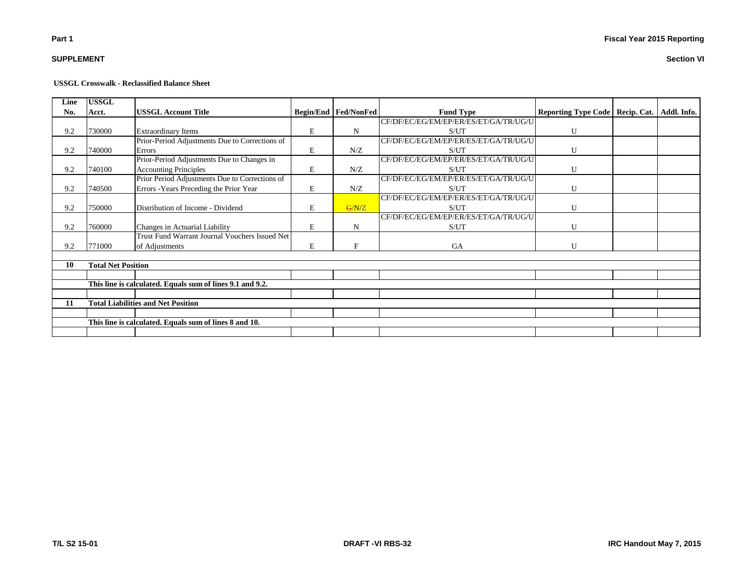## **SUPPLEMENT**

| Line | <b>USSGL</b>              |                                                           |   |                               |                                       |                                   |             |
|------|---------------------------|-----------------------------------------------------------|---|-------------------------------|---------------------------------------|-----------------------------------|-------------|
| No.  | Acct.                     | <b>USSGL Account Title</b>                                |   | <b>Begin/End   Fed/NonFed</b> | <b>Fund Type</b>                      | Reporting Type Code   Recip. Cat. | Addl. Info. |
|      |                           |                                                           |   |                               | CF/DF/EC/EG/EM/EP/ER/ES/ET/GA/TR/UG/U |                                   |             |
| 9.2  | 730000                    | <b>Extraordinary Items</b>                                | E | N                             | S/UT                                  | U                                 |             |
|      |                           | Prior-Period Adjustments Due to Corrections of            |   |                               | CF/DF/EC/EG/EM/EP/ER/ES/ET/GA/TR/UG/U |                                   |             |
| 9.2  | 740000                    | Errors                                                    | E | N/Z                           | S/UT                                  | U                                 |             |
|      |                           | Prior-Period Adjustments Due to Changes in                |   |                               | CF/DF/EC/EG/EM/EP/ER/ES/ET/GA/TR/UG/U |                                   |             |
| 9.2  | 740100                    | <b>Accounting Principles</b>                              | E | N/Z                           | S/UT                                  | U                                 |             |
|      |                           | Prior Period Adjustments Due to Corrections of            |   |                               | CF/DF/EC/EG/EM/EP/ER/ES/ET/GA/TR/UG/U |                                   |             |
| 9.2  | 740500                    | Errors - Years Preceding the Prior Year                   | E | N/Z                           | S/UT                                  | U                                 |             |
|      |                           |                                                           |   |                               | CF/DF/EC/EG/EM/EP/ER/ES/ET/GA/TR/UG/U |                                   |             |
| 9.2  | 750000                    | Distribution of Income - Dividend                         | E | G/N/Z                         | S/UT                                  | U                                 |             |
|      |                           |                                                           |   |                               | CF/DF/EC/EG/EM/EP/ER/ES/ET/GA/TR/UG/U |                                   |             |
| 9.2  | 760000                    | Changes in Actuarial Liability                            | E | N                             | S/UT                                  | U                                 |             |
|      |                           | Trust Fund Warrant Journal Vouchers Issued Net            |   |                               |                                       |                                   |             |
| 9.2  | 771000                    | of Adjustments                                            | E | F                             | GA                                    | U                                 |             |
|      |                           |                                                           |   |                               |                                       |                                   |             |
| 10   | <b>Total Net Position</b> |                                                           |   |                               |                                       |                                   |             |
|      |                           |                                                           |   |                               |                                       |                                   |             |
|      |                           | This line is calculated. Equals sum of lines 9.1 and 9.2. |   |                               |                                       |                                   |             |
|      |                           |                                                           |   |                               |                                       |                                   |             |
| 11   |                           | <b>Total Liabilities and Net Position</b>                 |   |                               |                                       |                                   |             |
|      |                           |                                                           |   |                               |                                       |                                   |             |
|      |                           | This line is calculated. Equals sum of lines 8 and 10.    |   |                               |                                       |                                   |             |
|      |                           |                                                           |   |                               |                                       |                                   |             |